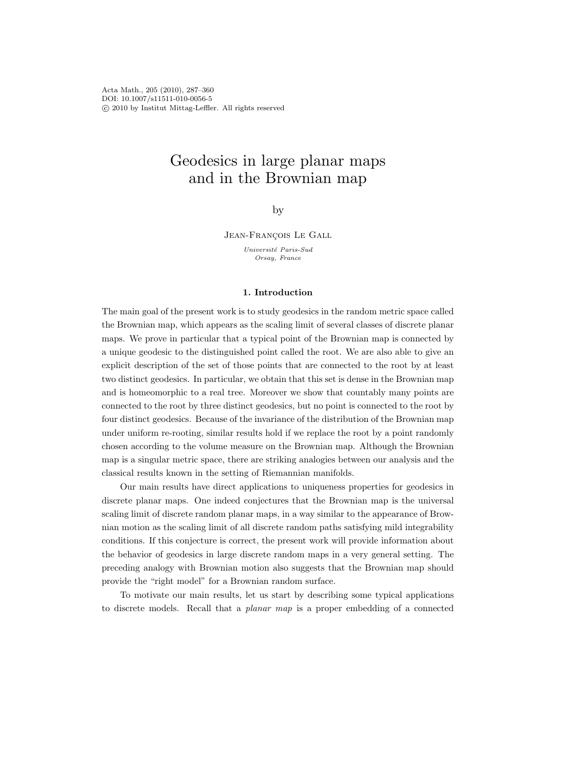Acta Math., 205 (2010), 287–360 DOI: 10.1007/s11511-010-0056-5 c 2010 by Institut Mittag-Leffler. All rights reserved

# Geodesics in large planar maps and in the Brownian map

by

JEAN-FRANÇOIS LE GALL

Université Paris-Sud Orsay, France

## 1. Introduction

The main goal of the present work is to study geodesics in the random metric space called the Brownian map, which appears as the scaling limit of several classes of discrete planar maps. We prove in particular that a typical point of the Brownian map is connected by a unique geodesic to the distinguished point called the root. We are also able to give an explicit description of the set of those points that are connected to the root by at least two distinct geodesics. In particular, we obtain that this set is dense in the Brownian map and is homeomorphic to a real tree. Moreover we show that countably many points are connected to the root by three distinct geodesics, but no point is connected to the root by four distinct geodesics. Because of the invariance of the distribution of the Brownian map under uniform re-rooting, similar results hold if we replace the root by a point randomly chosen according to the volume measure on the Brownian map. Although the Brownian map is a singular metric space, there are striking analogies between our analysis and the classical results known in the setting of Riemannian manifolds.

Our main results have direct applications to uniqueness properties for geodesics in discrete planar maps. One indeed conjectures that the Brownian map is the universal scaling limit of discrete random planar maps, in a way similar to the appearance of Brownian motion as the scaling limit of all discrete random paths satisfying mild integrability conditions. If this conjecture is correct, the present work will provide information about the behavior of geodesics in large discrete random maps in a very general setting. The preceding analogy with Brownian motion also suggests that the Brownian map should provide the "right model" for a Brownian random surface.

To motivate our main results, let us start by describing some typical applications to discrete models. Recall that a planar map is a proper embedding of a connected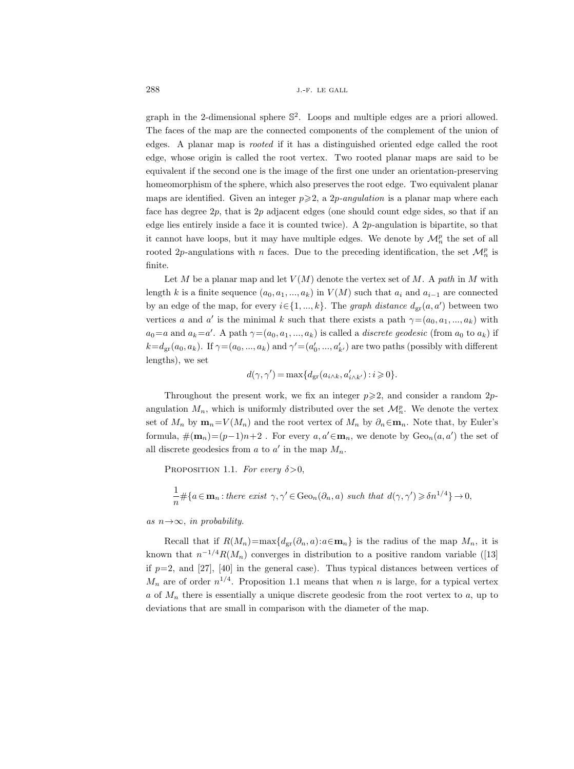graph in the 2-dimensional sphere S 2 . Loops and multiple edges are a priori allowed. The faces of the map are the connected components of the complement of the union of edges. A planar map is rooted if it has a distinguished oriented edge called the root edge, whose origin is called the root vertex. Two rooted planar maps are said to be equivalent if the second one is the image of the first one under an orientation-preserving homeomorphism of the sphere, which also preserves the root edge. Two equivalent planar maps are identified. Given an integer  $p \geqslant 2$ , a 2p-angulation is a planar map where each face has degree  $2p$ , that is  $2p$  adjacent edges (one should count edge sides, so that if an edge lies entirely inside a face it is counted twice). A  $2p$ -angulation is bipartite, so that it cannot have loops, but it may have multiple edges. We denote by  $\mathcal{M}_n^p$  the set of all rooted 2p-angulations with n faces. Due to the preceding identification, the set  $\mathcal{M}_n^p$  is finite.

Let M be a planar map and let  $V(M)$  denote the vertex set of M. A path in M with length k is a finite sequence  $(a_0, a_1, ..., a_k)$  in  $V(M)$  such that  $a_i$  and  $a_{i-1}$  are connected by an edge of the map, for every  $i \in \{1, ..., k\}$ . The *graph distance*  $d_{\text{gr}}(a, a')$  between two vertices a and a' is the minimal k such that there exists a path  $\gamma=(a_0, a_1, ..., a_k)$  with  $a_0=a$  and  $a_k=a'$ . A path  $\gamma=(a_0,a_1,...,a_k)$  is called a *discrete geodesic* (from  $a_0$  to  $a_k$ ) if  $k=d_{\text{gr}}(a_0, a_k)$ . If  $\gamma=(a_0, ..., a_k)$  and  $\gamma'=(a'_0, ..., a'_{k'})$  are two paths (possibly with different lengths), we set

$$
d(\gamma,\gamma')\,{=}\max\{d_{\mathrm{gr}}(a_{i\wedge k},a'_{i\wedge k'}):i\,{\geqslant}\,0\}.
$$

Throughout the present work, we fix an integer  $p \geqslant 2$ , and consider a random 2pangulation  $M_n$ , which is uniformly distributed over the set  $\mathcal{M}_n^p$ . We denote the vertex set of  $M_n$  by  $\mathbf{m}_n=V(M_n)$  and the root vertex of  $M_n$  by  $\partial_n \in \mathbf{m}_n$ . Note that, by Euler's formula,  $\#(\mathbf{m}_n) = (p-1)n+2$ . For every  $a, a' \in \mathbf{m}_n$ , we denote by  $Geo_n(a, a')$  the set of all discrete geodesics from  $a$  to  $a'$  in the map  $M_n$ .

PROPOSITION 1.1. For every  $\delta > 0$ ,

$$
\frac{1}{n} \# \{ a \in \mathbf{m}_n : \text{there exist } \gamma, \gamma' \in \text{Geo}_n(\partial_n, a) \text{ such that } d(\gamma, \gamma') \geqslant \delta n^{1/4} \} \to 0,
$$

## as  $n \rightarrow \infty$ , in probability.

Recall that if  $R(M_n) = \max\{d_{gr}(\partial_n, a): a \in \mathbf{m}_n\}$  is the radius of the map  $M_n$ , it is known that  $n^{-1/4}R(M_n)$  converges in distribution to a positive random variable ([13] if  $p=2$ , and [27], [40] in the general case). Thus typical distances between vertices of  $M_n$  are of order  $n^{1/4}$ . Proposition 1.1 means that when n is large, for a typical vertex  $a$  of  $M_n$  there is essentially a unique discrete geodesic from the root vertex to  $a$ , up to deviations that are small in comparison with the diameter of the map.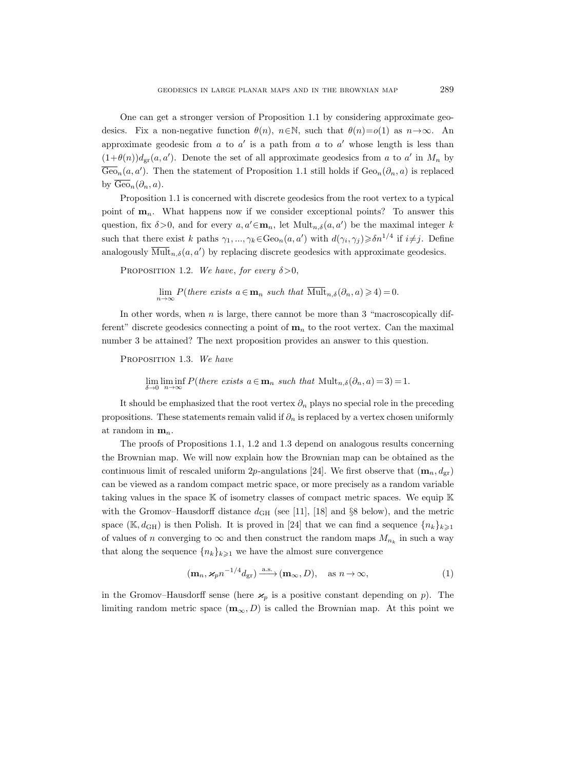One can get a stronger version of Proposition 1.1 by considering approximate geodesics. Fix a non-negative function  $\theta(n)$ ,  $n \in \mathbb{N}$ , such that  $\theta(n)=o(1)$  as  $n \to \infty$ . An approximate geodesic from  $a$  to  $a'$  is a path from  $a$  to  $a'$  whose length is less than  $(1+\theta(n))d_{\text{gr}}(a,a')$ . Denote the set of all approximate geodesics from a to a' in  $M_n$  by  $\overline{\text{Geo}}_n(a, a')$ . Then the statement of Proposition 1.1 still holds if  $\text{Geo}_n(\partial_n, a)$  is replaced by  $\overline{\text{Geo}}_n(\partial_n, a)$ .

Proposition 1.1 is concerned with discrete geodesics from the root vertex to a typical point of  $\mathbf{m}_n$ . What happens now if we consider exceptional points? To answer this question, fix  $\delta > 0$ , and for every  $a, a' \in \mathbf{m}_n$ , let  $\text{Mult}_{n,\delta}(a, a')$  be the maximal integer k such that there exist k paths  $\gamma_1, ..., \gamma_k \in \text{Geo}_n(a, a')$  with  $d(\gamma_i, \gamma_j) \geq \delta n^{1/4}$  if  $i \neq j$ . Define analogously  $\overline{\text{Mult}}_{n,\delta}(a, a')$  by replacing discrete geodesics with approximate geodesics.

PROPOSITION 1.2. We have, for every  $\delta > 0$ ,

 $\lim_{n \to \infty} P(\text{there exists } a \in \mathbf{m}_n \text{ such that } \overline{\text{Mult}}_{n,\delta}(\partial_n, a) \geq 4) = 0.$ 

In other words, when  $n$  is large, there cannot be more than 3 "macroscopically different" discrete geodesics connecting a point of  $m_n$  to the root vertex. Can the maximal number 3 be attained? The next proposition provides an answer to this question.

PROPOSITION 1.3. We have

lim lim inf  $P$ (there exists  $a \in \mathbf{m}_n$  such that  $\text{Mult}_{n,\delta}(\partial_n, a) = 3) = 1$ .  $\delta \rightarrow 0$ 

It should be emphasized that the root vertex  $\partial_n$  plays no special role in the preceding propositions. These statements remain valid if  $\partial_n$  is replaced by a vertex chosen uniformly at random in  $\mathbf{m}_n$ .

The proofs of Propositions 1.1, 1.2 and 1.3 depend on analogous results concerning the Brownian map. We will now explain how the Brownian map can be obtained as the continuous limit of rescaled uniform 2p-angulations [24]. We first observe that  $(\mathbf{m}_n, d_{\text{gr}})$ can be viewed as a random compact metric space, or more precisely as a random variable taking values in the space  $\mathbb K$  of isometry classes of compact metric spaces. We equip  $\mathbb K$ with the Gromov–Hausdorff distance  $d_{GH}$  (see [11], [18] and §8 below), and the metric space (K,  $d_{GH}$ ) is then Polish. It is proved in [24] that we can find a sequence  $\{n_k\}_{k\geq 1}$ of values of n converging to  $\infty$  and then construct the random maps  $M_{n_k}$  in such a way that along the sequence  $\{n_k\}_{k\geqslant 1}$  we have the almost sure convergence

$$
(\mathbf{m}_n, \mathbf{x}_p n^{-1/4} d_{\text{gr}}) \xrightarrow{\text{a.s.}} (\mathbf{m}_\infty, D), \quad \text{as } n \to \infty,
$$
 (1)

in the Gromov–Hausdorff sense (here  $\varkappa_p$  is a positive constant depending on p). The limiting random metric space  $(m_{\infty}, D)$  is called the Brownian map. At this point we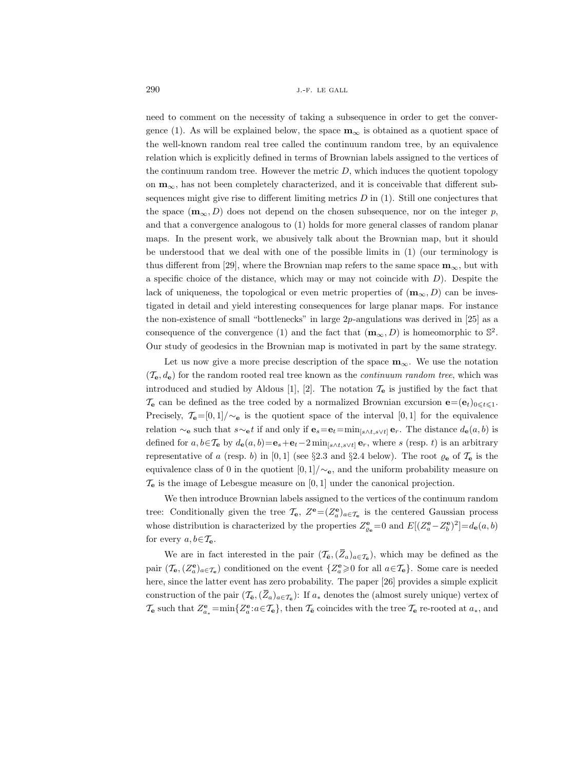need to comment on the necessity of taking a subsequence in order to get the convergence (1). As will be explained below, the space  $\mathbf{m}_{\infty}$  is obtained as a quotient space of the well-known random real tree called the continuum random tree, by an equivalence relation which is explicitly defined in terms of Brownian labels assigned to the vertices of the continuum random tree. However the metric  $D$ , which induces the quotient topology on  $m_{\infty}$ , has not been completely characterized, and it is conceivable that different subsequences might give rise to different limiting metrics  $D$  in (1). Still one conjectures that the space  $(\mathbf{m}_{\infty}, D)$  does not depend on the chosen subsequence, nor on the integer p, and that a convergence analogous to (1) holds for more general classes of random planar maps. In the present work, we abusively talk about the Brownian map, but it should be understood that we deal with one of the possible limits in (1) (our terminology is thus different from [29], where the Brownian map refers to the same space  $\mathbf{m}_{\infty}$ , but with a specific choice of the distance, which may or may not coincide with  $D$ ). Despite the lack of uniqueness, the topological or even metric properties of  $(\mathbf{m}_{\infty}, D)$  can be investigated in detail and yield interesting consequences for large planar maps. For instance the non-existence of small "bottlenecks" in large 2p-angulations was derived in [25] as a consequence of the convergence (1) and the fact that  $(\mathbf{m}_{\infty}, D)$  is homeomorphic to  $\mathbb{S}^2$ . Our study of geodesics in the Brownian map is motivated in part by the same strategy.

Let us now give a more precise description of the space  $\mathbf{m}_{\infty}$ . We use the notation  $(\mathcal{T}_{\mathbf{e}}, d_{\mathbf{e}})$  for the random rooted real tree known as the *continuum random tree*, which was introduced and studied by Aldous [1], [2]. The notation  $\mathcal{T}_{e}$  is justified by the fact that  $\mathcal{T}_{e}$  can be defined as the tree coded by a normalized Brownian excursion  $\mathbf{e} = (\mathbf{e}_{t})_{0 \leq t \leq 1}$ . Precisely,  $\mathcal{T}_{e}=[0,1]/\sim_{e}$  is the quotient space of the interval [0,1] for the equivalence relation  $\sim_e$  such that  $s\sim_e t$  if and only if  $\mathbf{e}_s=\mathbf{e}_t=\min_{[s\wedge t,s\vee t]}\mathbf{e}_r$ . The distance  $d_{\mathbf{e}}(a, b)$  is defined for  $a, b \in \mathcal{T}_{\mathbf{e}}$  by  $d_{\mathbf{e}}(a, b) = \mathbf{e}_s + \mathbf{e}_t - 2 \min_{[s \wedge t, s \vee t]} \mathbf{e}_r$ , where s (resp. t) is an arbitrary representative of a (resp. b) in [0, 1] (see §2.3 and §2.4 below). The root  $\varrho_e$  of  $\mathcal{T}_e$  is the equivalence class of 0 in the quotient  $[0, 1] / \sim_e$ , and the uniform probability measure on  $\mathcal{T}_{e}$  is the image of Lebesgue measure on [0, 1] under the canonical projection.

We then introduce Brownian labels assigned to the vertices of the continuum random tree: Conditionally given the tree  $\mathcal{T}_{e}$ ,  $Z^{\mathbf{e}} = (Z_a^{\mathbf{e}})_{a \in \mathcal{T}_{e}}$  is the centered Gaussian process whose distribution is characterized by the properties  $Z_{\varrho_e}^{\mathbf{e}} = 0$  and  $E[(Z_a^{\mathbf{e}} - Z_b^{\mathbf{e}})^2] = d_{\mathbf{e}}(a, b)$ for every  $a, b \in \mathcal{T}_e$ .

We are in fact interested in the pair  $(\mathcal{T}_{\bar{\mathbf{e}}},(\bar{Z}_a)_{a\in\mathcal{T}_{\bar{\mathbf{e}}}})$ , which may be defined as the pair  $(\mathcal{T}_{\mathbf{e}}, (Z_a^{\mathbf{e}})_{a \in \mathcal{T}_{\mathbf{e}}})$  conditioned on the event  $\{Z_a^{\mathbf{e}}\geqslant 0 \text{ for all } a \in \mathcal{T}_{\mathbf{e}}\}$ . Some care is needed here, since the latter event has zero probability. The paper [26] provides a simple explicit construction of the pair  $(\mathcal{T}_{\bar{e}}, (\bar{Z}_a)_{a \in \mathcal{T}_{\bar{e}}})$ : If  $a_*$  denotes the (almost surely unique) vertex of  $\mathcal{T}_{\mathbf{e}}$  such that  $Z^{\mathbf{e}}_{a_*} = \min\{Z^{\mathbf{e}}_a : a \in \mathcal{T}_{\mathbf{e}}\}$ , then  $\mathcal{T}_{\mathbf{e}}$  coincides with the tree  $\mathcal{T}_{\mathbf{e}}$  re-rooted at  $a_*,$  and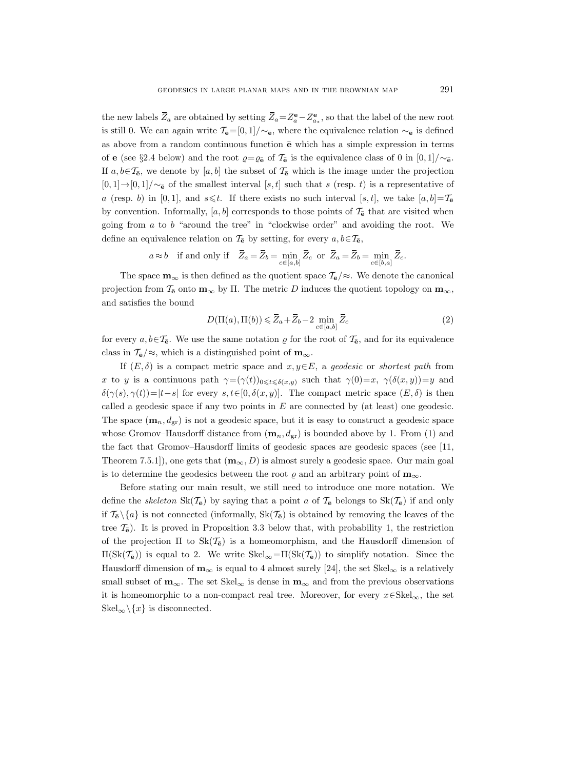the new labels  $\overline{Z}_a$  are obtained by setting  $\overline{Z}_a = Z_a^{\mathbf{e}} - Z_{a_*}^{\mathbf{e}}$ , so that the label of the new root is still 0. We can again write  $\mathcal{T}_{\bar{e}}=[0,1]/\sim_{\bar{e}},$  where the equivalence relation  $\sim_{\bar{e}}$  is defined as above from a random continuous function  $\bar{e}$  which has a simple expression in terms of e (see §2.4 below) and the root  $\varrho = \varrho_{\bar{e}}$  of  $\mathcal{T}_{\bar{e}}$  is the equivalence class of 0 in [0, 1]/∼<sub> $\bar{e}$ </sub>. If  $a, b \in \mathcal{T}_{\mathbf{e}}$ , we denote by  $[a, b]$  the subset of  $\mathcal{T}_{\mathbf{e}}$  which is the image under the projection  $[0, 1] \rightarrow [0, 1] / \sim_{\mathbf{\bar{e}}}$  of the smallest interval [s, t] such that s (resp. t) is a representative of a (resp. b) in [0,1], and  $s \leq t$ . If there exists no such interval [s, t], we take [a, b]= $\mathcal{T}_{\mathbf{e}}$ by convention. Informally, [a, b] corresponds to those points of  $\mathcal{T}_{\mathbf{e}}$  that are visited when going from  $a$  to  $b$  "around the tree" in "clockwise order" and avoiding the root. We define an equivalence relation on  $\mathcal{T}_{\bar{e}}$  by setting, for every  $a, b \in \mathcal{T}_{\bar{e}}$ ,

$$
a \approx b
$$
 if and only if  $\overline{Z}_a = \overline{Z}_b = \min_{c \in [a,b]} \overline{Z}_c$  or  $\overline{Z}_a = \overline{Z}_b = \min_{c \in [b,a]} \overline{Z}_c$ .

The space  $\mathbf{m}_{\infty}$  is then defined as the quotient space  $\mathcal{T}_{\mathbf{\bar{e}}}/\approx$ . We denote the canonical projection from  $\mathcal{T}_e$  onto  $\mathbf{m}_{\infty}$  by  $\Pi$ . The metric D induces the quotient topology on  $\mathbf{m}_{\infty}$ , and satisfies the bound

$$
D(\Pi(a), \Pi(b)) \leqslant \overline{Z}_a + \overline{Z}_b - 2 \min_{c \in [a, b]} \overline{Z}_c
$$
\n<sup>(2)</sup>

for every  $a, b \in \mathcal{T}_{\mathbf{e}}$ . We use the same notation  $\rho$  for the root of  $\mathcal{T}_{\mathbf{e}}$ , and for its equivalence class in  $\mathcal{T}_{\bar{e}}/\approx$ , which is a distinguished point of  $m_{\infty}$ .

If  $(E, \delta)$  is a compact metric space and  $x, y \in E$ , a geodesic or shortest path from x to y is a continuous path  $\gamma = (\gamma(t))_{0 \leqslant t \leqslant \delta(x,y)}$  such that  $\gamma(0)=x$ ,  $\gamma(\delta(x,y))=y$  and  $\delta(\gamma(s), \gamma(t))=|t-s|$  for every  $s, t\in [0, \delta(x, y)]$ . The compact metric space  $(E, \delta)$  is then called a geodesic space if any two points in  $E$  are connected by (at least) one geodesic. The space  $(\mathbf{m}_n, d_{\text{gr}})$  is not a geodesic space, but it is easy to construct a geodesic space whose Gromov–Hausdorff distance from  $(m_n, d_{gr})$  is bounded above by 1. From (1) and the fact that Gromov–Hausdorff limits of geodesic spaces are geodesic spaces (see [11, Theorem 7.5.1]), one gets that  $(\mathbf{m}_{\infty}, D)$  is almost surely a geodesic space. Our main goal is to determine the geodesics between the root  $\varrho$  and an arbitrary point of  $m_{\infty}$ .

Before stating our main result, we still need to introduce one more notation. We define the skeleton  $\text{Sk}(\mathcal{T}_{\bar{e}})$  by saying that a point a of  $\mathcal{T}_{\bar{e}}$  belongs to  $\text{Sk}(\mathcal{T}_{\bar{e}})$  if and only if  $\mathcal{T}_{\mathbf{\bar{e}}} \setminus \{a\}$  is not connected (informally,  $\text{Sk}(\mathcal{T}_{\mathbf{\bar{e}}})$  is obtained by removing the leaves of the tree  $\mathcal{T}_{\mathbf{\bar{e}}}$ ). It is proved in Proposition 3.3 below that, with probability 1, the restriction of the projection  $\Pi$  to  $Sk(\mathcal{T}_{\mathbf{\bar{e}}})$  is a homeomorphism, and the Hausdorff dimension of  $\Pi(\text{Sk}(\mathcal{T}_{\mathbf{e}}))$  is equal to 2. We write  $\text{Skel}_{\infty}=\Pi(\text{Sk}(\mathcal{T}_{\mathbf{e}}))$  to simplify notation. Since the Hausdorff dimension of  $\mathbf{m}_{\infty}$  is equal to 4 almost surely [24], the set Skel<sub>∞</sub> is a relatively small subset of  $m_{\infty}$ . The set Skel<sub>∞</sub> is dense in  $m_{\infty}$  and from the previous observations it is homeomorphic to a non-compact real tree. Moreover, for every  $x \in Skel_{\infty}$ , the set  $\text{Skel}_{\infty}\backslash\{x\}$  is disconnected.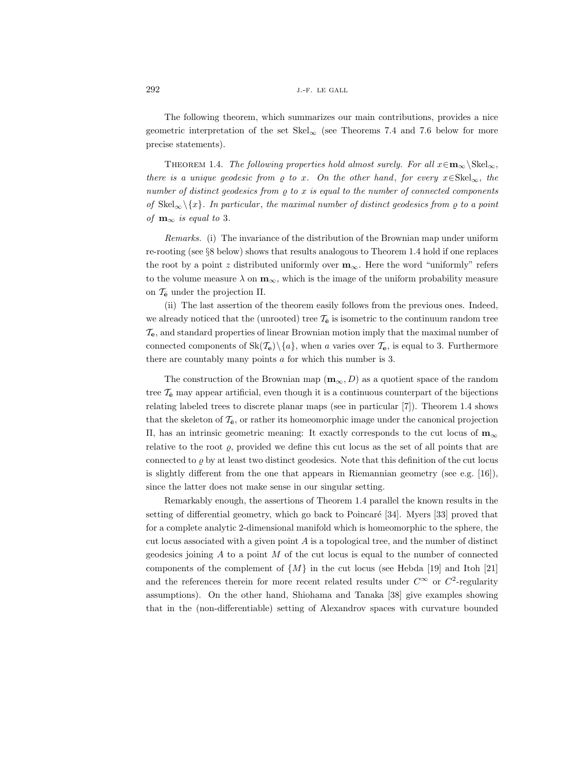The following theorem, which summarizes our main contributions, provides a nice geometric interpretation of the set  $\text{Skel}_{\infty}$  (see Theorems 7.4 and 7.6 below for more precise statements).

THEOREM 1.4. The following properties hold almost surely. For all  $x \in m_\infty \backslash \text{Skel}_\infty$ , there is a unique geodesic from  $\rho$  to x. On the other hand, for every  $x \in Skel_{\infty}$ , the number of distinct geodesics from  $\rho$  to x is equal to the number of connected components of  $\text{Skel}_{\infty}\setminus\{x\}.$  In particular, the maximal number of distinct geodesics from  $\varrho$  to a point of  $\mathbf{m}_{\infty}$  is equal to 3.

Remarks. (i) The invariance of the distribution of the Brownian map under uniform re-rooting (see §8 below) shows that results analogous to Theorem 1.4 hold if one replaces the root by a point z distributed uniformly over  $m_{\infty}$ . Here the word "uniformly" refers to the volume measure  $\lambda$  on  $\mathbf{m}_{\infty}$ , which is the image of the uniform probability measure on  $\mathcal{T}_{\mathbf{e}}$  under the projection  $\Pi$ .

(ii) The last assertion of the theorem easily follows from the previous ones. Indeed, we already noticed that the (unrooted) tree  $\mathcal{T}_{\bar{e}}$  is isometric to the continuum random tree  $\mathcal{T}_{e}$ , and standard properties of linear Brownian motion imply that the maximal number of connected components of  $\text{Sk}(\mathcal{T}_e)\setminus\{a\}$ , when a varies over  $\mathcal{T}_e$ , is equal to 3. Furthermore there are countably many points a for which this number is 3.

The construction of the Brownian map  $(\mathbf{m}_{\infty}, D)$  as a quotient space of the random tree  $\mathcal{T}_{\mathbf{\bar{e}}}$  may appear artificial, even though it is a continuous counterpart of the bijections relating labeled trees to discrete planar maps (see in particular [7]). Theorem 1.4 shows that the skeleton of  $\mathcal{T}_{\bar{\mathbf{e}}},$  or rather its homeomorphic image under the canonical projection Π, has an intrinsic geometric meaning: It exactly corresponds to the cut locus of m<sup>∞</sup> relative to the root  $\varrho$ , provided we define this cut locus as the set of all points that are connected to  $\rho$  by at least two distinct geodesics. Note that this definition of the cut locus is slightly different from the one that appears in Riemannian geometry (see e.g.  $[16]$ ), since the latter does not make sense in our singular setting.

Remarkably enough, the assertions of Theorem 1.4 parallel the known results in the setting of differential geometry, which go back to Poincaré [34]. Myers [33] proved that for a complete analytic 2-dimensional manifold which is homeomorphic to the sphere, the cut locus associated with a given point  $A$  is a topological tree, and the number of distinct geodesics joining  $A$  to a point  $M$  of the cut locus is equal to the number of connected components of the complement of  $\{M\}$  in the cut locus (see Hebda [19] and Itoh [21] and the references therein for more recent related results under  $C^{\infty}$  or  $C^2$ -regularity assumptions). On the other hand, Shiohama and Tanaka [38] give examples showing that in the (non-differentiable) setting of Alexandrov spaces with curvature bounded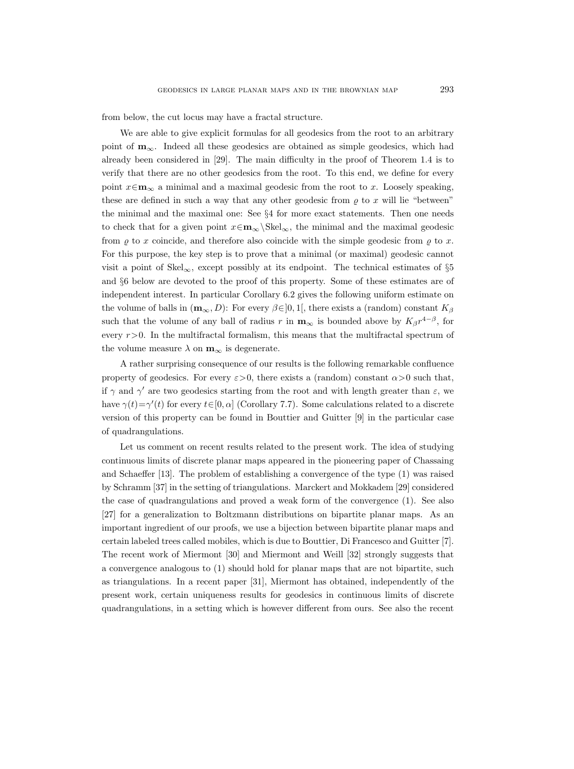from below, the cut locus may have a fractal structure.

We are able to give explicit formulas for all geodesics from the root to an arbitrary point of  $\mathbf{m}_{\infty}$ . Indeed all these geodesics are obtained as simple geodesics, which had already been considered in [29]. The main difficulty in the proof of Theorem 1.4 is to verify that there are no other geodesics from the root. To this end, we define for every point  $x \in \mathbf{m}_{\infty}$  a minimal and a maximal geodesic from the root to x. Loosely speaking, these are defined in such a way that any other geodesic from  $\varrho$  to x will lie "between" the minimal and the maximal one: See §4 for more exact statements. Then one needs to check that for a given point  $x \in \mathbf{m}_{\infty} \backslash \text{Skel}_{\infty}$ , the minimal and the maximal geodesic from  $\rho$  to x coincide, and therefore also coincide with the simple geodesic from  $\rho$  to x. For this purpose, the key step is to prove that a minimal (or maximal) geodesic cannot visit a point of Skel<sub>∞</sub>, except possibly at its endpoint. The technical estimates of §5 and §6 below are devoted to the proof of this property. Some of these estimates are of independent interest. In particular Corollary 6.2 gives the following uniform estimate on the volume of balls in  $(m_{\infty}, D)$ : For every  $\beta \in ]0,1[$ , there exists a (random) constant  $K_{\beta}$ such that the volume of any ball of radius r in  $\mathbf{m}_{\infty}$  is bounded above by  $K_{\beta}r^{4-\beta}$ , for every  $r>0$ . In the multifractal formalism, this means that the multifractal spectrum of the volume measure  $\lambda$  on  $\mathbf{m}_{\infty}$  is degenerate.

A rather surprising consequence of our results is the following remarkable confluence property of geodesics. For every  $\varepsilon > 0$ , there exists a (random) constant  $\alpha > 0$  such that, if  $\gamma$  and  $\gamma'$  are two geodesics starting from the root and with length greater than  $\varepsilon$ , we have  $\gamma(t) = \gamma'(t)$  for every  $t \in [0, \alpha]$  (Corollary 7.7). Some calculations related to a discrete version of this property can be found in Bouttier and Guitter [9] in the particular case of quadrangulations.

Let us comment on recent results related to the present work. The idea of studying continuous limits of discrete planar maps appeared in the pioneering paper of Chassaing and Schaeffer [13]. The problem of establishing a convergence of the type (1) was raised by Schramm [37] in the setting of triangulations. Marckert and Mokkadem [29] considered the case of quadrangulations and proved a weak form of the convergence (1). See also [27] for a generalization to Boltzmann distributions on bipartite planar maps. As an important ingredient of our proofs, we use a bijection between bipartite planar maps and certain labeled trees called mobiles, which is due to Bouttier, Di Francesco and Guitter [7]. The recent work of Miermont [30] and Miermont and Weill [32] strongly suggests that a convergence analogous to (1) should hold for planar maps that are not bipartite, such as triangulations. In a recent paper [31], Miermont has obtained, independently of the present work, certain uniqueness results for geodesics in continuous limits of discrete quadrangulations, in a setting which is however different from ours. See also the recent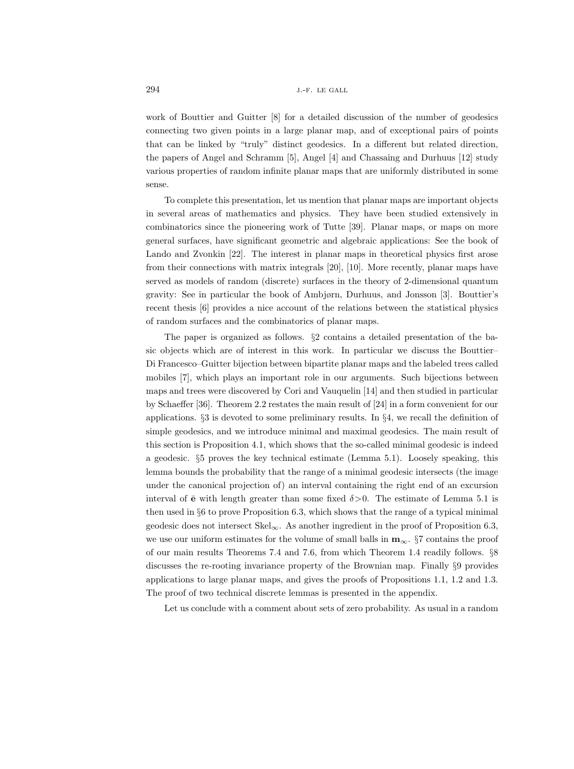work of Bouttier and Guitter [8] for a detailed discussion of the number of geodesics connecting two given points in a large planar map, and of exceptional pairs of points that can be linked by "truly" distinct geodesics. In a different but related direction, the papers of Angel and Schramm [5], Angel [4] and Chassaing and Durhuus [12] study various properties of random infinite planar maps that are uniformly distributed in some sense.

To complete this presentation, let us mention that planar maps are important objects in several areas of mathematics and physics. They have been studied extensively in combinatorics since the pioneering work of Tutte [39]. Planar maps, or maps on more general surfaces, have significant geometric and algebraic applications: See the book of Lando and Zvonkin [22]. The interest in planar maps in theoretical physics first arose from their connections with matrix integrals [20], [10]. More recently, planar maps have served as models of random (discrete) surfaces in the theory of 2-dimensional quantum gravity: See in particular the book of Ambjørn, Durhuus, and Jonsson [3]. Bouttier's recent thesis [6] provides a nice account of the relations between the statistical physics of random surfaces and the combinatorics of planar maps.

The paper is organized as follows. §2 contains a detailed presentation of the basic objects which are of interest in this work. In particular we discuss the Bouttier– Di Francesco–Guitter bijection between bipartite planar maps and the labeled trees called mobiles [7], which plays an important role in our arguments. Such bijections between maps and trees were discovered by Cori and Vauquelin [14] and then studied in particular by Schaeffer [36]. Theorem 2.2 restates the main result of [24] in a form convenient for our applications. §3 is devoted to some preliminary results. In §4, we recall the definition of simple geodesics, and we introduce minimal and maximal geodesics. The main result of this section is Proposition 4.1, which shows that the so-called minimal geodesic is indeed a geodesic. §5 proves the key technical estimate (Lemma 5.1). Loosely speaking, this lemma bounds the probability that the range of a minimal geodesic intersects (the image under the canonical projection of) an interval containing the right end of an excursion interval of  $\bar{e}$  with length greater than some fixed  $\delta > 0$ . The estimate of Lemma 5.1 is then used in §6 to prove Proposition 6.3, which shows that the range of a typical minimal geodesic does not intersect  $Skel_{\infty}$ . As another ingredient in the proof of Proposition 6.3, we use our uniform estimates for the volume of small balls in  $m_{\infty}$ . §7 contains the proof of our main results Theorems 7.4 and 7.6, from which Theorem 1.4 readily follows. §8 discusses the re-rooting invariance property of the Brownian map. Finally §9 provides applications to large planar maps, and gives the proofs of Propositions 1.1, 1.2 and 1.3. The proof of two technical discrete lemmas is presented in the appendix.

Let us conclude with a comment about sets of zero probability. As usual in a random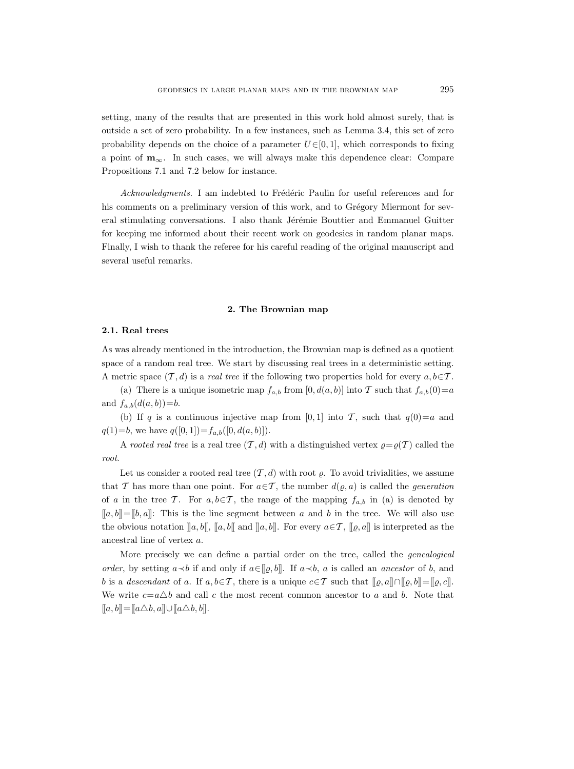setting, many of the results that are presented in this work hold almost surely, that is outside a set of zero probability. In a few instances, such as Lemma 3.4, this set of zero probability depends on the choice of a parameter  $U\in[0,1]$ , which corresponds to fixing a point of  $m_{\infty}$ . In such cases, we will always make this dependence clear: Compare Propositions 7.1 and 7.2 below for instance.

Acknowledgments. I am indebted to Frédéric Paulin for useful references and for his comments on a preliminary version of this work, and to Grégory Miermont for several stimulating conversations. I also thank Jérémie Bouttier and Emmanuel Guitter for keeping me informed about their recent work on geodesics in random planar maps. Finally, I wish to thank the referee for his careful reading of the original manuscript and several useful remarks.

#### 2. The Brownian map

# 2.1. Real trees

As was already mentioned in the introduction, the Brownian map is defined as a quotient space of a random real tree. We start by discussing real trees in a deterministic setting. A metric space  $(\mathcal{T}, d)$  is a *real tree* if the following two properties hold for every  $a, b \in \mathcal{T}$ .

(a) There is a unique isometric map  $f_{a,b}$  from  $[0, d(a, b)]$  into T such that  $f_{a,b}(0)=a$ and  $f_{a,b}(d(a, b)) = b$ .

(b) If q is a continuous injective map from [0, 1] into T, such that  $q(0)=a$  and  $q(1)=b$ , we have  $q([0, 1])=f_{a,b}([0, d(a, b)]).$ 

A rooted real tree is a real tree  $(\mathcal{T}, d)$  with a distinguished vertex  $\rho = \rho(\mathcal{T})$  called the root.

Let us consider a rooted real tree  $(\mathcal{T}, d)$  with root  $\varrho$ . To avoid trivialities, we assume that T has more than one point. For  $a \in T$ , the number  $d(\varrho, a)$  is called the *generation* of a in the tree T. For  $a, b \in T$ , the range of the mapping  $f_{a,b}$  in (a) is denoted by  $[[a, b]] = [[b, a]]$ : This is the line segment between a and b in the tree. We will also use the obvious notation  $\llbracket a, b \rrbracket$ ,  $\llbracket a, b \rrbracket$  and  $\llbracket a, b \rrbracket$ . For every  $a \in \mathcal{T}$ ,  $\llbracket \varrho, a \rrbracket$  is interpreted as the ancestral line of vertex a.

More precisely we can define a partial order on the tree, called the *genealogical* order, by setting  $a \prec b$  if and only if  $a \in [a, b]$ . If  $a \prec b$ , a is called an ancestor of b, and b is a descendant of a. If  $a, b \in \mathcal{T}$ , there is a unique  $c \in \mathcal{T}$  such that  $[[\varrho, a]] \cap [[\varrho, b]] = [[\varrho, c]]$ . We write  $c=a\Delta b$  and call c the most recent common ancestor to a and b. Note that  $[[a, b]] = [[a \triangle b, a]] \cup [[a \triangle b, b]].$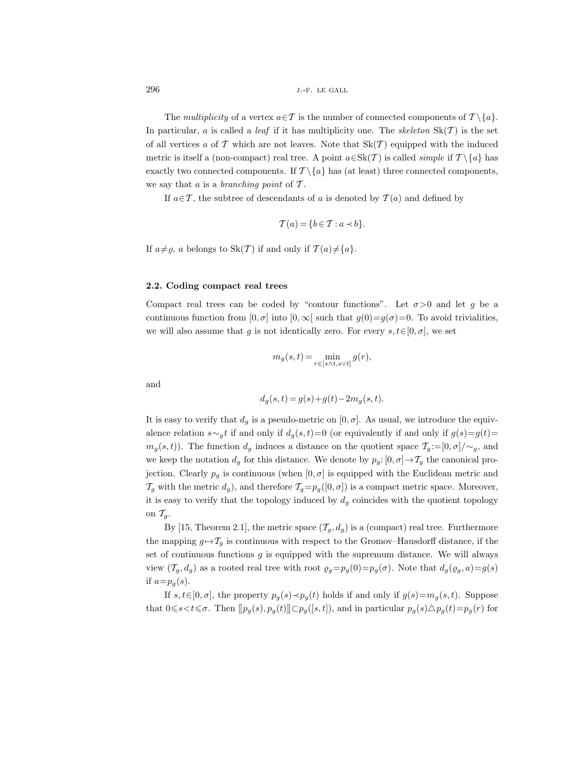The multiplicity of a vertex  $a \in \mathcal{T}$  is the number of connected components of  $\mathcal{T} \setminus \{a\}.$ In particular, a is called a *leaf* if it has multiplicity one. The *skeleton*  $Sk(\mathcal{T})$  is the set of all vertices a of T which are not leaves. Note that  $Sk(T)$  equipped with the induced metric is itself a (non-compact) real tree. A point  $a \in Sk(\mathcal{T})$  is called *simple* if  $\mathcal{T} \setminus \{a\}$  has exactly two connected components. If  $\mathcal{T} \setminus \{a\}$  has (at least) three connected components, we say that  $a$  is a branching point of  $\mathcal T$ .

If  $a \in \mathcal{T}$ , the subtree of descendants of a is denoted by  $\mathcal{T}(a)$  and defined by

$$
\mathcal{T}(a) = \{b \in \mathcal{T} : a \prec b\}.
$$

If  $a \neq \rho$ , a belongs to  $\text{Sk}(\mathcal{T})$  if and only if  $\mathcal{T}(a) \neq \{a\}.$ 

## 2.2. Coding compact real trees

Compact real trees can be coded by "contour functions". Let  $\sigma > 0$  and let q be a continuous function from  $[0, \sigma]$  into  $[0, \infty]$  such that  $g(0)=g(\sigma)=0$ . To avoid trivialities, we will also assume that g is not identically zero. For every  $s, t \in [0, \sigma]$ , we set

$$
m_g(s,t) = \min_{r \in [s \wedge t, s \vee t]} g(r),
$$

and

$$
d_g(s, t) = g(s) + g(t) - 2m_g(s, t).
$$

It is easy to verify that  $d_g$  is a pseudo-metric on  $[0, \sigma]$ . As usual, we introduce the equivalence relation  $s \sim_g t$  if and only if  $d_g(s,t)=0$  (or equivalently if and only if  $g(s)=g(t)=$  $m_g(s, t)$ ). The function  $d_g$  induces a distance on the quotient space  $\mathcal{T}_g := [0, \sigma] / \sim_g$ , and we keep the notation  $d_g$  for this distance. We denote by  $p_g: [0, \sigma] \to T_g$  the canonical projection. Clearly  $p_g$  is continuous (when  $[0, \sigma]$  is equipped with the Euclidean metric and  $\mathcal{T}_g$  with the metric  $d_g$ ), and therefore  $\mathcal{T}_g=p_g([0, \sigma])$  is a compact metric space. Moreover, it is easy to verify that the topology induced by  $d_g$  coincides with the quotient topology on  $\mathcal{T}_a$ .

By [15, Theorem 2.1], the metric space  $(\mathcal{T}_g, d_g)$  is a (compact) real tree. Furthermore the mapping  $g \mapsto T_q$  is continuous with respect to the Gromov–Hausdorff distance, if the set of continuous functions  $g$  is equipped with the supremum distance. We will always view  $(\mathcal{T}_g, d_g)$  as a rooted real tree with root  $\varrho_g=p_g(0)=p_g(\sigma)$ . Note that  $d_g(\varrho_g, a)=g(s)$ if  $a=p_a(s)$ .

If  $s, t \in [0, \sigma]$ , the property  $p_q(s) \prec p_q(t)$  holds if and only if  $g(s) = m_q(s, t)$ . Suppose that  $0 \le s < t \le \sigma$ . Then  $[[p_g(s), p_g(t)]] \subset p_g([s, t])$ , and in particular  $p_g(s) \triangle p_g(t) = p_g(r)$  for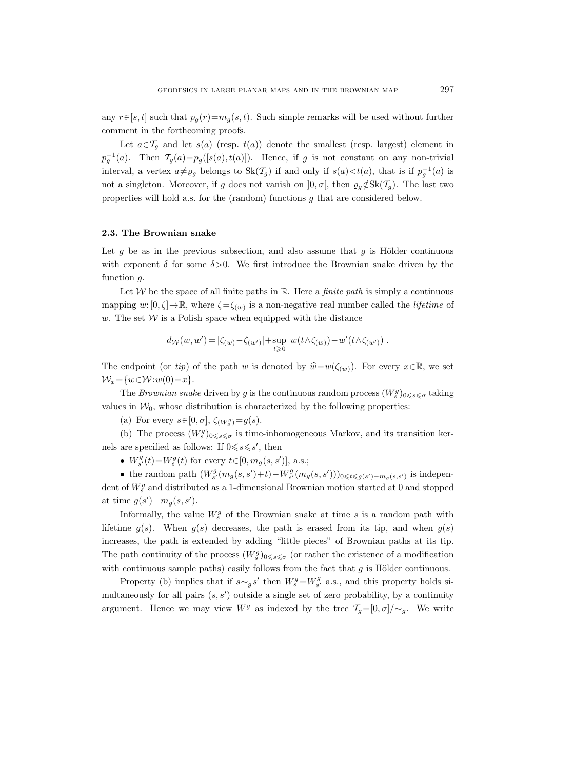any  $r \in [s, t]$  such that  $p_q(r) = m_q(s, t)$ . Such simple remarks will be used without further comment in the forthcoming proofs.

Let  $a \in \mathcal{T}_q$  and let  $s(a)$  (resp.  $t(a)$ ) denote the smallest (resp. largest) element in  $p_g^{-1}(a)$ . Then  $\mathcal{T}_g(a)=p_g([s(a), t(a)])$ . Hence, if g is not constant on any non-trivial interval, a vertex  $a \neq \varrho_g$  belongs to  $Sk(\mathcal{T}_g)$  if and only if  $s(a) < t(a)$ , that is if  $p_g^{-1}(a)$  is not a singleton. Moreover, if g does not vanish on  $]0, \sigma[$ , then  $\varrho_q \notin Sk(\mathcal{T}_q)$ . The last two properties will hold a.s. for the (random) functions g that are considered below.

## 2.3. The Brownian snake

Let q be as in the previous subsection, and also assume that  $q$  is Hölder continuous with exponent  $\delta$  for some  $\delta > 0$ . We first introduce the Brownian snake driven by the function q.

Let W be the space of all finite paths in  $\mathbb{R}$ . Here a *finite path* is simply a continuous mapping  $w: [0, \zeta] \to \mathbb{R}$ , where  $\zeta = \zeta_{(w)}$  is a non-negative real number called the *lifetime* of w. The set  $W$  is a Polish space when equipped with the distance

$$
d_{\mathcal{W}}(w, w') = |\zeta_{(w)} - \zeta_{(w')}| + \sup_{t \geq 0} |w(t \wedge \zeta_{(w)}) - w'(t \wedge \zeta_{(w')})|.
$$

The endpoint (or tip) of the path w is denoted by  $\hat{w} = w(\zeta(w))$ . For every  $x \in \mathbb{R}$ , we set  $\mathcal{W}_x = \{w \in \mathcal{W}: w(0) = x\}.$ 

The *Brownian snake* driven by g is the continuous random process  $(W_s^g)_{0 \leq s \leq \sigma}$  taking values in  $W_0$ , whose distribution is characterized by the following properties:

(a) For every  $s \in [0, \sigma], \zeta_{(W_s^g)} = g(s)$ .

(b) The process  $(W_s^g)_{0 \leq s \leq \sigma}$  is time-inhomogeneous Markov, and its transition kernels are specified as follows: If  $0 \le s \le s'$ , then

•  $W_{s'}^g(t) = W_s^g(t)$  for every  $t \in [0, m_g(s, s')]$ , a.s.;

• the random path  $(W_{s'}^g(m_g(s, s') + t) - W_{s'}^g(m_g(s, s')))_{0 \leq t \leq g(s') - m_g(s, s')}$  is independent of  $W_s^g$  and distributed as a 1-dimensional Brownian motion started at 0 and stopped at time  $g(s') - m_g(s, s')$ .

Informally, the value  $W_s^g$  of the Brownian snake at time s is a random path with lifetime  $g(s)$ . When  $g(s)$  decreases, the path is erased from its tip, and when  $g(s)$ increases, the path is extended by adding "little pieces" of Brownian paths at its tip. The path continuity of the process  $(W_s^g)_{0 \leq s \leq \sigma}$  (or rather the existence of a modification with continuous sample paths) easily follows from the fact that  $g$  is Hölder continuous.

Property (b) implies that if  $s \sim_g s'$  then  $W_s^g = W_{s'}^g$  a.s., and this property holds simultaneously for all pairs  $(s, s')$  outside a single set of zero probability, by a continuity argument. Hence we may view  $W^g$  as indexed by the tree  $\mathcal{T}_q=[0,\sigma]/\sim_q$ . We write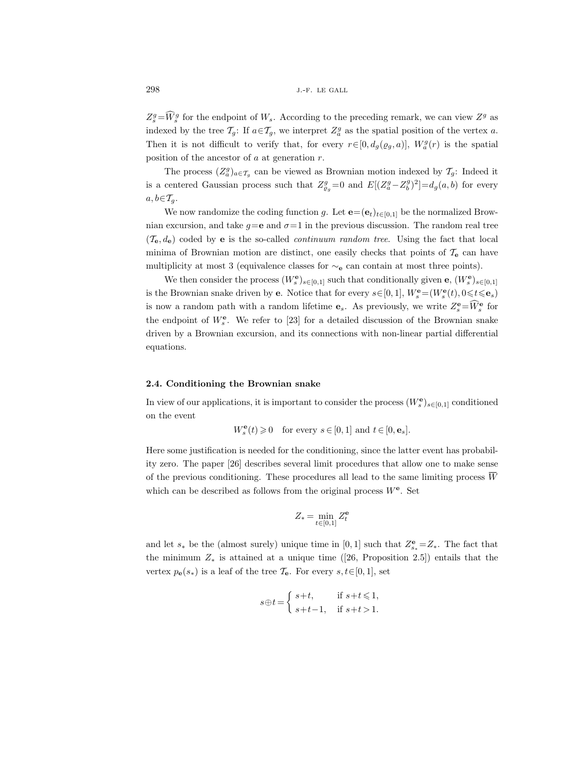$Z_s^g = W_s^g$  for the endpoint of  $W_s$ . According to the preceding remark, we can view  $Z^g$  as indexed by the tree  $\mathcal{T}_g$ : If  $a \in \mathcal{T}_g$ , we interpret  $Z_a^g$  as the spatial position of the vertex a. Then it is not difficult to verify that, for every  $r \in [0, d_g(\varrho_g, a)]$ ,  $W_a^g(r)$  is the spatial position of the ancestor of  $a$  at generation  $r$ .

The process  $(Z_a^g)_{a \in \mathcal{T}_g}$  can be viewed as Brownian motion indexed by  $\mathcal{T}_g$ : Indeed it is a centered Gaussian process such that  $Z_{\varrho_g}^g=0$  and  $E[(Z_a^g-Z_b^g)^2]=d_g(a,b)$  for every  $a, b \in \mathcal{T}_q$ .

We now randomize the coding function g. Let  $\mathbf{e} = (\mathbf{e}_t)_{t \in [0,1]}$  be the normalized Brownian excursion, and take  $q=e$  and  $\sigma=1$  in the previous discussion. The random real tree  $(\mathcal{T}_{\mathbf{e}}, d_{\mathbf{e}})$  coded by **e** is the so-called *continuum random tree*. Using the fact that local minima of Brownian motion are distinct, one easily checks that points of  $\mathcal{T}_{e}$  can have multiplicity at most 3 (equivalence classes for  $\sim_e$  can contain at most three points).

We then consider the process  $(W_s^{\mathbf{e}})_{s\in[0,1]}$  such that conditionally given  $\mathbf{e}, (W_s^{\mathbf{e}})_{s\in[0,1]}$ is the Brownian snake driven by **e**. Notice that for every  $s \in [0, 1]$ ,  $W_s^{\mathbf{e}} = (W_s^{\mathbf{e}}(t), 0 \leq t \leq \mathbf{e}_s)$ is now a random path with a random lifetime  $\mathbf{e}_s$ . As previously, we write  $Z_s^{\mathbf{e}} = \widetilde{W}_s^{\mathbf{e}}$  for the endpoint of  $W_s^{\mathbf{e}}$ . We refer to [23] for a detailed discussion of the Brownian snake driven by a Brownian excursion, and its connections with non-linear partial differential equations.

## 2.4. Conditioning the Brownian snake

In view of our applications, it is important to consider the process  $(W_s^{\mathbf{e}})_{s\in[0,1]}$  conditioned on the event

$$
W^\mathbf{e}_s(t)\geqslant 0\quad\text{for every }s\in[0,1]\text{ and }t\in[0,\mathbf{e}_s].
$$

Here some justification is needed for the conditioning, since the latter event has probability zero. The paper [26] describes several limit procedures that allow one to make sense of the previous conditioning. These procedures all lead to the same limiting process  $\overline{W}$ which can be described as follows from the original process  $W^e$ . Set

$$
Z_*=\min_{t\in[0,1]}Z_t^\mathbf{e}
$$

and let  $s_*$  be the (almost surely) unique time in [0, 1] such that  $Z_{s_*}^{\mathbf{e}} = Z_*$ . The fact that the minimum  $Z_*$  is attained at a unique time ([26, Proposition 2.5]) entails that the vertex  $p_{e}(s_{*})$  is a leaf of the tree  $\mathcal{T}_{e}$ . For every  $s, t \in [0, 1]$ , set

$$
s\oplus t=\left\{\begin{array}{ll} s+t, & \text{if } s+t\leqslant 1,\\ s+t-1, & \text{if } s+t>1.\end{array}\right.
$$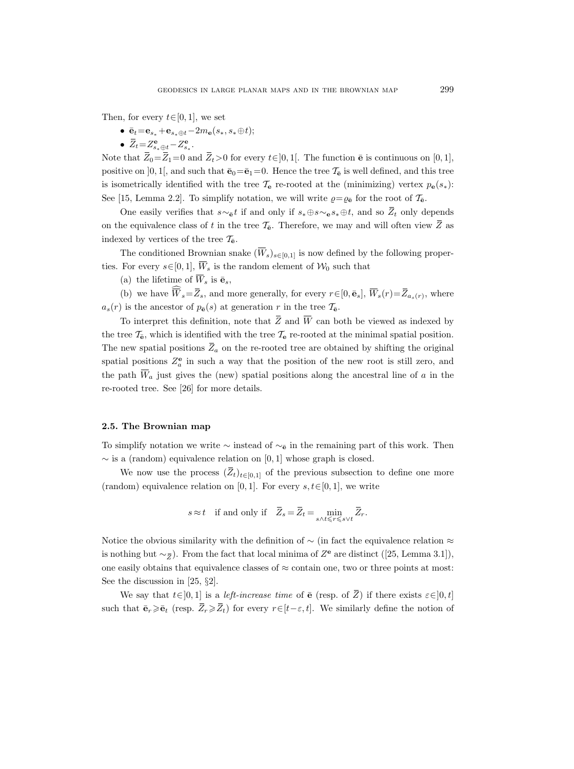Then, for every  $t \in [0, 1]$ , we set

- $\bar{\mathbf{e}}_t = \mathbf{e}_{s_*} + \mathbf{e}_{s_* \oplus t} 2m_e(s_*, s_* \oplus t);$
- $\overline{Z}_t = Z_{s_* \oplus t}^{\mathbf{e}} Z_{s_*}^{\mathbf{e}}$ .

Note that  $\overline{Z}_0 = \overline{Z}_1 = 0$  and  $\overline{Z}_t > 0$  for every  $t \in ]0,1[$ . The function  $\overline{e}$  is continuous on [0, 1], positive on [0, 1], and such that  $\bar{\mathbf{e}}_0=\bar{\mathbf{e}}_1=0$ . Hence the tree  $\mathcal{T}_{\bar{\mathbf{e}}}$  is well defined, and this tree is isometrically identified with the tree  $\mathcal{T}_{e}$  re-rooted at the (minimizing) vertex  $p_{e}(s_{*})$ : See [15, Lemma 2.2]. To simplify notation, we will write  $\rho = \rho_{\bar{e}}$  for the root of  $\mathcal{T}_{\bar{e}}$ .

One easily verifies that  $s \sim_{\mathbf{\bar{e}}} t$  if and only if  $s_* \oplus s \sim_{\mathbf{\bar{e}}} s_* \oplus t$ , and so  $\overline{Z}_t$  only depends on the equivalence class of t in the tree  $\mathcal{T}_{\bar{e}}$ . Therefore, we may and will often view  $\bar{Z}$  as indexed by vertices of the tree  $\mathcal{T}_{\mathbf{\bar{e}}}.$ 

The conditioned Brownian snake  $(\overline{W}_s)_{s\in[0,1]}$  is now defined by the following properties. For every  $s \in [0, 1]$ ,  $\overline{W}_s$  is the random element of  $\mathcal{W}_0$  such that

(a) the lifetime of  $\overline{W}_s$  is  $\overline{\mathbf{e}}_s$ ,

(b) we have  $\widehat{\overline{W}}_s = \overline{Z}_s$ , and more generally, for every  $r \in [0, \bar{\mathbf{e}}_s]$ ,  $\overline{W}_s(r) = \overline{Z}_{a_s(r)}$ , where  $a_s(r)$  is the ancestor of  $p_{\bar{\mathbf{e}}}(s)$  at generation r in the tree  $\mathcal{T}_{\bar{\mathbf{e}}}.$ 

To interpret this definition, note that  $\overline{Z}$  and  $\overline{W}$  can both be viewed as indexed by the tree  $\mathcal{T}_{\mathbf{\bar{e}}}$ , which is identified with the tree  $\mathcal{T}_{\mathbf{e}}$  re-rooted at the minimal spatial position. The new spatial positions  $Z_a$  on the re-rooted tree are obtained by shifting the original spatial positions  $Z_a^e$  in such a way that the position of the new root is still zero, and the path  $\overline{W}_a$  just gives the (new) spatial positions along the ancestral line of a in the re-rooted tree. See [26] for more details.

#### 2.5. The Brownian map

To simplify notation we write  $\sim$  instead of  $\sim_{\mathbf{\bar{e}}}$  in the remaining part of this work. Then  $\sim$  is a (random) equivalence relation on [0, 1] whose graph is closed.

We now use the process  $(\bar{Z}_t)_{t\in[0,1]}$  of the previous subsection to define one more (random) equivalence relation on [0, 1]. For every  $s, t \in [0, 1]$ , we write

$$
s \approx t \quad \text{if and only if} \quad \overline{Z}_s = \overline{Z}_t = \min_{s \wedge t \leq r \leq s \vee t} \overline{Z}_r.
$$

Notice the obvious similarity with the definition of  $\sim$  (in fact the equivalence relation ≈ is nothing but  $\sim_{\overline{Z}}$ ). From the fact that local minima of  $Z^{\mathbf{e}}$  are distinct ([25, Lemma 3.1]), one easily obtains that equivalence classes of  $\approx$  contain one, two or three points at most: See the discussion in [25, §2].

We say that  $t \in [0, 1]$  is a *left-increase time* of  $\bar{e}$  (resp. of  $\bar{Z}$ ) if there exists  $\varepsilon \in [0, t]$ such that  $\bar{\mathbf{e}}_r \geq \bar{\mathbf{e}}_t$  (resp.  $\bar{Z}_r \geq \bar{Z}_t$ ) for every  $r \in [t-\varepsilon, t]$ . We similarly define the notion of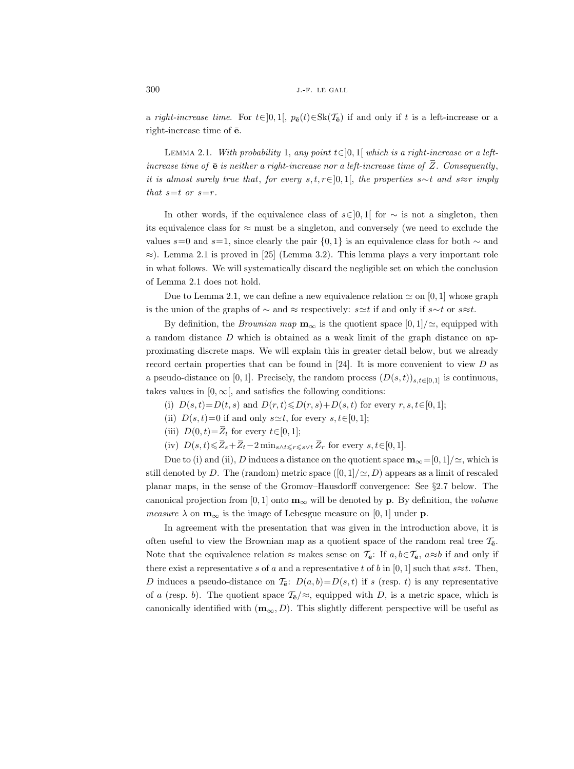a right-increase time. For  $t \in ]0,1[$ ,  $p_{\mathbf{\bar{e}}}(t) \in Sk(\mathcal{T}_{\mathbf{\bar{e}}})$  if and only if t is a left-increase or a right-increase time of  $\bar{e}$ .

LEMMA 2.1. With probability 1, any point  $t \in ]0,1[$  which is a right-increase or a leftincrease time of  $\bar{e}$  is neither a right-increase nor a left-increase time of  $\bar{Z}$ . Consequently, it is almost surely true that, for every s, t, r∈[0, 1[, the properties s∼t and s≈r imply that  $s=t$  or  $s=r$ .

In other words, if the equivalence class of  $s \in ]0,1[$  for  $\sim$  is not a singleton, then its equivalence class for  $\approx$  must be a singleton, and conversely (we need to exclude the values s=0 and s=1, since clearly the pair  $\{0, 1\}$  is an equivalence class for both  $\sim$  and  $\approx$ ). Lemma 2.1 is proved in [25] (Lemma 3.2). This lemma plays a very important role in what follows. We will systematically discard the negligible set on which the conclusion of Lemma 2.1 does not hold.

Due to Lemma 2.1, we can define a new equivalence relation  $\simeq$  on [0, 1] whose graph is the union of the graphs of  $\sim$  and  $\approx$  respectively: s≃t if and only if s∼t or s≈t.

By definition, the *Brownian map*  $\mathbf{m}_{\infty}$  is the quotient space  $[0, 1]/\simeq$ , equipped with a random distance D which is obtained as a weak limit of the graph distance on approximating discrete maps. We will explain this in greater detail below, but we already record certain properties that can be found in [24]. It is more convenient to view  $D$  as a pseudo-distance on [0, 1]. Precisely, the random process  $(D(s,t))_{s,t\in[0,1]}$  is continuous, takes values in  $[0, \infty)$ , and satisfies the following conditions:

- (i)  $D(s, t) = D(t, s)$  and  $D(r, t) \leq D(r, s) + D(s, t)$  for every  $r, s, t \in [0, 1]$ ;
- (ii)  $D(s,t)=0$  if and only  $s\simeq t$ , for every  $s, t\in [0,1]$ ;
- (iii)  $D(0, t) = \overline{Z}_t$  for every  $t \in [0, 1]$ ;
- (iv)  $D(s,t) \leq \overline{Z}_s + \overline{Z}_t 2 \min_{s \wedge t \leq r \leq s \vee t} \overline{Z}_r$  for every  $s, t \in [0, 1].$

Due to (i) and (ii), D induces a distance on the quotient space  $\mathbf{m}_{\infty}=[0,1]/\simeq$ , which is still denoted by D. The (random) metric space  $([0, 1]/\simeq, D)$  appears as a limit of rescaled planar maps, in the sense of the Gromov–Hausdorff convergence: See §2.7 below. The canonical projection from [0, 1] onto  $\mathbf{m}_{\infty}$  will be denoted by **p**. By definition, the *volume* measure  $\lambda$  on  $\mathbf{m}_{\infty}$  is the image of Lebesgue measure on [0, 1] under **p**.

In agreement with the presentation that was given in the introduction above, it is often useful to view the Brownian map as a quotient space of the random real tree  $\mathcal{T}_{e}$ . Note that the equivalence relation  $\approx$  makes sense on  $\mathcal{T}_{\mathbf{e}}$ : If  $a, b \in \mathcal{T}_{\mathbf{e}}$ ,  $a \approx b$  if and only if there exist a representative s of a and a representative t of b in [0, 1] such that  $s \approx t$ . Then, D induces a pseudo-distance on  $\mathcal{T}_{\mathbf{\bar{e}}}\colon D(a, b) = D(s, t)$  if s (resp. t) is any representative of a (resp. b). The quotient space  $\mathcal{T}_{\bar{e}}/\approx$ , equipped with D, is a metric space, which is canonically identified with  $(m_\infty, D)$ . This slightly different perspective will be useful as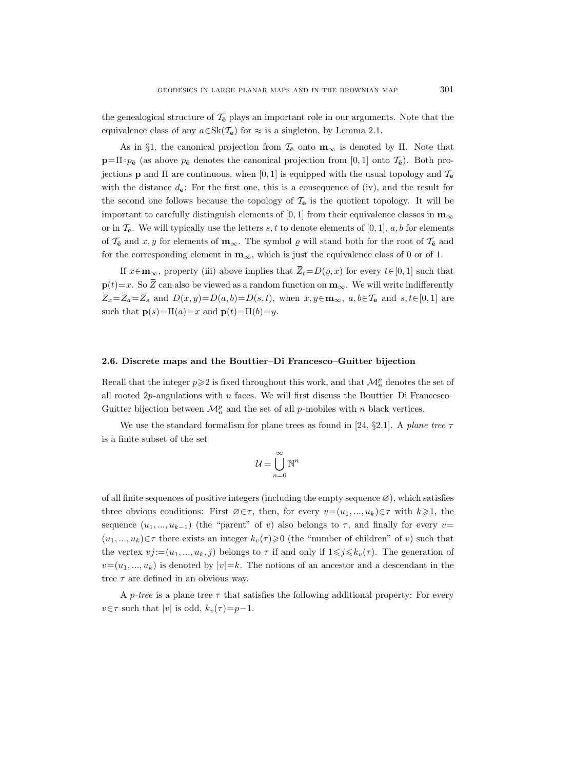the genealogical structure of  $\mathcal{T}_{\bar{e}}$  plays an important role in our arguments. Note that the equivalence class of any  $a \in Sk(\mathcal{T}_{\bar{e}})$  for  $\approx$  is a singleton, by Lemma 2.1.

As in §1, the canonical projection from  $\mathcal{T}_{\mathbf{\bar{e}}}$  onto  $\mathbf{m}_{\infty}$  is denoted by  $\Pi$ . Note that  $\mathbf{p}=\Pi\circ p_{\mathbf{\bar{e}}}$  (as above  $p_{\mathbf{\bar{e}}}$  denotes the canonical projection from [0, 1] onto  $\mathcal{T}_{\mathbf{\bar{e}}})$ . Both projections **p** and  $\Pi$  are continuous, when [0, 1] is equipped with the usual topology and  $\mathcal{T}_{\mathbf{e}}$ with the distance  $d_{\mathbf{\bar{e}}}$ : For the first one, this is a consequence of (iv), and the result for the second one follows because the topology of  $\mathcal{T}_6$  is the quotient topology. It will be important to carefully distinguish elements of [0, 1] from their equivalence classes in  $\mathbf{m}_{\infty}$ or in  $\mathcal{T}_{\mathbf{e}}$ . We will typically use the letters s, t to denote elements of [0, 1], a, b for elements of  $\mathcal{T}_{\bar{e}}$  and  $x, y$  for elements of  $\mathbf{m}_{\infty}$ . The symbol  $\varrho$  will stand both for the root of  $\mathcal{T}_{\bar{e}}$  and for the corresponding element in  $m_{\infty}$ , which is just the equivalence class of 0 or of 1.

If  $x \in \mathbf{m}_{\infty}$ , property (iii) above implies that  $\overline{Z}_t = D(\rho, x)$  for every  $t \in [0, 1]$  such that  $\mathbf{p}(t)=x$ . So  $\overline{Z}$  can also be viewed as a random function on  $\mathbf{m}_{\infty}$ . We will write indifferently  $\overline{Z}_x=\overline{Z}_a=\overline{Z}_s$  and  $D(x, y)=D(a, b)=D(s, t)$ , when  $x, y \in \mathbf{m}_{\infty}$ ,  $a, b \in \mathcal{T}_{\mathbf{e}}$  and  $s, t \in [0, 1]$  are such that  $\mathbf{p}(s) = \Pi(a) = x$  and  $\mathbf{p}(t) = \Pi(b) = y$ .

## 2.6. Discrete maps and the Bouttier–Di Francesco–Guitter bijection

Recall that the integer  $p\geqslant 2$  is fixed throughout this work, and that  $\mathcal{M}_n^p$  denotes the set of all rooted  $2p$ -angulations with n faces. We will first discuss the Bouttier–Di Francesco– Guitter bijection between  $\mathcal{M}_n^p$  and the set of all p-mobiles with n black vertices.

We use the standard formalism for plane trees as found in [24, §2.1]. A plane tree  $\tau$ is a finite subset of the set

$$
\mathcal{U} = \bigcup_{n=0}^{\infty} \mathbb{N}^n
$$

of all finite sequences of positive integers (including the empty sequence  $\varnothing$ ), which satisfies three obvious conditions: First  $\varnothing \in \tau$ , then, for every  $v=(u_1, ..., u_k)\in \tau$  with  $k\geqslant 1$ , the sequence  $(u_1, ..., u_{k-1})$  (the "parent" of v) also belongs to  $\tau$ , and finally for every v=  $(u_1, ..., u_k) \in \tau$  there exists an integer  $k_v(\tau) \geq 0$  (the "number of children" of v) such that the vertex  $vj := (u_1, ..., u_k, j)$  belongs to  $\tau$  if and only if  $1 \leq j \leq k_v(\tau)$ . The generation of  $v=(u_1,..., u_k)$  is denoted by  $|v|=k$ . The notions of an ancestor and a descendant in the tree  $\tau$  are defined in an obvious way.

A p-tree is a plane tree  $\tau$  that satisfies the following additional property: For every  $v \in \tau$  such that |v| is odd,  $k_v(\tau) = p-1$ .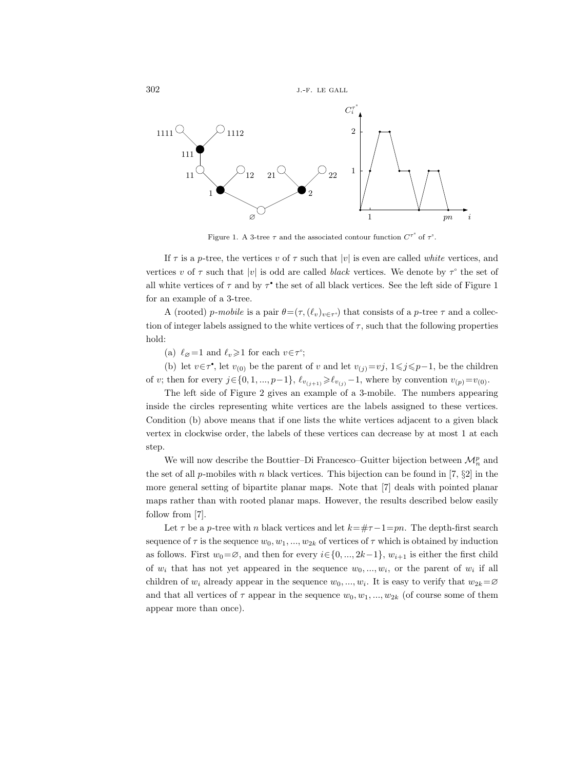

Figure 1. A 3-tree  $\tau$  and the associated contour function  $C^{\tau^{\circ}}$  of  $\tau^{\circ}$ .

If  $\tau$  is a p-tree, the vertices v of  $\tau$  such that |v| is even are called white vertices, and vertices v of  $\tau$  such that |v| is odd are called black vertices. We denote by  $\tau^{\circ}$  the set of all white vertices of  $\tau$  and by  $\tau^*$  the set of all black vertices. See the left side of Figure 1 for an example of a 3-tree.

A (rooted) p-mobile is a pair  $\theta = (\tau, (\ell_v)_{v \in \tau})$  that consists of a p-tree  $\tau$  and a collection of integer labels assigned to the white vertices of  $\tau$ , such that the following properties hold:

(a)  $\ell_{\varnothing} = 1$  and  $\ell_v \geq 1$  for each  $v \in \tau^{\circ}$ ;

(b) let  $v \in \tau^*$ , let  $v_{(0)}$  be the parent of v and let  $v_{(j)}=vj$ ,  $1 \leq j \leq p-1$ , be the children of v; then for every  $j \in \{0, 1, ..., p-1\}$ ,  $\ell_{v_{(j+1)}} \geq \ell_{v_{(j)}}-1$ , where by convention  $v_{(p)}=v_{(0)}$ .

The left side of Figure 2 gives an example of a 3-mobile. The numbers appearing inside the circles representing white vertices are the labels assigned to these vertices. Condition (b) above means that if one lists the white vertices adjacent to a given black vertex in clockwise order, the labels of these vertices can decrease by at most 1 at each step.

We will now describe the Bouttier–Di Francesco–Guitter bijection between  $\mathcal{M}^p_n$  and the set of all p-mobiles with n black vertices. This bijection can be found in [7,  $\S2$ ] in the more general setting of bipartite planar maps. Note that [7] deals with pointed planar maps rather than with rooted planar maps. However, the results described below easily follow from [7].

Let  $\tau$  be a p-tree with n black vertices and let  $k=\#\tau-1=pn$ . The depth-first search sequence of  $\tau$  is the sequence  $w_0, w_1, ..., w_{2k}$  of vertices of  $\tau$  which is obtained by induction as follows. First  $w_0 = \emptyset$ , and then for every  $i \in \{0, ..., 2k-1\}$ ,  $w_{i+1}$  is either the first child of  $w_i$  that has not yet appeared in the sequence  $w_0, ..., w_i$ , or the parent of  $w_i$  if all children of  $w_i$  already appear in the sequence  $w_0, ..., w_i$ . It is easy to verify that  $w_{2k} = \emptyset$ and that all vertices of  $\tau$  appear in the sequence  $w_0, w_1, ..., w_{2k}$  (of course some of them appear more than once).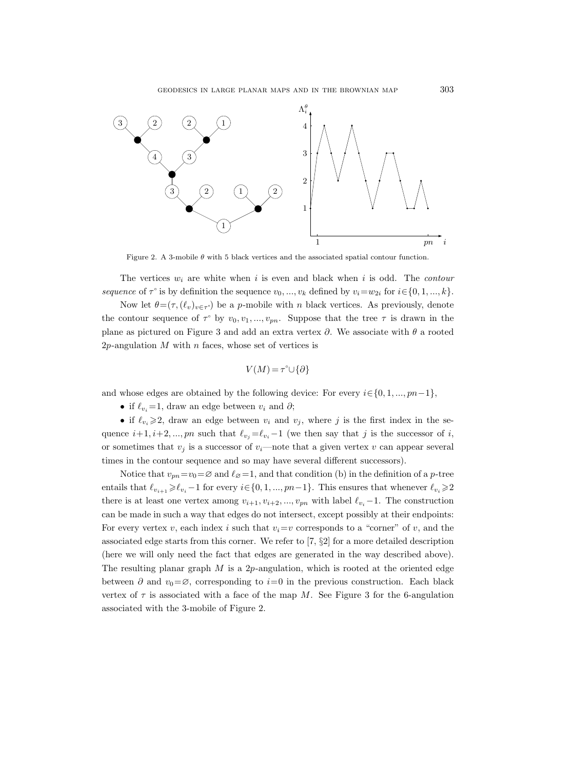

Figure 2. A 3-mobile  $\theta$  with 5 black vertices and the associated spatial contour function.

The vertices  $w_i$  are white when i is even and black when i is odd. The *contour* sequence of  $\tau^{\circ}$  is by definition the sequence  $v_0, ..., v_k$  defined by  $v_i = w_{2i}$  for  $i \in \{0, 1, ..., k\}$ . Now let  $\theta = (\tau, (\ell_v)_{v \in \tau})$  be a p-mobile with n black vertices. As previously, denote the contour sequence of  $\tau^{\circ}$  by  $v_0, v_1, ..., v_{pn}$ . Suppose that the tree  $\tau$  is drawn in the plane as pictured on Figure 3 and add an extra vertex  $\partial$ . We associate with  $\theta$  a rooted  $2p$ -angulation M with n faces, whose set of vertices is

$$
V(M) = \tau^{\circ} \cup \{\partial\}
$$

and whose edges are obtained by the following device: For every  $i \in \{0, 1, ..., pn-1\}$ ,

• if  $\ell_{v_i}=1$ , draw an edge between  $v_i$  and  $\partial$ ;

• if  $\ell_{v_i}\geq 2$ , draw an edge between  $v_i$  and  $v_j$ , where j is the first index in the sequence  $i+1, i+2, ..., pn$  such that  $\ell_{v_j} = \ell_{v_i}-1$  (we then say that j is the successor of i, or sometimes that  $v_i$  is a successor of  $v_i$ —note that a given vertex v can appear several times in the contour sequence and so may have several different successors).

Notice that  $v_{pn} = v_0 = \emptyset$  and  $\ell_{\emptyset} = 1$ , and that condition (b) in the definition of a p-tree entails that  $\ell_{v_{i+1}}\geq \ell_{v_i}-1$  for every  $i\in\{0, 1, ..., pn-1\}$ . This ensures that whenever  $\ell_{v_i}\geq 2$ there is at least one vertex among  $v_{i+1}, v_{i+2}, ..., v_{pn}$  with label  $\ell_{v_i}-1$ . The construction can be made in such a way that edges do not intersect, except possibly at their endpoints: For every vertex v, each index i such that  $v_i=v$  corresponds to a "corner" of v, and the associated edge starts from this corner. We refer to  $[7, \S2]$  for a more detailed description (here we will only need the fact that edges are generated in the way described above). The resulting planar graph  $M$  is a 2p-angulation, which is rooted at the oriented edge between  $\partial$  and  $v_0 = \emptyset$ , corresponding to  $i=0$  in the previous construction. Each black vertex of  $\tau$  is associated with a face of the map M. See Figure 3 for the 6-angulation associated with the 3-mobile of Figure 2.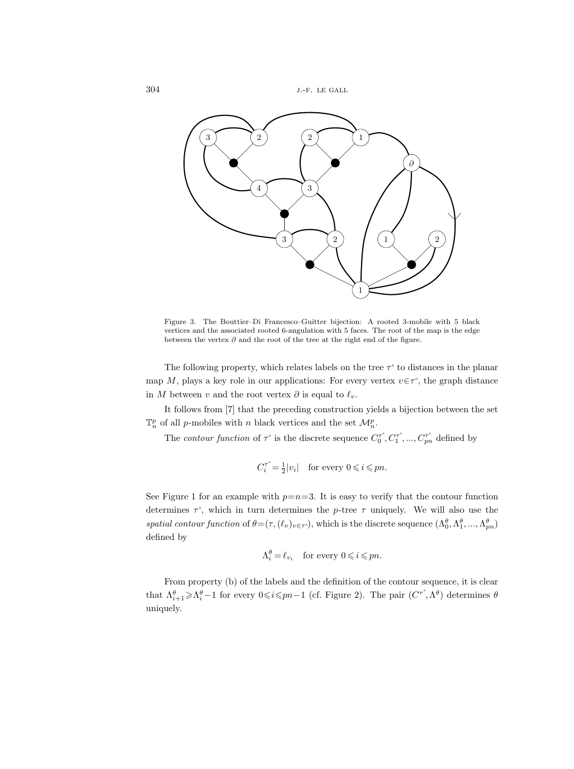

Figure 3. The Bouttier–Di Francesco–Guitter bijection: A rooted 3-mobile with 5 black vertices and the associated rooted 6-angulation with 5 faces. The root of the map is the edge between the vertex  $\partial$  and the root of the tree at the right end of the figure.

The following property, which relates labels on the tree  $\tau^{\circ}$  to distances in the planar map M, plays a key role in our applications: For every vertex  $v \in \tau^{\circ}$ , the graph distance in M between v and the root vertex  $\partial$  is equal to  $\ell_v$ .

It follows from [7] that the preceding construction yields a bijection between the set  $\mathbb{T}_n^p$  of all *p*-mobiles with *n* black vertices and the set  $\mathcal{M}_n^p$ .

The *contour function* of  $\tau^{\circ}$  is the discrete sequence  $C_0^{\tau^{\circ}}, C_1^{\tau^{\circ}}, ..., C_{pn}^{\tau^{\circ}}$  defined by

$$
C_i^{\tau^\circ} \! = \! \tfrac{1}{2} |v_i| \quad \text{for every } 0 \! \leqslant \! i \! \leqslant \! pn.
$$

See Figure 1 for an example with  $p=n=3$ . It is easy to verify that the contour function determines  $\tau^{\circ}$ , which in turn determines the p-tree  $\tau$  uniquely. We will also use the spatial contour function of  $\theta = (\tau, (\ell_v)_{v \in \tau^c})$ , which is the discrete sequence  $(\Lambda_0^{\theta}, \Lambda_1^{\theta}, ..., \Lambda_{pn}^{\theta})$ defined by

$$
\Lambda_i^{\theta} = \ell_{v_i} \quad \text{for every } 0 \leqslant i \leqslant pn.
$$

From property (b) of the labels and the definition of the contour sequence, it is clear that  $\Lambda_{i+1}^{\theta} \geq \Lambda_i^{\theta} - 1$  for every  $0 \leq i \leq pn - 1$  (cf. Figure 2). The pair  $(C^{\tau}, \Lambda^{\theta})$  determines  $\theta$ uniquely.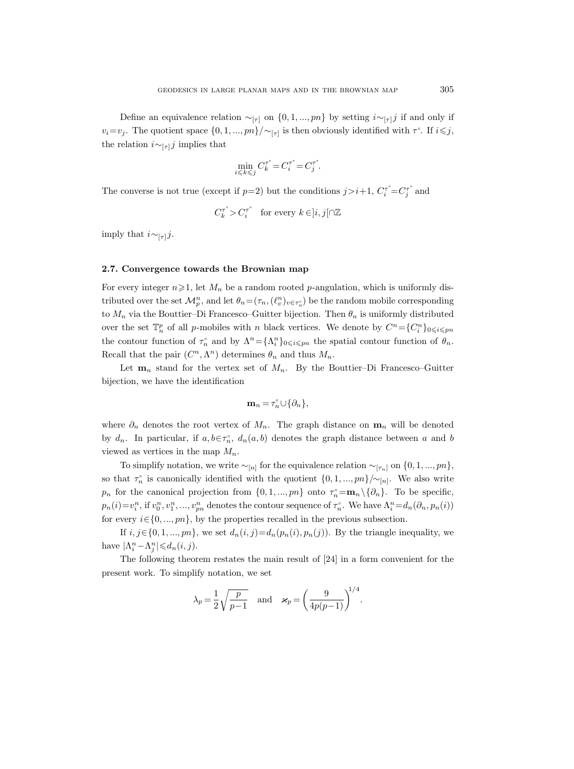Define an equivalence relation  $\sim_{[\tau]}$  on  $\{0, 1, ..., pn\}$  by setting  $i \sim_{[\tau]} j$  if and only if  $v_i = v_j$ . The quotient space  $\{0, 1, ..., pn\}/\sim_{[\tau]}$  is then obviously identified with  $\tau^{\circ}$ . If  $i \leq j$ , the relation  $i \sim_{\lceil \tau \rceil} j$  implies that

$$
\min_{i\leqslant k\leqslant j}C^{\tau^{\circ}}_k\!=\!C^{\tau^{\circ}}_i\!=\!C^{\tau^{\circ}}_j.
$$

The converse is not true (except if  $p=2$ ) but the conditions  $j>i+1$ ,  $C_i^T = C_j^T$  and

$$
C^{\tau^\circ}_k\!>\!C^{\tau^\circ}_i\quad\text{for every }k\!\in\!]i,j[\![\cap\mathbb{Z}
$$

imply that  $i \sim_{[\tau]} j$ .

## 2.7. Convergence towards the Brownian map

For every integer  $n\geqslant 1$ , let  $M_n$  be a random rooted p-angulation, which is uniformly distributed over the set  $\mathcal{M}_p^n$ , and let  $\theta_n = (\tau_n, (\ell_v^n)_{v \in \tau_n^{\circ}})$  be the random mobile corresponding to  $M_n$  via the Bouttier–Di Francesco–Guitter bijection. Then  $\theta_n$  is uniformly distributed over the set  $\mathbb{T}_n^p$  of all p-mobiles with n black vertices. We denote by  $C^n = \{C_i^n\}_{0 \leq i \leq p_n}$ the contour function of  $\tau_n^{\circ}$  and by  $\Lambda^n = {\Lambda^n_i}_{0 \leq i \leq pn}$  the spatial contour function of  $\theta_n$ . Recall that the pair  $(C^n, \Lambda^n)$  determines  $\theta_n$  and thus  $M_n$ .

Let  $m_n$  stand for the vertex set of  $M_n$ . By the Bouttier-Di Francesco-Guitter bijection, we have the identification

$$
\mathbf{m}_n = \tau_n^{\circ} \cup \{\partial_n\},\
$$

where  $\partial_n$  denotes the root vertex of  $M_n$ . The graph distance on  $\mathbf{m}_n$  will be denoted by  $d_n$ . In particular, if  $a, b \in \tau_n^{\circ}$ ,  $d_n(a, b)$  denotes the graph distance between a and b viewed as vertices in the map  $M_n$ .

To simplify notation, we write  $\sim_{[n]}$  for the equivalence relation  $\sim_{[\tau_n]}$  on  $\{0, 1, ..., pn\}$ , so that  $\tau_n^{\circ}$  is canonically identified with the quotient  $\{0, 1, ..., pn\}/\sim_{[n]}$ . We also write  $p_n$  for the canonical projection from  $\{0, 1, ..., pn\}$  onto  $\tau_n = \mathbf{m}_n \setminus {\partial_n}$ . To be specific,  $p_n(i) = v_i^n$ , if  $v_0^n, v_1^n, ..., v_{pn}^n$  denotes the contour sequence of  $\tau_n$ . We have  $\Lambda_i^n = d_n(\partial_n, p_n(i))$ for every  $i \in \{0, ..., pn\}$ , by the properties recalled in the previous subsection.

If  $i, j \in \{0, 1, ..., pn\}$ , we set  $d_n(i, j) = d_n(p_n(i), p_n(j))$ . By the triangle inequality, we have  $|\Lambda_i^n - \Lambda_j^n| \leq d_n(i, j)$ .

The following theorem restates the main result of [24] in a form convenient for the present work. To simplify notation, we set

$$
\lambda_p = \frac{1}{2} \sqrt{\frac{p}{p-1}}
$$
 and  $\varkappa_p = \left(\frac{9}{4p(p-1)}\right)^{1/4}$ .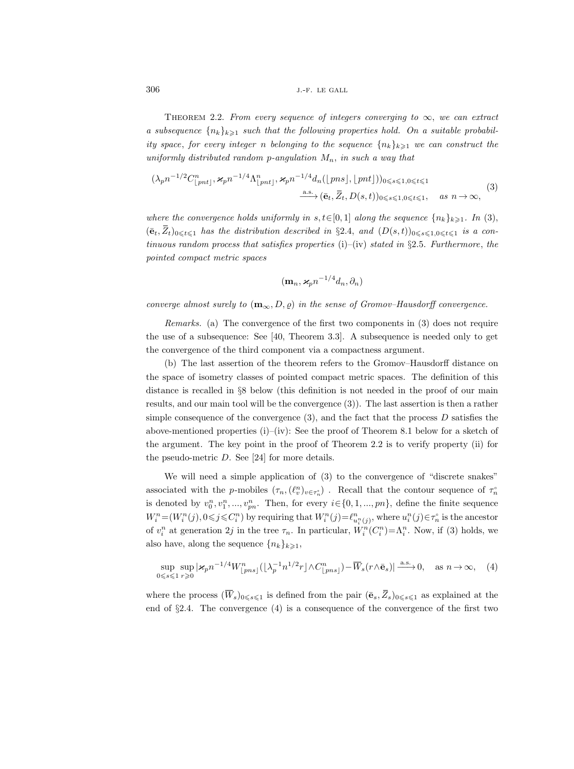THEOREM 2.2. From every sequence of integers converging to  $\infty$ , we can extract a subsequence  $\{n_k\}_{k\geq 1}$  such that the following properties hold. On a suitable probability space, for every integer n belonging to the sequence  $\{n_k\}_{k\geq 1}$  we can construct the uniformly distributed random p-angulation  $M_n$ , in such a way that

$$
(\lambda_p n^{-1/2} C_{\lfloor pnt \rfloor}^n, \varkappa_p n^{-1/4} \Lambda_{\lfloor pnt \rfloor}^n, \varkappa_p n^{-1/4} d_n(\lfloor pns \rfloor, \lfloor pnt \rfloor))_{0 \le s \le 1, 0 \le t \le 1}
$$
  

$$
\xrightarrow{\text{a.s.}} (\bar{e}_t, \bar{Z}_t, D(s, t))_{0 \le s \le 1, 0 \le t \le 1}, \quad \text{as } n \to \infty,
$$

$$
(3)
$$

where the convergence holds uniformly in  $s, t \in [0, 1]$  along the sequence  $\{n_k\}_{k \geq 1}$ . In (3),  $(\bar{\mathbf{e}}_t, \bar{Z}_t)_{0\leq t\leq 1}$  has the distribution described in §2.4, and  $(D(s,t))_{0\leq s\leq 1,0\leq t\leq 1}$  is a continuous random process that satisfies properties  $(i)$ – $(iv)$  stated in §2.5. Furthermore, the pointed compact metric spaces

$$
(\mathbf{m}_n, \varkappa_p n^{-1/4} d_n, \partial_n)
$$

converge almost surely to  $(m_{\infty}, D, \rho)$  in the sense of Gromov–Hausdorff convergence.

Remarks. (a) The convergence of the first two components in (3) does not require the use of a subsequence: See [40, Theorem 3.3]. A subsequence is needed only to get the convergence of the third component via a compactness argument.

(b) The last assertion of the theorem refers to the Gromov–Hausdorff distance on the space of isometry classes of pointed compact metric spaces. The definition of this distance is recalled in §8 below (this definition is not needed in the proof of our main results, and our main tool will be the convergence (3)). The last assertion is then a rather simple consequence of the convergence  $(3)$ , and the fact that the process D satisfies the above-mentioned properties  $(i)-(iv)$ : See the proof of Theorem 8.1 below for a sketch of the argument. The key point in the proof of Theorem 2.2 is to verify property (ii) for the pseudo-metric D. See [24] for more details.

We will need a simple application of (3) to the convergence of "discrete snakes" associated with the p-mobiles  $(\tau_n, (\ell_v^n)_{v \in \tau_n^{\circ}})$ . Recall that the contour sequence of  $\tau_n^{\circ}$ is denoted by  $v_0^n, v_1^n, ..., v_{pn}^n$ . Then, for every  $i \in \{0, 1, ..., pn\}$ , define the finite sequence  $W_i^n = (W_i^n(j), 0 \leq j \leq C_i^n)$  by requiring that  $W_i^n(j) = \ell_{u_i^n(j)}^n$ , where  $u_i^n(j) \in \tau_n^{\circ}$  is the ancestor of  $v_i^n$  at generation 2j in the tree  $\tau_n$ . In particular,  $W_i^n(C_i^n) = \Lambda_i^n$ . Now, if (3) holds, we also have, along the sequence  $\{n_k\}_{k\geqslant1}$ ,

$$
\sup_{0 \le s \le 1} \sup_{r \ge 0} |\varkappa_p n^{-1/4} W_{\lfloor pns \rfloor}^n (\lfloor \lambda_p^{-1} n^{1/2} r \rfloor \wedge C_{\lfloor pns \rfloor}^n) - \overline{W}_s(r \wedge \bar{e}_s)| \xrightarrow{\text{a.s.}} 0, \quad \text{as } n \to \infty,
$$
 (4)

where the process  $(\overline{W}_s)_{0\leq s\leq 1}$  is defined from the pair  $(\overline{e}_s, \overline{Z}_s)_{0\leq s\leq 1}$  as explained at the end of §2.4. The convergence (4) is a consequence of the convergence of the first two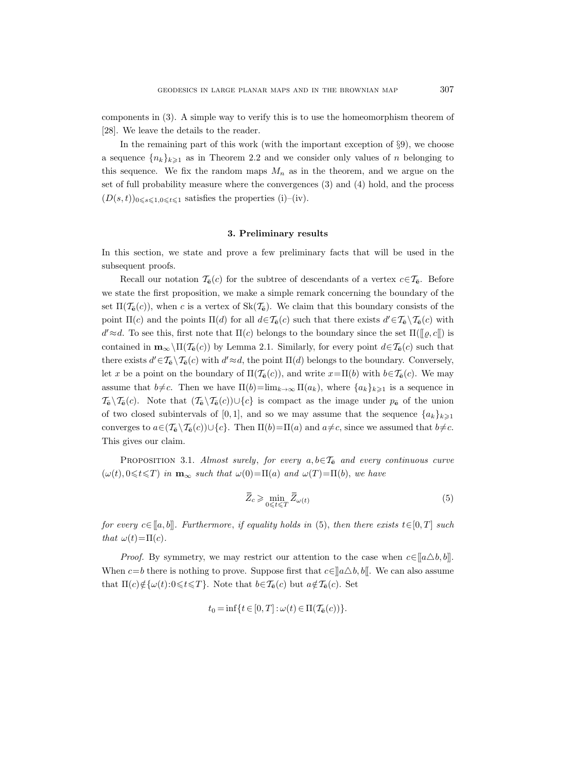components in (3). A simple way to verify this is to use the homeomorphism theorem of [28]. We leave the details to the reader.

In the remaining part of this work (with the important exception of  $\S 9$ ), we choose a sequence  ${n_k}_{k\geq 1}$  as in Theorem 2.2 and we consider only values of n belonging to this sequence. We fix the random maps  $M_n$  as in the theorem, and we argue on the set of full probability measure where the convergences (3) and (4) hold, and the process  $(D(s,t))_{0\leq s\leq 1,0\leq t\leq 1}$  satisfies the properties (i)–(iv).

### 3. Preliminary results

In this section, we state and prove a few preliminary facts that will be used in the subsequent proofs.

Recall our notation  $\mathcal{T}_{\mathbf{\bar{e}}}(c)$  for the subtree of descendants of a vertex  $c \in \mathcal{T}_{\mathbf{\bar{e}}}$ . Before we state the first proposition, we make a simple remark concerning the boundary of the set  $\Pi(\mathcal{T}_{\mathbf{\bar{e}}}(c))$ , when c is a vertex of  $\text{Sk}(\mathcal{T}_{\mathbf{\bar{e}}})$ . We claim that this boundary consists of the point  $\Pi(c)$  and the points  $\Pi(d)$  for all  $d \in \mathcal{T}_{\bar{\mathbf{e}}}(c)$  such that there exists  $d' \in \mathcal{T}_{\bar{\mathbf{e}}}\setminus \mathcal{T}_{\bar{\mathbf{e}}}(c)$  with  $d' \approx d$ . To see this, first note that  $\Pi(c)$  belongs to the boundary since the set  $\Pi([\![\varrho, c[\![])]$  is contained in  $\mathbf{m}_{\infty} \setminus \Pi(\mathcal{T}_{\bar{\mathbf{e}}}(c))$  by Lemma 2.1. Similarly, for every point  $d \in \mathcal{T}_{\bar{\mathbf{e}}}(c)$  such that there exists  $d' \in \mathcal{T}_{\bar{e}} \setminus \mathcal{T}_{\bar{e}}(c)$  with  $d' \approx d$ , the point  $\Pi(d)$  belongs to the boundary. Conversely, let x be a point on the boundary of  $\Pi(\mathcal{T}_{\mathbf{\bar{e}}}(c))$ , and write  $x=\Pi(b)$  with  $b\in\mathcal{T}_{\mathbf{\bar{e}}}(c)$ . We may assume that  $b \neq c$ . Then we have  $\Pi(b) = \lim_{k \to \infty} \Pi(a_k)$ , where  $\{a_k\}_{k \geq 1}$  is a sequence in  $\mathcal{T}_{\bar{\mathbf{e}}}\setminus \mathcal{T}_{\bar{\mathbf{e}}}(c)$ . Note that  $(\mathcal{T}_{\bar{\mathbf{e}}}\setminus \mathcal{T}_{\bar{\mathbf{e}}}(c))\cup \{c\}$  is compact as the image under  $p_{\bar{\mathbf{e}}}$  of the union of two closed subintervals of [0,1], and so we may assume that the sequence  $\{a_k\}_{k\geq 1}$ converges to  $a \in (\mathcal{T}_{\mathbf{e}} \setminus \mathcal{T}_{\mathbf{e}}(c)) \cup \{c\}$ . Then  $\Pi(b)=\Pi(a)$  and  $a\neq c$ , since we assumed that  $b\neq c$ . This gives our claim.

PROPOSITION 3.1. Almost surely, for every  $a, b \in \mathcal{T}_{\bar{e}}$  and every continuous curve  $(\omega(t), 0 \leq t \leq T)$  in  $\mathbf{m}_{\infty}$  such that  $\omega(0) = \Pi(a)$  and  $\omega(T) = \Pi(b)$ , we have

$$
\bar{Z}_c \geqslant \min_{0 \leqslant t \leqslant T} \bar{Z}_{\omega(t)} \tag{5}
$$

for every  $c \in [a, b]$ . Furthermore, if equality holds in (5), then there exists  $t \in [0, T]$  such that  $\omega(t) = \Pi(c)$ .

*Proof.* By symmetry, we may restrict our attention to the case when  $c \in [a \triangle b, b]$ . When  $c=b$  there is nothing to prove. Suppose first that  $c\in [a\triangle b, b]$ . We can also assume that  $\Pi(c)\notin {\{\omega(t):0\leqslant t\leqslant T\}}$ . Note that  $b\in\mathcal{T}_{\bar{e}}(c)$  but  $a\notin\mathcal{T}_{\bar{e}}(c)$ . Set

$$
t_0 = \inf\{t \in [0, T] : \omega(t) \in \Pi(\mathcal{T}_{\bar{e}}(c))\}.
$$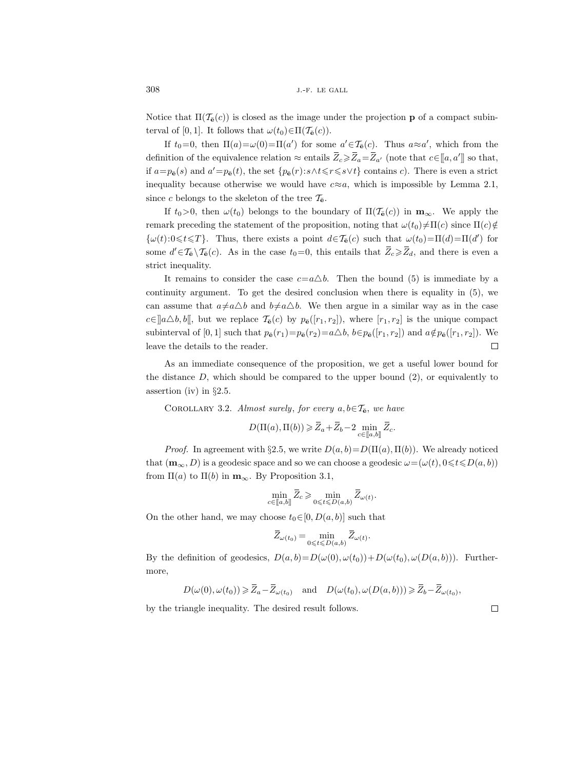Notice that  $\Pi(\mathcal{T}_{\mathbf{\bar{e}}}(c))$  is closed as the image under the projection **p** of a compact subinterval of [0, 1]. It follows that  $\omega(t_0) \in \Pi(\mathcal{T}_{\bar{e}}(c))$ .

If  $t_0=0$ , then  $\Pi(a)=\omega(0)=\Pi(a')$  for some  $a'\in\mathcal{T}_{\bar{e}}(c)$ . Thus  $a\approx a'$ , which from the definition of the equivalence relation  $\approx$  entails  $\bar{Z}_c \geq \bar{Z}_a = \bar{Z}_{a'}$  (note that  $c \in [a, a']$ ) so that, if  $a=p_{\bar{\mathbf{e}}}(s)$  and  $a'=p_{\bar{\mathbf{e}}}(t)$ , the set  $\{p_{\bar{\mathbf{e}}}(r):s\wedge t\leqslant r\leqslant s\vee t\}$  contains c). There is even a strict inequality because otherwise we would have  $c \approx a$ , which is impossible by Lemma 2.1, since c belongs to the skeleton of the tree  $\mathcal{T}_{\mathbf{e}}$ .

If  $t_0>0$ , then  $\omega(t_0)$  belongs to the boundary of  $\Pi(\mathcal{T}_{\bar{e}}(c))$  in  $\mathbf{m}_{\infty}$ . We apply the remark preceding the statement of the proposition, noting that  $\omega(t_0)\neq \Pi(c)$  since  $\Pi(c)\notin$  ${\omega(t):0\leq t\leq T}.$  Thus, there exists a point  $d\in\mathcal{T}_{\bar{e}}(c)$  such that  $\omega(t_0)=\Pi(d)=\Pi(d')$  for some  $d' \in \mathcal{T}_{\bar{e}} \setminus \mathcal{T}_{\bar{e}}(c)$ . As in the case  $t_0 = 0$ , this entails that  $\bar{Z}_c \geq \bar{Z}_d$ , and there is even a strict inequality.

It remains to consider the case  $c=a\Delta b$ . Then the bound (5) is immediate by a continuity argument. To get the desired conclusion when there is equality in (5), we can assume that  $a \neq a\Delta b$  and  $b \neq a\Delta b$ . We then argue in a similar way as in the case  $c \in ||a \triangle b, b||$ , but we replace  $\mathcal{T}_{\bar{e}}(c)$  by  $p_{\bar{e}}([r_1, r_2])$ , where  $[r_1, r_2]$  is the unique compact subinterval of [0, 1] such that  $p_{\bar{\mathbf{e}}}(r_1)=p_{\bar{\mathbf{e}}}(r_2)=a\Delta b$ ,  $b \in p_{\bar{\mathbf{e}}}([r_1, r_2])$  and  $a \notin p_{\bar{\mathbf{e}}}([r_1, r_2])$ . We leave the details to the reader.  $\Box$ 

As an immediate consequence of the proposition, we get a useful lower bound for the distance  $D$ , which should be compared to the upper bound  $(2)$ , or equivalently to assertion (iv) in §2.5.

COROLLARY 3.2. Almost surely, for every  $a, b \in \mathcal{T}_{\bar{e}},$  we have

$$
D(\Pi(a), \Pi(b)) \ge \overline{Z}_a + \overline{Z}_b - 2 \min_{c \in [\![a, b]\!]}\overline{Z}_c.
$$

*Proof.* In agreement with §2.5, we write  $D(a, b) = D(\Pi(a), \Pi(b))$ . We already noticed that  $(\mathbf{m}_{\infty}, D)$  is a geodesic space and so we can choose a geodesic  $\omega = (\omega(t), 0 \leq t \leq D(a, b))$ from  $\Pi(a)$  to  $\Pi(b)$  in  $\mathbf{m}_{\infty}$ . By Proposition 3.1,

$$
\min_{c \in [\![a,b]\!]} \bar{Z}_c \geqslant \min_{0 \leqslant t \leqslant D(a,b)} \bar{Z}_{\omega(t)}.
$$

On the other hand, we may choose  $t_0 \in [0, D(a, b)]$  such that

$$
\bar{Z}_{\omega(t_0)} = \min_{0 \leqslant t \leqslant D(a,b)} \bar{Z}_{\omega(t)}.
$$

By the definition of geodesics,  $D(a, b) = D(\omega(0), \omega(t_0)) + D(\omega(t_0), \omega(D(a, b)))$ . Furthermore,

$$
D(\omega(0), \omega(t_0)) \ge \overline{Z}_a - \overline{Z}_{\omega(t_0)}
$$
 and  $D(\omega(t_0), \omega(D(a, b))) \ge \overline{Z}_b - \overline{Z}_{\omega(t_0)},$ 

by the triangle inequality. The desired result follows.

 $\Box$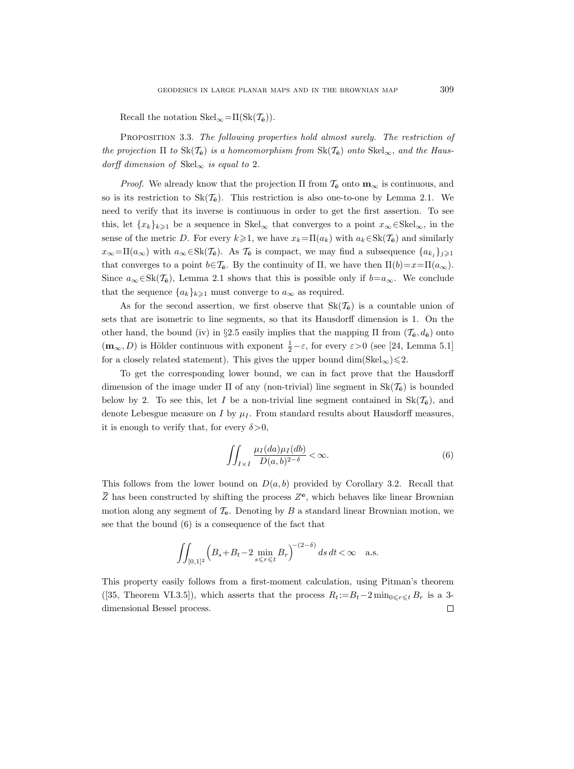Recall the notation  $Skel_{\infty}=\Pi(Sk(\mathcal{T}_{\overline{e}})).$ 

Proposition 3.3. The following properties hold almost surely. The restriction of the projection  $\Pi$  to  $\text{Sk}(\mathcal{T}_{\bar{e}})$  is a homeomorphism from  $\text{Sk}(\mathcal{T}_{\bar{e}})$  onto  $\text{Skel}_{\infty}$ , and the Hausdorff dimension of  $\text{Skel}_{\infty}$  is equal to 2.

*Proof.* We already know that the projection  $\Pi$  from  $\mathcal{T}_{\mathbf{\epsilon}}$  onto  $\mathbf{m}_{\infty}$  is continuous, and so is its restriction to  $Sk(\mathcal{T}_{\bar{e}})$ . This restriction is also one-to-one by Lemma 2.1. We need to verify that its inverse is continuous in order to get the first assertion. To see this, let  $\{x_k\}_{k\geq 1}$  be a sequence in Skel<sub>∞</sub> that converges to a point  $x_\infty \in \text{Skel}_\infty$ , in the sense of the metric D. For every  $k\geqslant1$ , we have  $x_k=\Pi(a_k)$  with  $a_k\in Sk(\mathcal{T}_{\mathbf{e}})$  and similarly  $x_{\infty}=\Pi(a_{\infty})$  with  $a_{\infty} \in \text{Sk}(\mathcal{T}_{\bar{e}})$ . As  $\mathcal{T}_{\bar{e}}$  is compact, we may find a subsequence  $\{a_{k_j}\}_{j\geqslant 1}$ that converges to a point  $b \in \mathcal{T}_{\mathbf{\bar{e}}}$ . By the continuity of  $\Pi$ , we have then  $\Pi(b)=x=\Pi(a_{\infty})$ . Since  $a_{\infty} \in Sk(\mathcal{T}_{\bar{e}})$ , Lemma 2.1 shows that this is possible only if  $b=a_{\infty}$ . We conclude that the sequence  $\{a_k\}_{k\geqslant 1}$  must converge to  $a_\infty$  as required.

As for the second assertion, we first observe that  $Sk(\mathcal{T}_{\mathbf{\bar{e}}})$  is a countable union of sets that are isometric to line segments, so that its Hausdorff dimension is 1. On the other hand, the bound (iv) in §2.5 easily implies that the mapping  $\Pi$  from  $(\mathcal{T}_{\mathbf{\bar{e}}}, d_{\mathbf{\bar{e}}})$  onto  $(\mathbf{m}_{\infty}, D)$  is Hölder continuous with exponent  $\frac{1}{2} - \varepsilon$ , for every  $\varepsilon > 0$  (see [24, Lemma 5.1] for a closely related statement). This gives the upper bound dim(Skel<sub>∞</sub>) $\leq 2$ .

To get the corresponding lower bound, we can in fact prove that the Hausdorff dimension of the image under  $\Pi$  of any (non-trivial) line segment in  $Sk(\mathcal{T}_{\bar{e}})$  is bounded below by 2. To see this, let I be a non-trivial line segment contained in  $Sk(\mathcal{T}_{\mathbf{e}})$ , and denote Lebesgue measure on I by  $\mu_I$ . From standard results about Hausdorff measures, it is enough to verify that, for every  $\delta > 0$ ,

$$
\iint_{I\times I} \frac{\mu_I(da)\mu_I(db)}{D(a,b)^{2-\delta}} < \infty.
$$
\n(6)

This follows from the lower bound on  $D(a, b)$  provided by Corollary 3.2. Recall that  $\overline{Z}$  has been constructed by shifting the process  $Z^{\mathbf{e}}$ , which behaves like linear Brownian motion along any segment of  $\mathcal{T}_{e}$ . Denoting by B a standard linear Brownian motion, we see that the bound (6) is a consequence of the fact that

$$
\iint_{[0,1]^2} \left( B_s + B_t - 2 \min_{s \le r \le t} B_r \right)^{-(2-\delta)} ds \, dt < \infty \quad \text{a.s.}
$$

This property easily follows from a first-moment calculation, using Pitman's theorem ([35, Theorem VI.3.5]), which asserts that the process  $R_t := B_t - 2 \min_{0 \leq r \leq t} B_r$  is a 3- $\Box$ dimensional Bessel process.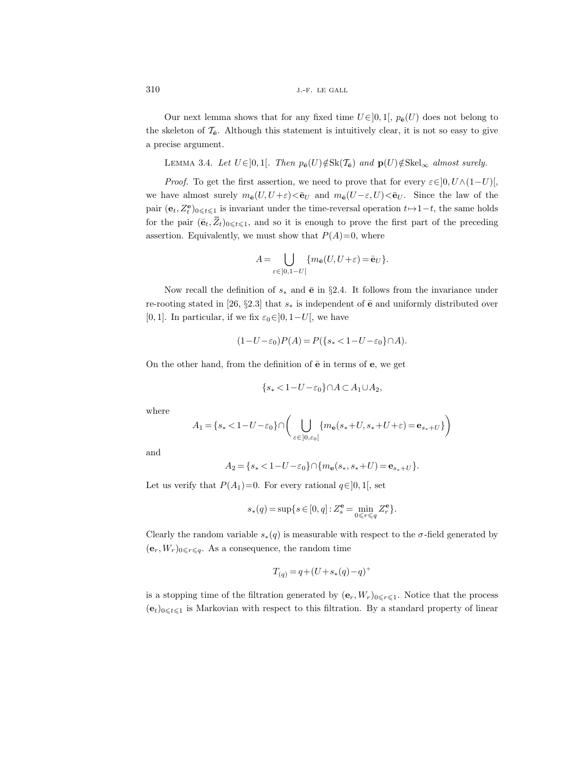Our next lemma shows that for any fixed time  $U \in ]0,1[$ ,  $p_{\bar{e}}(U)$  does not belong to the skeleton of  $\mathcal{T}_{\mathbf{\bar{e}}}$ . Although this statement is intuitively clear, it is not so easy to give a precise argument.

LEMMA 3.4. Let  $U \in ]0,1[$ . Then  $p_{\bar{e}}(U) \notin Sk(\mathcal{T}_{\bar{e}})$  and  $\mathbf{p}(U) \notin Skel_{\infty}$  almost surely.

*Proof.* To get the first assertion, we need to prove that for every  $\varepsilon \in ]0, U \wedge (1-U)[$ , we have almost surely  $m_{\bar{\mathbf{e}}}(U, U + \varepsilon) \leq \bar{\mathbf{e}}_U$  and  $m_{\bar{\mathbf{e}}}(U - \varepsilon, U) \leq \bar{\mathbf{e}}_U$ . Since the law of the pair  $(e_t, Z_t^e)_{0\leqslant t\leqslant 1}$  is invariant under the time-reversal operation  $t\mapsto 1-t$ , the same holds for the pair  $(\bar{\mathbf{e}}_t, \bar{Z}_t)_{0\leq t\leq 1}$ , and so it is enough to prove the first part of the preceding assertion. Equivalently, we must show that  $P(A)=0$ , where

$$
A = \bigcup_{\varepsilon \in ]0,1-U[} \{m_{\bar{\mathbf{e}}}(U, U + \varepsilon) = \bar{\mathbf{e}}_U\}.
$$

Now recall the definition of  $s_*$  and  $\bar{e}$  in §2.4. It follows from the invariance under re-rooting stated in [26, §2.3] that  $s_*$  is independent of  $\bar{e}$  and uniformly distributed over [0, 1]. In particular, if we fix  $\varepsilon_0 \in ]0, 1-U[$ , we have

$$
(1-U-\varepsilon_0)P(A) = P({s_* < 1-U-\varepsilon_0} \cap A).
$$

On the other hand, from the definition of  $\bar{e}$  in terms of  $e$ , we get

$$
\{s_*<1-U-\varepsilon_0\}\cap A\subset A_1\cup A_2,
$$

where

$$
A_1 = \{s_* < 1-U - \varepsilon_0\} \cap \bigg(\bigcup_{\varepsilon \in ]0, \varepsilon_0[} \{m_{\mathbf{e}}(s_* + U, s_* + U + \varepsilon) = \mathbf{e}_{s_* + U}\}\bigg)
$$

and

$$
A_2 = \{s_* < 1 - U - \varepsilon_0\} \cap \{m_\mathbf{e}(s_*, s_* + U) = \mathbf{e}_{s_* + U}\}.
$$

Let us verify that  $P(A_1)=0$ . For every rational  $q\in]0,1[$ , set

$$
s_*(q) = \sup\{s \in [0, q] : Z_s^{\mathbf{e}} = \min_{0 \leq r \leq q} Z_r^{\mathbf{e}}\}.
$$

Clearly the random variable  $s_*(q)$  is measurable with respect to the  $\sigma$ -field generated by  $(\mathbf{e}_r, W_r)_{0 \leq r \leq q}$ . As a consequence, the random time

$$
T_{(q)} = q + (U + s_*(q) - q)^+
$$

is a stopping time of the filtration generated by  $(\mathbf{e}_r, W_r)_{0 \leq r \leq 1}$ . Notice that the process  $(e_t)_{0\leqslant t\leqslant 1}$  is Markovian with respect to this filtration. By a standard property of linear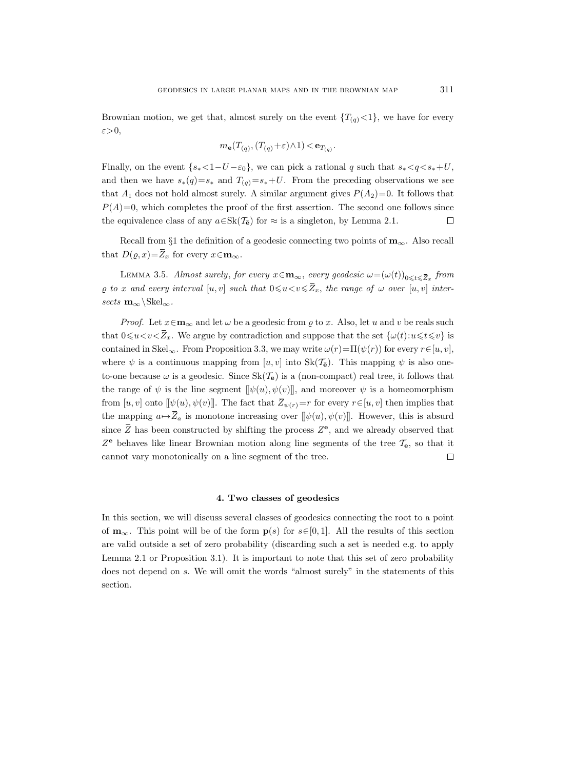Brownian motion, we get that, almost surely on the event  ${T_{(q)} < 1}$ , we have for every ε>0,

$$
m_{\mathbf{e}}(T_{(q)}, (T_{(q)}+\varepsilon)\wedge 1) < \mathbf{e}_{T_{(q)}}.
$$

Finally, on the event  $\{s_* < 1-U - \varepsilon_0\}$ , we can pick a rational q such that  $s_* < q < s_* + U$ , and then we have  $s_*(q)=s_*$  and  $T_{(q)}=s_*+U$ . From the preceding observations we see that  $A_1$  does not hold almost surely. A similar argument gives  $P(A_2)=0$ . It follows that  $P(A)=0$ , which completes the proof of the first assertion. The second one follows since the equivalence class of any  $a \in Sk(\mathcal{T}_{\overline{e}})$  for  $\approx$  is a singleton, by Lemma 2.1.  $\Box$ 

Recall from §1 the definition of a geodesic connecting two points of  $\mathbf{m}_{\infty}$ . Also recall that  $D(\varrho, x) = \overline{Z}_x$  for every  $x \in \mathbf{m}_{\infty}$ .

LEMMA 3.5. Almost surely, for every  $x \in \mathbf{m}_{\infty}$ , every geodesic  $\omega = (\omega(t))_{0 \leq t \leq \overline{Z}_x}$  from  $\varrho$  to x and every interval  $[u, v]$  such that  $0 \le u \le v \le \overline{Z}_x$ , the range of  $\omega$  over  $[u, v]$  intersects  $m_\infty\backslash \text{Skel}_\infty$ .

*Proof.* Let  $x \in \mathbf{m}_{\infty}$  and let  $\omega$  be a geodesic from  $\rho$  to x. Also, let u and v be reals such that  $0\leq u < v < \overline{Z}_x$ . We argue by contradiction and suppose that the set  $\{\omega(t):u\leq t\leq v\}$  is contained in Skel<sub>∞</sub>. From Proposition 3.3, we may write  $\omega(r) = \Pi(\psi(r))$  for every  $r \in [u, v]$ , where  $\psi$  is a continuous mapping from  $[u, v]$  into  $Sk(\mathcal{T}_{\mathbf{\bar{e}}})$ . This mapping  $\psi$  is also oneto-one because  $\omega$  is a geodesic. Since  $Sk(\mathcal{T}_{\bar{e}})$  is a (non-compact) real tree, it follows that the range of  $\psi$  is the line segment  $[\![\psi(u), \psi(v)]\!]$ , and moreover  $\psi$  is a homeomorphism from  $[u, v]$  onto  $[\psi(u), \psi(v)]$ . The fact that  $\overline{Z}_{\psi(r)}=r$  for every  $r \in [u, v]$  then implies that the mapping  $a \mapsto \overline{Z}_a$  is monotone increasing over  $[\![\psi(u), \psi(v)]\!]$ . However, this is absurd since  $\overline{Z}$  has been constructed by shifting the process  $Z^{\mathbf{e}}$ , and we already observed that  $Z^{\mathbf{e}}$  behaves like linear Brownian motion along line segments of the tree  $\mathcal{T}_{\mathbf{e}}$ , so that it cannot vary monotonically on a line segment of the tree.  $\Box$ 

## 4. Two classes of geodesics

In this section, we will discuss several classes of geodesics connecting the root to a point of  $\mathbf{m}_{\infty}$ . This point will be of the form  $p(s)$  for  $s\in[0,1]$ . All the results of this section are valid outside a set of zero probability (discarding such a set is needed e.g. to apply Lemma 2.1 or Proposition 3.1). It is important to note that this set of zero probability does not depend on s. We will omit the words "almost surely" in the statements of this section.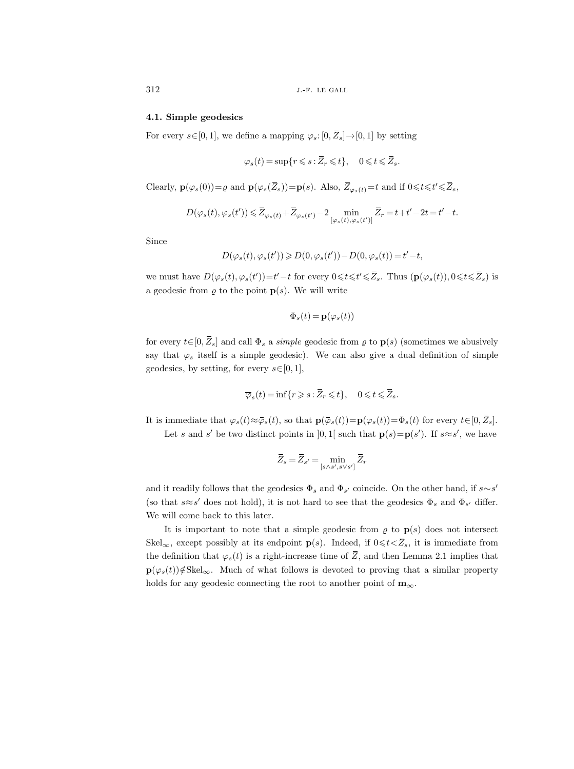## 4.1. Simple geodesics

For every  $s \in [0, 1]$ , we define a mapping  $\varphi_s: [0, \overline{Z}_s] \to [0, 1]$  by setting

$$
\varphi_s(t) = \sup\{r \leqslant s : \overline{Z}_r \leqslant t\}, \quad 0 \leqslant t \leqslant \overline{Z}_s.
$$

Clearly,  $\mathbf{p}(\varphi_s(0)) = \varrho$  and  $\mathbf{p}(\varphi_s(\overline{Z}_s)) = \mathbf{p}(s)$ . Also,  $\overline{Z}_{\varphi_s(t)} = t$  and if  $0 \leq t \leq t' \leq \overline{Z}_s$ ,

$$
D(\varphi_s(t), \varphi_s(t')) \leqslant \overline{Z}_{\varphi_s(t)} + \overline{Z}_{\varphi_s(t')}-2\min_{[\varphi_s(t), \varphi_s(t')]}\overline{Z}_r = t+t'-2t = t'-t.
$$

Since

$$
D(\varphi_s(t), \varphi_s(t')) \geqslant D(0, \varphi_s(t')) - D(0, \varphi_s(t)) = t' - t,
$$

we must have  $D(\varphi_s(t), \varphi_s(t')) = t' - t$  for every  $0 \leq t \leq \overline{Z}_s$ . Thus  $(\mathbf{p}(\varphi_s(t)), 0 \leq t \leq \overline{Z}_s)$  is a geodesic from  $\varrho$  to the point  $p(s)$ . We will write

$$
\Phi_s(t) = \mathbf{p}(\varphi_s(t))
$$

for every  $t\in[0,\overline{Z}_s]$  and call  $\Phi_s$  a *simple* geodesic from  $\varrho$  to  $\mathbf{p}(s)$  (sometimes we abusively say that  $\varphi_s$  itself is a simple geodesic). We can also give a dual definition of simple geodesics, by setting, for every  $s \in [0, 1]$ ,

$$
\overline{\varphi}_s(t) = \inf\{r \geqslant s : \overline{Z}_r \leqslant t\}, \quad 0 \leqslant t \leqslant \overline{Z}_s.
$$

It is immediate that  $\varphi_s(t) \approx \bar{\varphi}_s(t)$ , so that  $\mathbf{p}(\bar{\varphi}_s(t)) = \mathbf{p}(\varphi_s(t)) = \Phi_s(t)$  for every  $t \in [0, \bar{Z}_s]$ .

Let s and s' be two distinct points in [0, 1] such that  $p(s) = p(s')$ . If  $s \approx s'$ , we have

$$
\bar{Z}_s = \bar{Z}_{s'} = \min_{[s \wedge s', s \vee s']} \bar{Z}_r
$$

and it readily follows that the geodesics  $\Phi_s$  and  $\Phi_{s'}$  coincide. On the other hand, if  $s \sim s'$ (so that  $s \approx s'$  does not hold), it is not hard to see that the geodesics  $\Phi_s$  and  $\Phi_{s'}$  differ. We will come back to this later.

It is important to note that a simple geodesic from  $\rho$  to  $p(s)$  does not intersect Skel<sub>∞</sub>, except possibly at its endpoint **p**(s). Indeed, if  $0 \leq t \leq \overline{Z}_s$ , it is immediate from the definition that  $\varphi_s(t)$  is a right-increase time of  $\overline{Z}$ , and then Lemma 2.1 implies that  $\mathbf{p}(\varphi_s(t))\notin\text{Skel}_{\infty}$ . Much of what follows is devoted to proving that a similar property holds for any geodesic connecting the root to another point of  $m_{\infty}$ .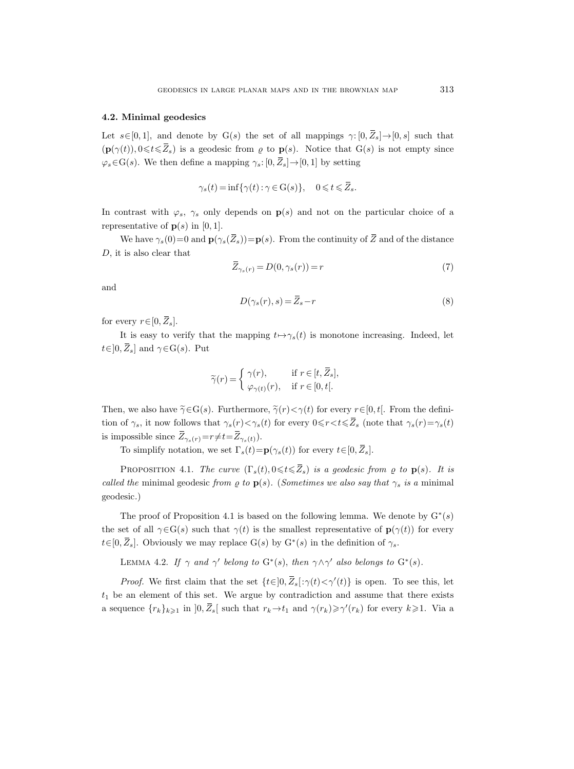#### 4.2. Minimal geodesics

Let  $s\in[0,1]$ , and denote by  $G(s)$  the set of all mappings  $\gamma: [0, \bar{Z}_s] \rightarrow [0, s]$  such that  $(\mathbf{p}(\gamma(t)), 0 \leq t \leq \overline{Z}_s)$  is a geodesic from  $\varrho$  to  $\mathbf{p}(s)$ . Notice that  $G(s)$  is not empty since  $\varphi_s \in G(s)$ . We then define a mapping  $\gamma_s: [0, \bar{Z}_s] \to [0, 1]$  by setting

$$
\gamma_s(t) = \inf \{ \gamma(t) : \gamma \in \mathcal{G}(s) \}, \quad 0 \leq t \leq \overline{Z}_s.
$$

In contrast with  $\varphi_s$ ,  $\gamma_s$  only depends on  $p(s)$  and not on the particular choice of a representative of  $p(s)$  in [0, 1].

We have  $\gamma_s(0)=0$  and  $\mathbf{p}(\gamma_s(\bar{Z}_s))=\mathbf{p}(s)$ . From the continuity of  $\bar{Z}$  and of the distance D, it is also clear that

$$
\overline{Z}_{\gamma_s(r)} = D(0, \gamma_s(r)) = r \tag{7}
$$

and

$$
D(\gamma_s(r), s) = \overline{Z}_s - r \tag{8}
$$

for every  $r \in [0, \overline{Z}_s]$ .

It is easy to verify that the mapping  $t \mapsto \gamma_s(t)$  is monotone increasing. Indeed, let  $t\in]0,\overline{Z}_s]$  and  $\gamma \in \mathcal{G}(s)$ . Put

$$
\widetilde{\gamma}(r) = \begin{cases} \gamma(r), & \text{if } r \in [t, \overline{Z}_s], \\ \varphi_{\gamma(t)}(r), & \text{if } r \in [0, t[. \end{cases}
$$

Then, we also have  $\widetilde{\gamma} \in G(s)$ . Furthermore,  $\widetilde{\gamma}(r) < \gamma(t)$  for every  $r \in [0, t]$ . From the definition of  $\gamma_s$ , it now follows that  $\gamma_s(r) < \gamma_s(t)$  for every  $0 \leq r < t \leq \overline{Z}_s$  (note that  $\gamma_s(r) = \gamma_s(t)$ ) is impossible since  $\overline{Z}_{\gamma_s(r)}=r\neq t=\overline{Z}_{\gamma_s(t)}$ .

To simplify notation, we set  $\Gamma_s(t)=p(\gamma_s(t))$  for every  $t\in[0,\overline{Z}_s]$ .

PROPOSITION 4.1. The curve  $(\Gamma_s(t), 0 \leq t \leq \overline{Z}_s)$  is a geodesic from  $\varrho$  to  $\mathbf{p}(s)$ . It is called the minimal geodesic from  $\varrho$  to  $\mathbf{p}(s)$ . (Sometimes we also say that  $\gamma_s$  is a minimal geodesic.)

The proof of Proposition 4.1 is based on the following lemma. We denote by  $G^*(s)$ the set of all  $\gamma \in G(s)$  such that  $\gamma(t)$  is the smallest representative of  $p(\gamma(t))$  for every  $t \in [0, \overline{Z}_s]$ . Obviously we may replace  $G(s)$  by  $G^*(s)$  in the definition of  $\gamma_s$ .

LEMMA 4.2. If  $\gamma$  and  $\gamma'$  belong to  $G^*(s)$ , then  $\gamma \wedge \gamma'$  also belongs to  $G^*(s)$ .

*Proof.* We first claim that the set  $\{t \in ]0, \overline{Z}_s[:\gamma(t) < \gamma'(t)\}$  is open. To see this, let  $t_1$  be an element of this set. We argue by contradiction and assume that there exists a sequence  $\{r_k\}_{k\geqslant1}$  in  $]0,\overline{Z}_s[$  such that  $r_k\to t_1$  and  $\gamma(r_k)\geqslant\gamma'(r_k)$  for every  $k\geqslant1$ . Via a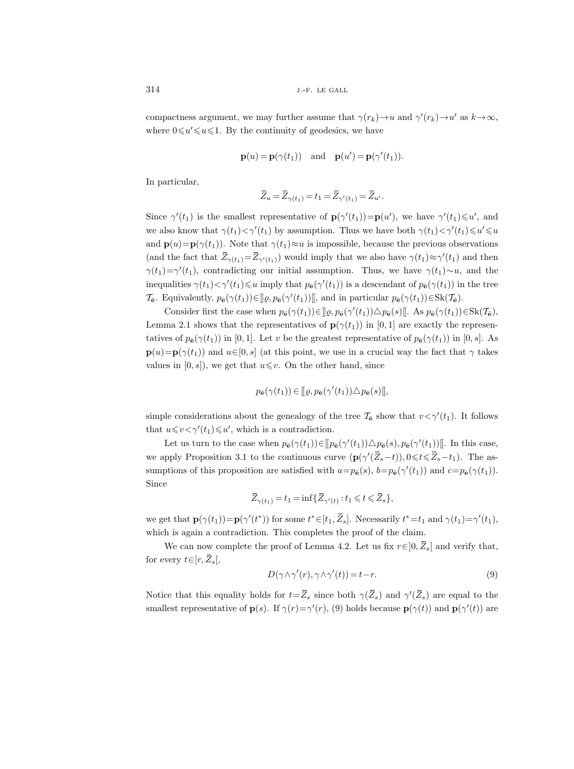compactness argument, we may further assume that  $\gamma(r_k) \to u$  and  $\gamma'(r_k) \to u'$  as  $k \to \infty$ , where  $0 \leq u' \leq u \leq 1$ . By the continuity of geodesics, we have

$$
\mathbf{p}(u) = \mathbf{p}(\gamma(t_1))
$$
 and  $\mathbf{p}(u') = \mathbf{p}(\gamma'(t_1)).$ 

In particular,

$$
\overline{Z}_u = \overline{Z}_{\gamma(t_1)} = t_1 = \overline{Z}_{\gamma'(t_1)} = \overline{Z}_{u'}.
$$

Since  $\gamma'(t_1)$  is the smallest representative of  $\mathbf{p}(\gamma'(t_1)) = \mathbf{p}(u')$ , we have  $\gamma'(t_1) \leq u'$ , and we also know that  $\gamma(t_1) < \gamma'(t_1)$  by assumption. Thus we have both  $\gamma(t_1) < \gamma'(t_1) \leq u' \leq u$ and  $\mathbf{p}(u)=\mathbf{p}(\gamma(t_1))$ . Note that  $\gamma(t_1)\approx u$  is impossible, because the previous observations (and the fact that  $\overline{Z}_{\gamma(t_1)} = \overline{Z}_{\gamma'(t_1)}$ ) would imply that we also have  $\gamma(t_1) \approx \gamma'(t_1)$  and then  $\gamma(t_1) = \gamma'(t_1)$ , contradicting our initial assumption. Thus, we have  $\gamma(t_1) \sim u$ , and the inequalities  $\gamma(t_1) < \gamma'(t_1) \leq u$  imply that  $p_{\bar{\mathbf{e}}}(\gamma'(t_1))$  is a descendant of  $p_{\bar{\mathbf{e}}}(\gamma(t_1))$  in the tree  $\mathcal{T}_{\mathbf{\bar{e}}}\text{. Equivalently, }p_{\mathbf{\bar{e}}}(\gamma(t_1)) \in \mathcal{g}(p_{\mathbf{\bar{e}}}(\gamma(t_1))[\mathcal{g}]$ , and in particular  $p_{\mathbf{\bar{e}}}(\gamma(t_1)) \in \text{Sk}(\mathcal{T}_{\mathbf{\bar{e}}})$ .

Consider first the case when  $p_{\bar{\mathbf{e}}}(\gamma(t_1)) \in ]] \varrho, p_{\bar{\mathbf{e}}}(\gamma'(t_1)) \triangle p_{\bar{\mathbf{e}}}(s) [$ . As  $p_{\bar{\mathbf{e}}}(\gamma(t_1)) \in \text{Sk}(\mathcal{T}_{\bar{\mathbf{e}}})$ , Lemma 2.1 shows that the representatives of  $p(\gamma(t_1))$  in [0, 1] are exactly the representatives of  $p_{\mathbf{\bar{e}}}(\gamma(t_1))$  in [0, 1]. Let v be the greatest representative of  $p_{\mathbf{\bar{e}}}(\gamma(t_1))$  in [0, s]. As  $\mathbf{p}(u)=\mathbf{p}(\gamma(t_1))$  and  $u\in[0,s]$  (at this point, we use in a crucial way the fact that  $\gamma$  takes values in  $[0, s]$ , we get that  $u \leq v$ . On the other hand, since

$$
p_{\bar{\mathbf{e}}}(\gamma(t_1)) \in [\![\varrho, p_{\bar{\mathbf{e}}}(\gamma'(t_1)) \triangle p_{\bar{\mathbf{e}}}(s)]\!],
$$

simple considerations about the genealogy of the tree  $\mathcal{T}_{\mathbf{e}}$  show that  $v < \gamma'(t_1)$ . It follows that  $u \leq v \lt \gamma'(t_1) \leq u'$ , which is a contradiction.

Let us turn to the case when  $p_{\bar{\mathbf{e}}}(\gamma(t_1)) \in [\![p_{\bar{\mathbf{e}}}(\gamma'(t_1)) \triangle p_{\bar{\mathbf{e}}}(s), p_{\bar{\mathbf{e}}}(\gamma'(t_1))]$ . In this case, we apply Proposition 3.1 to the continuous curve  $(\mathbf{p}(\gamma'(\bar{Z}_s-t)), 0 \leq t \leq \bar{Z}_s-t_1)$ . The assumptions of this proposition are satisfied with  $a=p_{\bar{\mathbf{e}}}(s)$ ,  $b=p_{\bar{\mathbf{e}}}(\gamma'(t_1))$  and  $c=p_{\bar{\mathbf{e}}}(\gamma(t_1))$ . Since

$$
\overline{Z}_{\gamma(t_1)} = t_1 = \inf \{ \overline{Z}_{\gamma'(t)} : t_1 \leq t \leq \overline{Z}_s \},
$$

we get that  $\mathbf{p}(\gamma(t_1)) = \mathbf{p}(\gamma'(t^*))$  for some  $t^* \in [t_1, \bar{Z}_s]$ . Necessarily  $t^* = t_1$  and  $\gamma(t_1) = \gamma'(t_1)$ , which is again a contradiction. This completes the proof of the claim.

We can now complete the proof of Lemma 4.2. Let us fix  $r \in ]0, Z_s[$  and verify that, for every  $t\in[r,\overline{Z}_s[,$ 

$$
D(\gamma \wedge \gamma'(r), \gamma \wedge \gamma'(t)) = t - r.
$$
\n(9)

Notice that this equality holds for  $t = \overline{Z}_s$  since both  $\gamma(\overline{Z}_s)$  and  $\gamma'(\overline{Z}_s)$  are equal to the smallest representative of  $\mathbf{p}(s)$ . If  $\gamma(r) = \gamma'(r)$ , (9) holds because  $\mathbf{p}(\gamma(t))$  and  $\mathbf{p}(\gamma'(t))$  are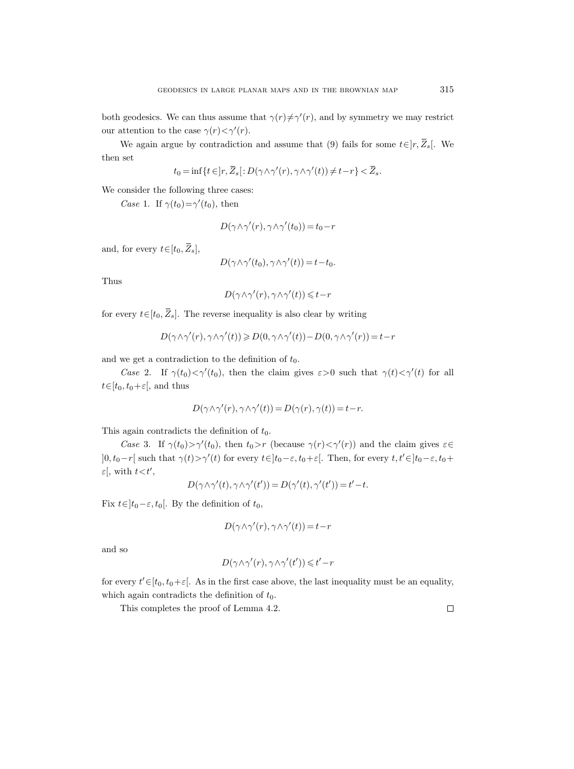both geodesics. We can thus assume that  $\gamma(r) \neq \gamma'(r)$ , and by symmetry we may restrict our attention to the case  $\gamma(r) < \gamma'(r)$ .

We again argue by contradiction and assume that (9) fails for some  $t \in ]r, \overline{Z}_s[$ . We then set

$$
t_0 = \inf\{t\in\,r,\,\overline{Z}_s[:D(\gamma\wedge\gamma'(r),\gamma\wedge\gamma'(t))\neq t-r\} < \overline{Z}_s.
$$

We consider the following three cases:

Case 1. If  $\gamma(t_0) = \gamma'(t_0)$ , then

$$
D(\gamma \wedge \gamma'(r), \gamma \wedge \gamma'(t_0)) = t_0 - r
$$

and, for every  $t\in[t_0,\overline{Z}_s]$ ,

$$
D(\gamma \wedge \gamma'(t_0), \gamma \wedge \gamma'(t)) = t - t_0.
$$

Thus

$$
D(\gamma \wedge \gamma'(r), \gamma \wedge \gamma'(t)) \leq t - r
$$

for every  $t \in [t_0, \overline{Z}_s]$ . The reverse inequality is also clear by writing

$$
D(\gamma \wedge \gamma'(r), \gamma \wedge \gamma'(t)) \geq D(0, \gamma \wedge \gamma'(t)) - D(0, \gamma \wedge \gamma'(r)) = t - r
$$

and we get a contradiction to the definition of  $t_0$ .

Case 2. If  $\gamma(t_0) < \gamma'(t_0)$ , then the claim gives  $\varepsilon > 0$  such that  $\gamma(t) < \gamma'(t)$  for all  $t \in [t_0, t_0+\varepsilon]$ , and thus

$$
D(\gamma \wedge \gamma'(r), \gamma \wedge \gamma'(t)) = D(\gamma(r), \gamma(t)) = t - r.
$$

This again contradicts the definition of  $t_0$ .

Case 3. If  $\gamma(t_0) > \gamma'(t_0)$ , then  $t_0 > r$  (because  $\gamma(r) < \gamma'(r)$ ) and the claim gives  $\varepsilon \in$  $]0, t_0-r[$  such that  $\gamma(t) > \gamma'(t)$  for every  $t \in ]t_0-\varepsilon, t_0+\varepsilon[$ . Then, for every  $t, t' \in ]t_0-\varepsilon, t_0+\varepsilon[$  $\varepsilon$ , with  $t < t'$ ,

$$
D(\gamma \wedge \gamma'(t), \gamma \wedge \gamma'(t')) = D(\gamma'(t), \gamma'(t')) = t' - t.
$$

Fix  $t \in ]t_0-\varepsilon, t_0[$ . By the definition of  $t_0$ ,

$$
D(\gamma \wedge \gamma'(r), \gamma \wedge \gamma'(t)) = t - r
$$

and so

$$
D(\gamma \wedge \gamma'(r), \gamma \wedge \gamma'(t')) \leqslant t'-r
$$

for every  $t' \in [t_0, t_0 + \varepsilon]$ . As in the first case above, the last inequality must be an equality, which again contradicts the definition of  $t_0$ .

This completes the proof of Lemma 4.2.

 $\Box$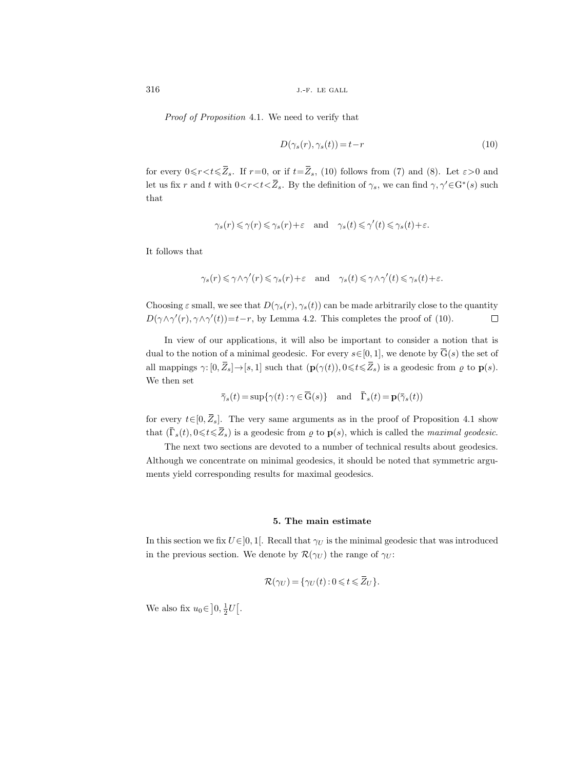Proof of Proposition 4.1. We need to verify that

$$
D(\gamma_s(r), \gamma_s(t)) = t - r \tag{10}
$$

for every  $0 \leq r < t \leq \overline{Z}_s$ . If  $r=0$ , or if  $t=\overline{Z}_s$ , (10) follows from (7) and (8). Let  $\varepsilon > 0$  and let us fix r and t with  $0 < r < t < \overline{Z}_s$ . By the definition of  $\gamma_s$ , we can find  $\gamma, \gamma' \in G^*(s)$  such that

$$
\gamma_s(r) \leqslant \gamma(r) \leqslant \gamma_s(r) + \varepsilon \quad \text{and} \quad \gamma_s(t) \leqslant \gamma'(t) \leqslant \gamma_s(t) + \varepsilon.
$$

It follows that

$$
\gamma_s(r) \leq \gamma \wedge \gamma'(r) \leq \gamma_s(r) + \varepsilon \quad \text{and} \quad \gamma_s(t) \leq \gamma \wedge \gamma'(t) \leq \gamma_s(t) + \varepsilon.
$$

Choosing  $\varepsilon$  small, we see that  $D(\gamma_s(r), \gamma_s(t))$  can be made arbitrarily close to the quantity  $D(\gamma \wedge \gamma'(r), \gamma \wedge \gamma'(t)) = t-r$ , by Lemma 4.2. This completes the proof of (10).  $\Box$ 

In view of our applications, it will also be important to consider a notion that is dual to the notion of a minimal geodesic. For every  $s \in [0, 1]$ , we denote by  $\overline{G}(s)$  the set of all mappings  $\gamma: [0, \bar{Z}_s] \to [s, 1]$  such that  $(\mathbf{p}(\gamma(t)), 0 \leq t \leq \bar{Z}_s)$  is a geodesic from  $\varrho$  to  $\mathbf{p}(s)$ . We then set

$$
\bar{\gamma}_s(t) = \sup \{ \gamma(t) : \gamma \in \overline{\mathcal{G}}(s) \} \quad \text{and} \quad \bar{\Gamma}_s(t) = \mathbf{p}(\bar{\gamma}_s(t))
$$

for every  $t\in[0,\overline{Z}_s]$ . The very same arguments as in the proof of Proposition 4.1 show that  $(\bar{\Gamma}_s(t), 0 \leq t \leq \bar{Z}_s)$  is a geodesic from  $\rho$  to  $p(s)$ , which is called the *maximal geodesic*.

The next two sections are devoted to a number of technical results about geodesics. Although we concentrate on minimal geodesics, it should be noted that symmetric arguments yield corresponding results for maximal geodesics.

## 5. The main estimate

In this section we fix  $U \in ]0,1[$ . Recall that  $\gamma_U$  is the minimal geodesic that was introduced in the previous section. We denote by  $\mathcal{R}(\gamma_U)$  the range of  $\gamma_U$ :

$$
\mathcal{R}(\gamma_U) = \{ \gamma_U(t) : 0 \leq t \leq \overline{Z}_U \}.
$$

We also fix  $u_0 \in ]0, \frac{1}{2}U[$ .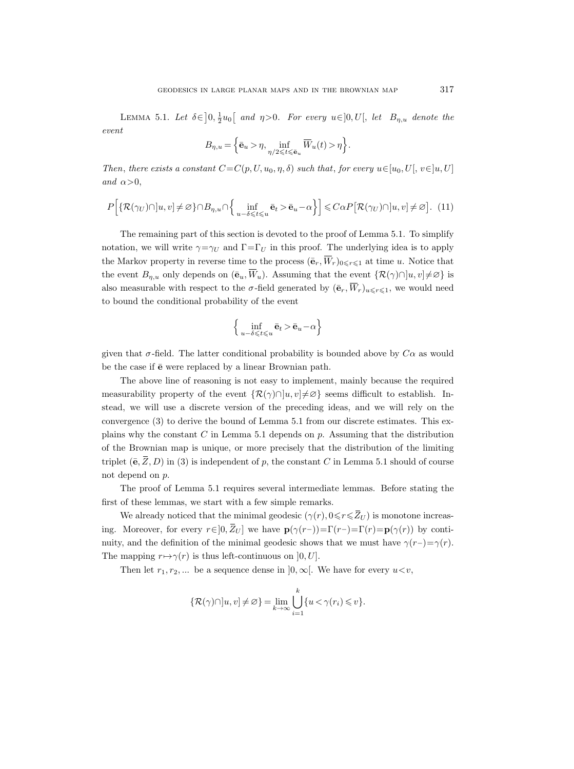LEMMA 5.1. Let  $\delta \in ]0, \frac{1}{2}u_0[$  and  $\eta > 0$ . For every  $u \in ]0, U[$ , let  $B_{\eta, u}$  denote the event

$$
B_{\eta,u} = \Big\{\bar{\mathbf{e}}_u > \eta, \inf_{\eta/2 \leqslant t \leqslant \bar{\mathbf{e}}_u} \overline{W}_u(t) > \eta \Big\}.
$$

Then, there exists a constant  $C=C(p, U, u_0, \eta, \delta)$  such that, for every  $u \in [u_0, U], v \in ]u, U]$ and  $\alpha$ >0,

$$
P\Big[\{\mathcal{R}(\gamma_U)\cap\,]u,v\}\neq\varnothing\}\cap B_{\eta,u}\cap\Big\{\inf_{u-\delta\leqslant t\leqslant u}\bar{\mathbf{e}}_t>\bar{\mathbf{e}}_u-\alpha\Big\}\Big]\leqslant C\alpha P\big[\mathcal{R}(\gamma_U)\cap\,]u,v\big]\neq\varnothing\big].\tag{11}
$$

The remaining part of this section is devoted to the proof of Lemma 5.1. To simplify notation, we will write  $\gamma = \gamma_U$  and  $\Gamma = \Gamma_U$  in this proof. The underlying idea is to apply the Markov property in reverse time to the process  $(\bar{\mathbf{e}}_r, \overline{W}_r)_{0 \leq r \leq 1}$  at time u. Notice that the event  $B_{\eta,u}$  only depends on  $(\bar{e}_u, \overline{W}_u)$ . Assuming that the event  $\{\mathcal{R}(\gamma) \cap [u, v] \neq \emptyset\}$  is also measurable with respect to the  $\sigma$ -field generated by  $(\bar{\mathbf{e}}_r, \overline{W}_r)_{u \leq r \leq 1}$ , we would need to bound the conditional probability of the event

$$
\left\{\inf_{u-\delta\leqslant t\leqslant u}\bar{\mathbf{e}}_t > \bar{\mathbf{e}}_u - \alpha\right\}
$$

given that  $\sigma$ -field. The latter conditional probability is bounded above by  $C\alpha$  as would be the case if  $\bar{e}$  were replaced by a linear Brownian path.

The above line of reasoning is not easy to implement, mainly because the required measurability property of the event  $\{\mathcal{R}(\gamma)\cap[u,v]\neq\emptyset\}$  seems difficult to establish. Instead, we will use a discrete version of the preceding ideas, and we will rely on the convergence (3) to derive the bound of Lemma 5.1 from our discrete estimates. This explains why the constant  $C$  in Lemma 5.1 depends on  $p$ . Assuming that the distribution of the Brownian map is unique, or more precisely that the distribution of the limiting triplet  $(\bar{e}, \bar{Z}, D)$  in (3) is independent of p, the constant C in Lemma 5.1 should of course not depend on p.

The proof of Lemma 5.1 requires several intermediate lemmas. Before stating the first of these lemmas, we start with a few simple remarks.

We already noticed that the minimal geodesic  $(\gamma(r), 0 \leq r \leq \overline{Z}_U)$  is monotone increasing. Moreover, for every  $r \in ]0, \bar{Z}_U]$  we have  $\mathbf{p}(\gamma(r-))=\Gamma(r)-\Gamma(r)=\mathbf{p}(\gamma(r))$  by continuity, and the definition of the minimal geodesic shows that we must have  $\gamma(r-) = \gamma(r)$ . The mapping  $r \mapsto \gamma(r)$  is thus left-continuous on  $[0, U]$ .

Then let  $r_1, r_2, \ldots$  be a sequence dense in  $]0, \infty[$ . We have for every  $u \lt v$ ,

$$
\left\{\mathcal{R}(\gamma)\cap\left[u,v\right]\neq\varnothing\right\}=\lim_{k\to\infty}\bigcup_{i=1}^k\{u<\gamma(r_i)\leqslant v\}.
$$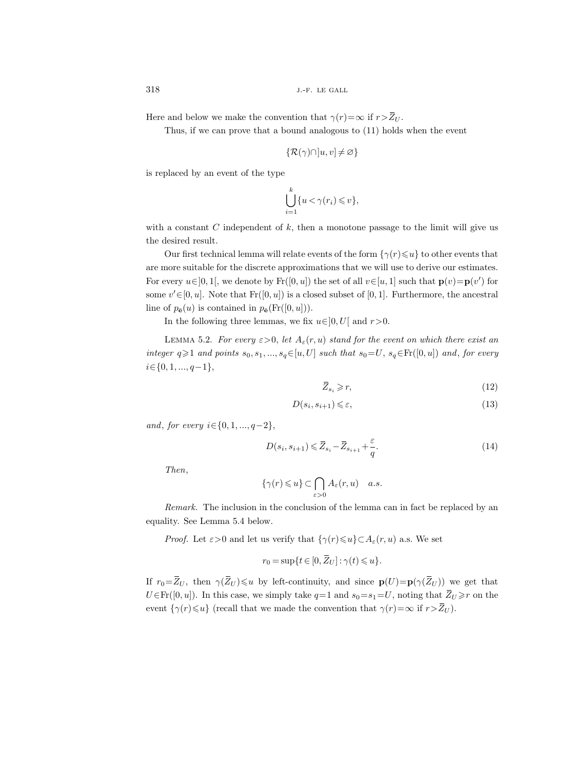Here and below we make the convention that  $\gamma(r)=\infty$  if  $r>\bar{Z}_U$ .

Thus, if we can prove that a bound analogous to (11) holds when the event

$$
\{\mathcal{R}(\gamma)\cap\,]u,v]\neq\varnothing\}
$$

is replaced by an event of the type

$$
\bigcup_{i=1}^k \{u < \gamma(r_i) \leqslant v\},\
$$

with a constant C independent of  $k$ , then a monotone passage to the limit will give us the desired result.

Our first technical lemma will relate events of the form  $\{\gamma(r)\leq u\}$  to other events that are more suitable for the discrete approximations that we will use to derive our estimates. For every  $u \in ]0,1[$ , we denote by  $\text{Fr}([0,u])$  the set of all  $v \in [u,1]$  such that  $\mathbf{p}(v) = \mathbf{p}(v')$  for some  $v' \in [0, u]$ . Note that  $Fr([0, u])$  is a closed subset of [0, 1]. Furthermore, the ancestral line of  $p_{\bar{\mathbf{e}}}(u)$  is contained in  $p_{\bar{\mathbf{e}}}(Fr([0, u])).$ 

In the following three lemmas, we fix  $u \in ]0, U[$  and  $r > 0$ .

LEMMA 5.2. For every  $\varepsilon > 0$ , let  $A_{\varepsilon}(r, u)$  stand for the event on which there exist an integer  $q\geqslant1$  and points  $s_0, s_1, ..., s_q \in [u, U]$  such that  $s_0 = U$ ,  $s_q \in Fr([0, u])$  and, for every  $i \in \{0,1,...,q-1\},$ 

$$
\overline{Z}_{s_i} \geqslant r,\tag{12}
$$

$$
D(s_i, s_{i+1}) \leqslant \varepsilon,\tag{13}
$$

and, for every  $i \in \{0, 1, ..., q-2\},\$ 

$$
D(s_i, s_{i+1}) \leq \overline{Z}_{s_i} - \overline{Z}_{s_{i+1}} + \frac{\varepsilon}{q}.
$$
\n
$$
(14)
$$

Then,

$$
\{\gamma(r)\leqslant u\}\subset \bigcap_{\varepsilon>0}A_{\varepsilon}(r,u)\quad a.s.
$$

Remark. The inclusion in the conclusion of the lemma can in fact be replaced by an equality. See Lemma 5.4 below.

*Proof.* Let  $\varepsilon > 0$  and let us verify that  $\{\gamma(r) \leq u\} \subset A_{\varepsilon}(r, u)$  a.s. We set

$$
r_0 = \sup\{t \in [0, \overline{Z}_U] : \gamma(t) \leq u\}.
$$

If  $r_0=\bar{Z}_U$ , then  $\gamma(\bar{Z}_U)\leq u$  by left-continuity, and since  $\mathbf{p}(U)=\mathbf{p}(\gamma(\bar{Z}_U))$  we get that  $U \in Fr([0, u])$ . In this case, we simply take  $q=1$  and  $s_0=s_1=U$ , noting that  $\overline{Z}_U \geq r$  on the event  $\{\gamma(r)\leq u\}$  (recall that we made the convention that  $\gamma(r)=\infty$  if  $r>\bar{Z}_U$ ).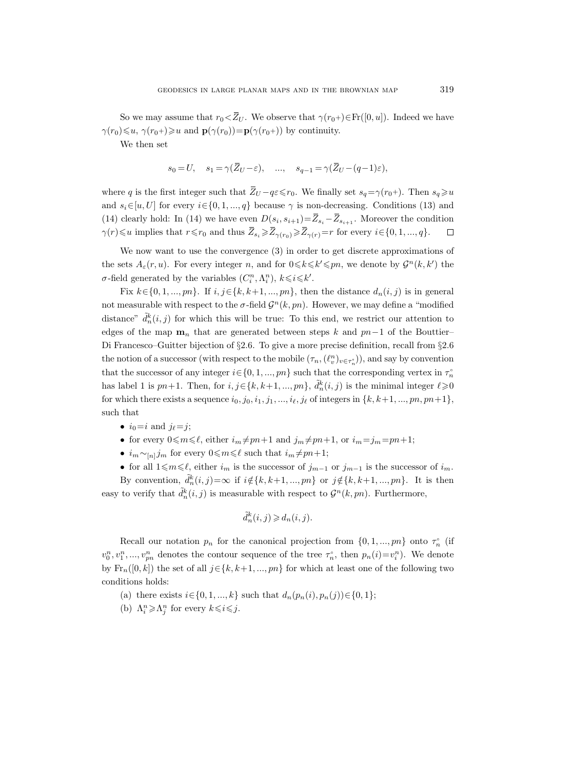So we may assume that  $r_0 \le \overline{Z}_U$ . We observe that  $\gamma(r_0+) \in \mathrm{Fr}([0, u])$ . Indeed we have  $\gamma(r_0)\leqslant u$ ,  $\gamma(r_0+)\geqslant u$  and  $\mathbf{p}(\gamma(r_0))=\mathbf{p}(\gamma(r_0+))$  by continuity.

We then set

$$
s_0 = U, \quad s_1 = \gamma(\overline{Z}_U - \varepsilon), \quad ..., \quad s_{q-1} = \gamma(\overline{Z}_U - (q-1)\varepsilon),
$$

where q is the first integer such that  $\overline{Z}_U - q\varepsilon \leq r_0$ . We finally set  $s_q = \gamma(r_0+)$ . Then  $s_q \geq u$ and  $s_i \in [u, U]$  for every  $i \in \{0, 1, ..., q\}$  because  $\gamma$  is non-decreasing. Conditions (13) and (14) clearly hold: In (14) we have even  $D(s_i, s_{i+1}) = \overline{Z}_{s_i} - \overline{Z}_{s_{i+1}}$ . Moreover the condition  $\gamma(r)\leqslant u$  implies that  $r\leqslant r_0$  and thus  $\overline{Z}_{s_i}\geqslant \overline{Z}_{\gamma(r_0)}\geqslant \overline{Z}_{\gamma(r)}=r$  for every  $i\in\{0,1,...,q\}.$  $\Box$ 

We now want to use the convergence (3) in order to get discrete approximations of the sets  $A_{\varepsilon}(r, u)$ . For every integer n, and for  $0 \le k \le k' \le pn$ , we denote by  $\mathcal{G}^n(k, k')$  the  $\sigma$ -field generated by the variables  $(C_i^n, \Lambda_i^n)$ ,  $k \leq i \leq k'$ .

Fix  $k \in \{0, 1, ..., pn\}$ . If  $i, j \in \{k, k+1, ..., pn\}$ , then the distance  $d_n(i, j)$  is in general not measurable with respect to the  $\sigma$ -field  $\mathcal{G}^n(k, pn)$ . However, we may define a "modified distance"  $\tilde{d}_n^k(i,j)$  for which this will be true: To this end, we restrict our attention to edges of the map  $\mathbf{m}_n$  that are generated between steps k and pn−1 of the Bouttier– Di Francesco–Guitter bijection of §2.6. To give a more precise definition, recall from §2.6 the notion of a successor (with respect to the mobile  $(\tau_n,(\ell^n_v)_{v\in\tau_n})$ ), and say by convention that the successor of any integer  $i \in \{0, 1, ..., pn\}$  such that the corresponding vertex in  $\tau_n^{\circ}$ has label 1 is  $pn+1$ . Then, for  $i, j \in \{k, k+1, ..., pn\}$ ,  $\tilde{d}_n^k(i, j)$  is the minimal integer  $\ell \geqslant 0$ for which there exists a sequence  $i_0, j_0, i_1, j_1, \ldots, i_\ell, j_\ell$  of integers in  $\{k, k+1, \ldots, pn, pn+1\}$ , such that

- $i_0=i$  and  $j_\ell=j$ ;
- for every  $0 \le m \le \ell$ , either  $i_m \ne pn+1$  and  $j_m \ne pn+1$ , or  $i_m=j_m=pn+1$ ;
- $i_m \sim_{[n]} j_m$  for every  $0 \le m \le \ell$  such that  $i_m \ne pn+1$ ;
- for all  $1\leq m\leq \ell$ , either  $i_m$  is the successor of  $j_{m-1}$  or  $j_{m-1}$  is the successor of  $i_m$ .

By convention,  $\tilde{d}_n^k(i,j) = \infty$  if  $i \notin \{k, k+1, ..., pn\}$  or  $j \notin \{k, k+1, ..., pn\}$ . It is then easy to verify that  $\tilde{d}_n^k(i, j)$  is measurable with respect to  $\mathcal{G}^n(k, pn)$ . Furthermore,

$$
\tilde{d}_n^k(i,j) \geq d_n(i,j).
$$

Recall our notation  $p_n$  for the canonical projection from  $\{0, 1, ..., pn\}$  onto  $\tau_n^{\circ}$  (if  $v_0^n, v_1^n, ..., v_{pn}^n$  denotes the contour sequence of the tree  $\tau_n^{\circ}$ , then  $p_n(i) = v_i^n$ ). We denote by  $\text{Fr}_n([0,k])$  the set of all  $j \in \{k, k+1, ..., pn\}$  for which at least one of the following two conditions holds:

- (a) there exists  $i \in \{0, 1, ..., k\}$  such that  $d_n(p_n(i), p_n(j)) \in \{0, 1\};$
- (b)  $\Lambda_i^n \geq \Lambda_j^n$  for every  $k \leq i \leq j$ .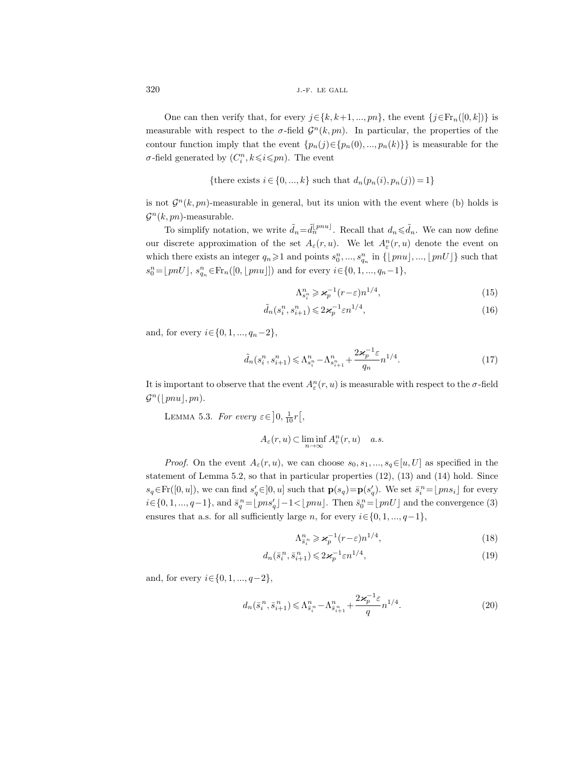One can then verify that, for every  $j \in \{k, k+1, ..., pn\}$ , the event  $\{j \in Fr_n([0, k])\}$  is measurable with respect to the  $\sigma$ -field  $\mathcal{G}^n(k, pn)$ . In particular, the properties of the contour function imply that the event  $\{p_n(j) \in \{p_n(0), ..., p_n(k)\}\}\$ is measurable for the  $\sigma$ -field generated by  $(C_i^n, k \leq i \leq pn)$ . The event

{there exists 
$$
i \in \{0, ..., k\}
$$
 such that  $d_n(p_n(i), p_n(j)) = 1\}$ 

is not  $\mathcal{G}^n(k, pn)$ -measurable in general, but its union with the event where (b) holds is  $\mathcal{G}^n(k, pn)$ -measurable.

To simplify notation, we write  $\tilde{d}_n = \tilde{d}_n^{[pnu]}$ . Recall that  $d_n \leq \tilde{d}_n$ . We can now define our discrete approximation of the set  $A_\varepsilon(r, u)$ . We let  $A_\varepsilon^n(r, u)$  denote the event on which there exists an integer  $q_n \geq 1$  and points  $s_0^n, ..., s_{q_n}^n$  in  $\{\lfloor pnu \rfloor, ..., \lfloor pnU \rfloor\}$  such that  $s_0^n = \lfloor pnU \rfloor, s_{q_n}^n \in \text{Fr}_n([0, \lfloor pnu \rfloor])$  and for every  $i \in \{0, 1, ..., q_n-1\},$ 

$$
\Lambda_{s_i^n}^n \geqslant \varkappa_p^{-1}(r-\varepsilon)n^{1/4},\tag{15}
$$

$$
\tilde{d}_n(s_i^n, s_{i+1}^n) \leqslant 2\varkappa_p^{-1} \varepsilon n^{1/4},\tag{16}
$$

and, for every  $i \in \{0, 1, ..., q_n-2\},\$ 

$$
\tilde{d}_n(s_i^n, s_{i+1}^n) \leq \Lambda_{s_i^n}^n - \Lambda_{s_{i+1}^n}^n + \frac{2\varkappa_p^{-1}\varepsilon}{q_n} n^{1/4}.
$$
\n(17)

It is important to observe that the event  $A_{\varepsilon}^n(r, u)$  is measurable with respect to the  $\sigma$ -field  $\mathcal{G}^n(\lfloor pnu \rfloor, pn).$ 

LEMMA 5.3. For every  $\varepsilon \in ]0, \frac{1}{10}r[,$ 

$$
A_{\varepsilon}(r, u) \subset \liminf_{n \to \infty} A_{\varepsilon}^n(r, u) \quad a.s.
$$

*Proof.* On the event  $A_\varepsilon(r, u)$ , we can choose  $s_0, s_1, ..., s_q \in [u, U]$  as specified in the statement of Lemma 5.2, so that in particular properties (12), (13) and (14) hold. Since  $s_q \in Fr([0, u])$ , we can find  $s'_q \in ]0, u]$  such that  $\mathbf{p}(s_q) = \mathbf{p}(s'_q)$ . We set  $\bar{s}_i^n = \lfloor pns_i \rfloor$  for every  $i \in \{0, 1, ..., q-1\}$ , and  $\bar{s}_q^{\,n} = \lfloor p n s'_q \rfloor - 1 < \lfloor p n u \rfloor$ . Then  $\bar{s}_0^{\,n} = \lfloor p n U \rfloor$  and the convergence (3) ensures that a.s. for all sufficiently large n, for every  $i \in \{0, 1, ..., q-1\}$ ,

$$
\Lambda_{\bar{s}_i^n}^n \geqslant \varkappa_p^{-1}(r-\varepsilon)n^{1/4},\tag{18}
$$

$$
d_n(\bar{s}_i^n, \bar{s}_{i+1}^n) \leqslant 2\mathcal{H}_p^{-1}\varepsilon n^{1/4},\tag{19}
$$

and, for every  $i \in \{0, 1, ..., q-2\}$ ,

$$
d_n(\bar{s}_i^n, \bar{s}_{i+1}^n) \leq \Lambda_{\bar{s}_i^n}^n - \Lambda_{\bar{s}_{i+1}^n}^n + \frac{2\varkappa_p^{-1}\varepsilon}{q} n^{1/4}.
$$
 (20)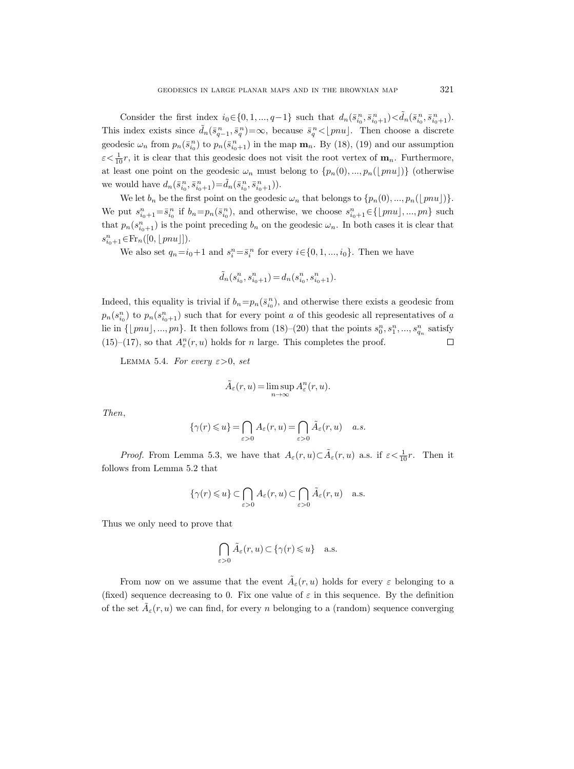Consider the first index  $i_0 \in \{0, 1, ..., q-1\}$  such that  $d_n(\bar{s}_{i_0}^n, \bar{s}_{i_0+1}^n) < \tilde{d}_n(\bar{s}_{i_0}^n, \bar{s}_{i_0+1}^n)$ . This index exists since  $\tilde{d}_n(\bar{s}_{q-1}^n, \bar{s}_q^n) = \infty$ , because  $\bar{s}_q^n < \lfloor pnu \rfloor$ . Then choose a discrete geodesic  $\omega_n$  from  $p_n(\bar{s}_{i_0}^n)$  to  $p_n(\bar{s}_{i_0+1}^n)$  in the map  $\mathbf{m}_n$ . By (18), (19) and our assumption  $\varepsilon < \frac{1}{10}r$ , it is clear that this geodesic does not visit the root vertex of  $\mathbf{m}_n$ . Furthermore, at least one point on the geodesic  $\omega_n$  must belong to  $\{p_n(0),...,p_n(\lfloor \text{pnu}\rfloor)\}\$  (otherwise we would have  $d_n(\bar{s}_{i_0}^n, \bar{s}_{i_0+1}^n) = \tilde{d}_n(\bar{s}_{i_0}^n, \bar{s}_{i_0+1}^n)$ .

We let  $b_n$  be the first point on the geodesic  $\omega_n$  that belongs to  $\{p_n(0), ..., p_n(\lfloor pnu\rfloor)\}.$ We put  $s_{i_0+1}^n = \bar{s}_{i_0}^n$  if  $b_n = p_n(\bar{s}_{i_0}^n)$ , and otherwise, we choose  $s_{i_0+1}^n \in \{\lfloor \text{pnu}\rfloor, ..., \text{pn}\}\$  such that  $p_n(s_{i_0+1}^n)$  is the point preceding  $b_n$  on the geodesic  $\omega_n$ . In both cases it is clear that  $s_{i_0+1}^n \in Fr_n([0, \lfloor pnu \rfloor]).$ 

We also set  $q_n = i_0+1$  and  $s_i^n = \overline{s}_i^n$  for every  $i \in \{0, 1, ..., i_0\}$ . Then we have

$$
\tilde{d}_n(s_{i_0}^n,s_{i_0+1}^n)=d_n(s_{i_0}^n,s_{i_0+1}^n).
$$

Indeed, this equality is trivial if  $b_n = p_n(\bar{s}_{i_0}^n)$ , and otherwise there exists a geodesic from  $p_n(s_{i_0}^n)$  to  $p_n(s_{i_0+1}^n)$  such that for every point a of this geodesic all representatives of a lie in  $\{\lfloor pnu\rfloor, ..., pn\}$ . It then follows from  $(18)-(20)$  that the points  $s_0^n, s_1^n, ..., s_{q_n}^n$  satisfy (15)–(17), so that  $A^n_{\varepsilon}(r,u)$  holds for  $n$  large. This completes the proof.  $\Box$ 

LEMMA 5.4. For every  $\varepsilon > 0$ , set

$$
\tilde{A}_{\varepsilon}(r, u) = \limsup_{n \to \infty} A_{\varepsilon}^n(r, u).
$$

Then,

$$
\{\gamma(r)\leqslant u\}=\bigcap_{\varepsilon>0}A_\varepsilon(r,u)=\bigcap_{\varepsilon>0}\tilde A_\varepsilon(r,u)\quad a.s.
$$

*Proof.* From Lemma 5.3, we have that  $A_\varepsilon(r, u) \subset \tilde{A}_\varepsilon(r, u)$  a.s. if  $\varepsilon < \frac{1}{10}r$ . Then it follows from Lemma 5.2 that

$$
\{\gamma(r)\leqslant u\}\subset \bigcap_{\varepsilon>0}A_\varepsilon(r,u)\subset \bigcap_{\varepsilon>0}\tilde A_\varepsilon(r,u)\quad \text{a.s.}
$$

Thus we only need to prove that

$$
\bigcap_{\varepsilon>0}\tilde A_\varepsilon(r,u)\subset \{\gamma(r)\leqslant u\}\quad \text{a.s.}
$$

From now on we assume that the event  $\tilde{A}_{\varepsilon}(r, u)$  holds for every  $\varepsilon$  belonging to a (fixed) sequence decreasing to 0. Fix one value of  $\varepsilon$  in this sequence. By the definition of the set  $\tilde{A}_{\varepsilon}(r, u)$  we can find, for every n belonging to a (random) sequence converging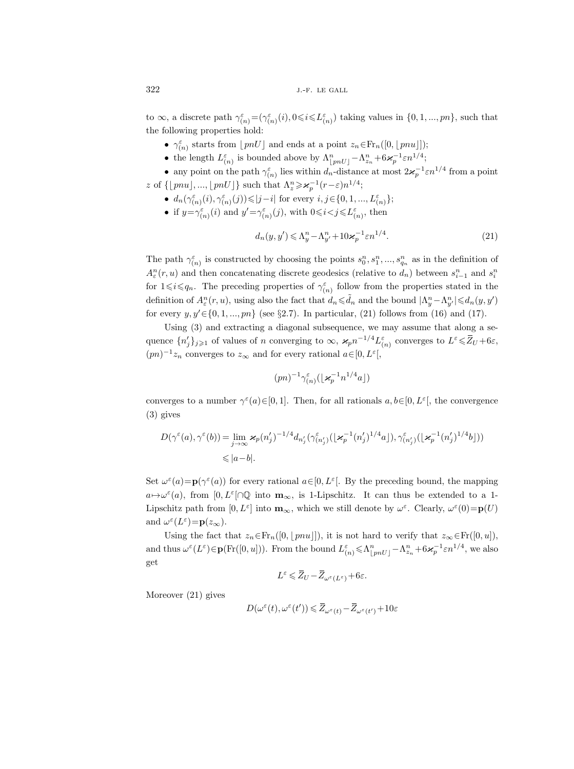to  $\infty$ , a discrete path  $\gamma_{(n)}^{\varepsilon} = (\gamma_{(n)}^{\varepsilon}(i), 0 \leq i \leq L_{(n)}^{\varepsilon})$  taking values in  $\{0, 1, ..., pn\}$ , such that the following properties hold:

- $\gamma_{(n)}^{\varepsilon}$  starts from  $\lfloor pnU \rfloor$  and ends at a point  $z_n \in Fr_n([0, \lfloor pnu \rfloor])$ ;
- the length  $L_{(n)}^{\varepsilon}$  is bounded above by  $\Lambda_{\lfloor pnU \rfloor}^n \Lambda_{z_n}^n + 6\varkappa_p^{-1}\varepsilon n^{1/4};$

• any point on the path  $\gamma_{(n)}^{\varepsilon}$  lies within  $d_n$ -distance at most  $2\varkappa_p^{-1} \varepsilon n^{1/4}$  from a point z of  $\{\lfloor pnu \rfloor, ..., \lfloor pnU \rfloor\}$  such that  $\Lambda_z^n \geqslant \varkappa_p^{-1}(r-\varepsilon)n^{1/4};$ 

- $\bullet \;\; d_n(\gamma^{\varepsilon}_{(n)}(i), \gamma^{\varepsilon}_{(n)}(j)){\leqslant} |j-i| \text{ for every } i,j{\in}\{0,1,...,L^{\varepsilon}_{(n)}\};$
- if  $y = \gamma_{(n)}^{\varepsilon}(i)$  and  $y' = \gamma_{(n)}^{\varepsilon}(j)$ , with  $0 \leq i < j \leq L_{(n)}^{\varepsilon}$ , then

$$
d_n(y, y') \leq \Lambda_y^n - \Lambda_{y'}^n + 10\varkappa_p^{-1} \varepsilon n^{1/4}.
$$
\n(21)

The path  $\gamma_{(n)}^{\varepsilon}$  is constructed by choosing the points  $s_0^n, s_1^n, ..., s_{q_n}^n$  as in the definition of  $A_{\varepsilon}^{n}(r, u)$  and then concatenating discrete geodesics (relative to  $d_{n}$ ) between  $s_{i-1}^{n}$  and  $s_{i}^{n}$ for  $1 \leq i \leq q_n$ . The preceding properties of  $\gamma_{(n)}^{\varepsilon}$  follow from the properties stated in the definition of  $A_\varepsilon^n(r, u)$ , using also the fact that  $d_n \leq d_n$  and the bound  $|\Lambda_y^n - \Lambda_y^n| \leq d_n(y, y')$ for every  $y, y' \in \{0, 1, ..., pn\}$  (see §2.7). In particular, (21) follows from (16) and (17).

Using (3) and extracting a diagonal subsequence, we may assume that along a sequence  $\{n'_j\}_{j\geqslant 1}$  of values of n converging to  $\infty$ ,  $\varkappa_p n^{-1/4} L_{(n)}^{\varepsilon}$  converges to  $L^{\varepsilon} \leq \overline{Z}_U + 6\varepsilon$ ,  $(pn)^{-1}z_n$  converges to  $z_\infty$  and for every rational  $a \in [0, L^{\varepsilon}],$ 

$$
(pn)^{-1}\gamma_{(n)}^{\varepsilon}(\lfloor \varkappa_p^{-1} n^{1/4}a\rfloor)
$$

converges to a number  $\gamma^{\varepsilon}(a) \in [0,1]$ . Then, for all rationals  $a, b \in [0, L^{\varepsilon}],$  the convergence (3) gives

$$
\begin{split} D(\gamma^\varepsilon(a),\gamma^\varepsilon(b))&=\lim_{j\to\infty}\varkappa_p(n_j')^{-1/4}d_{n_j'}(\gamma^\varepsilon_{(n_j')}( \lfloor \varkappa_p^{-1}(n_j')^{1/4}a \rfloor),\gamma^\varepsilon_{(n_j')}( \lfloor \varkappa_p^{-1}(n_j')^{1/4}b \rfloor))\\ &\leqslant |a-b|. \end{split}
$$

Set  $\omega^{\varepsilon}(a) = \mathbf{p}(\gamma^{\varepsilon}(a))$  for every rational  $a \in [0, L^{\varepsilon}]$ . By the preceding bound, the mapping  $a \mapsto \omega^{\varepsilon}(a)$ , from  $[0, L^{\varepsilon} \cap \mathbb{Q}$  into  $\mathbf{m}_{\infty}$ , is 1-Lipschitz. It can thus be extended to a 1-Lipschitz path from  $[0, L^{\varepsilon}]$  into  $\mathbf{m}_{\infty}$ , which we still denote by  $\omega^{\varepsilon}$ . Clearly,  $\omega^{\varepsilon}(0) = \mathbf{p}(U)$ and  $\omega^{\varepsilon}(L^{\varepsilon}) = \mathbf{p}(z_{\infty}).$ 

Using the fact that  $z_n \in Fr_n([0, \lfloor pnu \rfloor])$ , it is not hard to verify that  $z_\infty \in Fr([0, u]),$ and thus  $\omega^{\varepsilon}(L^{\varepsilon}) \in \mathbf{p}(\mathrm{Fr}([0,u]))$ . From the bound  $L^{\varepsilon}_{(n)} \leq \Lambda^{n}_{\lfloor pnU \rfloor} - \Lambda^{n}_{z_n} + 6\varkappa_p^{-1} \varepsilon n^{1/4}$ , we also get

$$
L^{\varepsilon} \leqslant \overline{Z}_U - \overline{Z}_{\omega^{\varepsilon}(L^{\varepsilon})} + 6\varepsilon.
$$

Moreover (21) gives

$$
D(\omega^{\varepsilon}(t), \omega^{\varepsilon}(t')) \leqslant \overline{Z}_{\omega^{\varepsilon}(t)} - \overline{Z}_{\omega^{\varepsilon}(t')} + 10\varepsilon
$$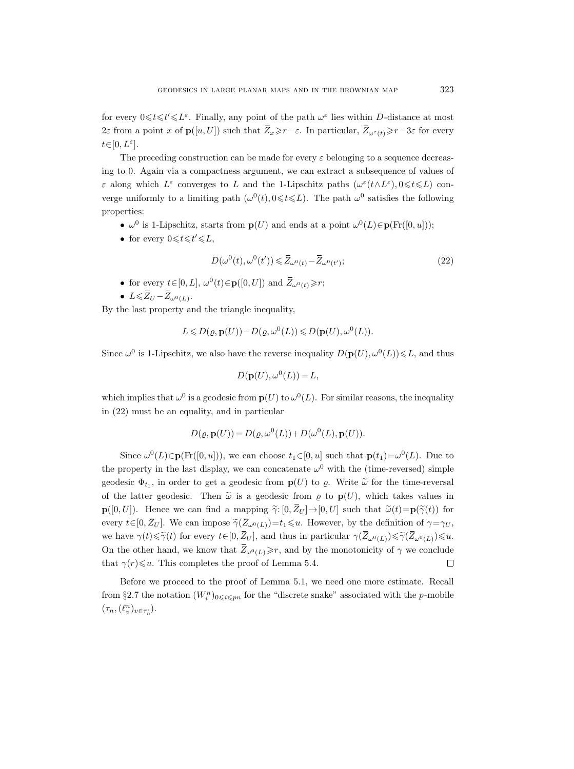for every  $0 \leq t \leq t' \leq L^{\varepsilon}$ . Finally, any point of the path  $\omega^{\varepsilon}$  lies within D-distance at most 2ε from a point x of  $p([u, U])$  such that  $\bar{Z}_x \geq r-\varepsilon$ . In particular,  $\bar{Z}_{\omega^{\varepsilon}(t)} \geq r-3\varepsilon$  for every  $t \in [0, L^{\varepsilon}].$ 

The preceding construction can be made for every  $\varepsilon$  belonging to a sequence decreasing to 0. Again via a compactness argument, we can extract a subsequence of values of ε along which  $L^ε$  converges to L and the 1-Lipschitz paths  $(ω<sup>ε</sup>(t ∧ L<sup>ε</sup>), 0 ≤ t ≤ L)$  converge uniformly to a limiting path  $(\omega^0(t), 0 \leq t \leq L)$ . The path  $\omega^0$  satisfies the following properties:

- $\omega^0$  is 1-Lipschitz, starts from  $\mathbf{p}(U)$  and ends at a point  $\omega^0(L) \in \mathbf{p}(\mathrm{Fr}([0, u]))$ ;
- for every  $0 \leq t \leq t' \leq L$ ,

$$
D(\omega^{0}(t), \omega^{0}(t')) \leqslant \overline{Z}_{\omega^{0}(t)} - \overline{Z}_{\omega^{0}(t')};
$$
\n<sup>(22)</sup>

- for every  $t \in [0, L]$ ,  $\omega^0(t) \in \mathbf{p}([0, U])$  and  $\overline{Z}_{\omega^0(t)} \ge r$ ;
- $L \le \overline{Z}_U \overline{Z}_{\omega^0(L)}$ .

By the last property and the triangle inequality,

$$
L \leq D(\varrho, \mathbf{p}(U)) - D(\varrho, \omega^{0}(L)) \leq D(\mathbf{p}(U), \omega^{0}(L)).
$$

Since  $\omega^0$  is 1-Lipschitz, we also have the reverse inequality  $D(p(U), \omega^0(L)) \leq L$ , and thus

$$
D(\mathbf{p}(U), \omega^0(L)) = L,
$$

which implies that  $\omega^0$  is a geodesic from  $p(U)$  to  $\omega^0(L)$ . For similar reasons, the inequality in (22) must be an equality, and in particular

$$
D(\varrho, \mathbf{p}(U)) = D(\varrho, \omega^{0}(L)) + D(\omega^{0}(L), \mathbf{p}(U)).
$$

Since  $\omega^0(L) \in \mathbf{p}(\mathrm{Fr}([0,u]))$ , we can choose  $t_1 \in [0,u]$  such that  $\mathbf{p}(t_1) = \omega^0(L)$ . Due to the property in the last display, we can concatenate  $\omega^0$  with the (time-reversed) simple geodesic  $\Phi_{t_1}$ , in order to get a geodesic from  $p(U)$  to  $\varrho$ . Write  $\widetilde{\omega}$  for the time-reversal of the latter geodesic. Then  $\tilde{\omega}$  is a geodesic from  $\rho$  to  $p(U)$ , which takes values in  $\mathbf{p}([0, U])$ . Hence we can find a mapping  $\tilde{\gamma}: [0, Z_U] \to [0, U]$  such that  $\tilde{\omega}(t) = \mathbf{p}(\tilde{\gamma}(t))$  for every  $t\in[0,\bar{Z}_U]$ . We can impose  $\tilde{\gamma}(\bar{Z}_{\omega^0(L)})=t_1\leq u$ . However, by the definition of  $\gamma=\gamma_U$ , we have  $\gamma(t)\leq\widetilde{\gamma}(t)$  for every  $t\in[0,\bar{Z}_U]$ , and thus in particular  $\gamma(\bar{Z}_{\omega^0(L)})\leq\widetilde{\gamma}(\bar{Z}_{\omega^0(L)})\leq u$ . On the other hand, we know that  $\bar{Z}_{\omega^0(L)} \geq r$ , and by the monotonicity of  $\gamma$  we conclude that  $\gamma(r) \leq u$ . This completes the proof of Lemma 5.4.

Before we proceed to the proof of Lemma 5.1, we need one more estimate. Recall from §2.7 the notation  $(W_i^n)_{0 \leq i \leq pn}$  for the "discrete snake" associated with the p-mobile  $(\tau_n,(\ell^n_v)_{v\in\tau_n^\circ}).$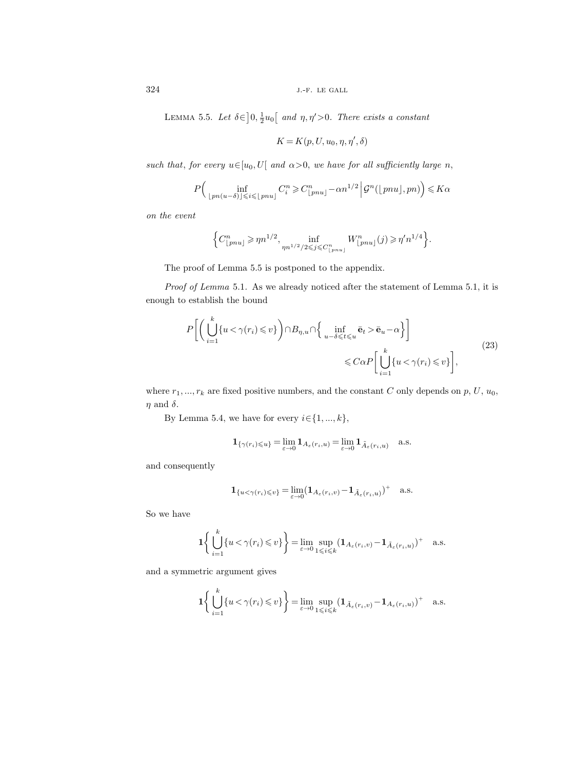LEMMA 5.5. Let  $\delta \in ]0, \frac{1}{2}u_0[$  and  $\eta, \eta' > 0$ . There exists a constant

$$
K=K(p,U,u_0,\eta,\eta',\delta)
$$

such that, for every  $u \in [u_0, U]$  and  $\alpha > 0$ , we have for all sufficiently large n,

$$
P\Big(\inf_{\lfloor pn(u-\delta)\rfloor \leqslant i \leqslant \lfloor pnu\rfloor} C_i^n \geqslant C_{\lfloor pnu\rfloor}^n - \alpha n^{1/2} \Big| \mathcal{G}^n(\lfloor pnu\rfloor, pn) \Big) \leqslant K\alpha
$$

on the event

$$
\Big\{ C^n_{\lfloor pnu \rfloor} \geqslant \eta n^{1/2}, \inf_{\eta n^{1/2}/2 \leqslant j \leqslant C^n_{\lfloor pnu \rfloor}} W^n_{\lfloor pnu \rfloor}(j) \geqslant \eta' n^{1/4} \Big\}.
$$

The proof of Lemma 5.5 is postponed to the appendix.

Proof of Lemma 5.1. As we already noticed after the statement of Lemma 5.1, it is enough to establish the bound

$$
P\bigg[\bigg(\bigcup_{i=1}^{k} \{u < \gamma(r_i) \leq v\}\bigg) \cap B_{\eta, u} \cap \bigg\{\inf_{u-\delta \leq t \leq u} \bar{\mathbf{e}}_t > \bar{\mathbf{e}}_u - \alpha\bigg\}\bigg] \leq C\alpha P\bigg[\bigcup_{i=1}^{k} \{u < \gamma(r_i) \leq v\}\bigg],\tag{23}
$$

where  $r_1, ..., r_k$  are fixed positive numbers, and the constant C only depends on p, U,  $u_0$ ,  $\eta$  and  $\delta$ .

By Lemma 5.4, we have for every  $i \in \{1, ..., k\}$ ,

$$
\mathbf{1}_{\{\gamma(r_i)\leqslant u\}}=\lim_{\varepsilon\to 0} \mathbf{1}_{A_\varepsilon(r_i,u)}=\lim_{\varepsilon\to 0} \mathbf{1}_{\tilde A_\varepsilon(r_i,u)}\quad \text{a.s.}
$$

and consequently

$$
\mathbf{1}_{\{u<\gamma(r_i)\leqslant v\}}=\lim_{\varepsilon\to 0}(\mathbf{1}_{A_\varepsilon(r_i,v)}-\mathbf{1}_{\tilde A_\varepsilon(r_i,u)})^+\quad \text{a.s.}
$$

So we have

$$
\mathbf{1}\bigg\{\bigcup_{i=1}^k \{u<\gamma(r_i)\leqslant v\}\bigg\}=\lim_{\varepsilon\to 0}\sup_{1\leqslant i\leqslant k}\big(\mathbf{1}_{A_\varepsilon(r_i,v)}-\mathbf{1}_{\tilde A_\varepsilon(r_i,u)}\big)^+\quad\text{a.s.}
$$

and a symmetric argument gives

k

$$
\mathbf{1}\bigg\{\bigcup_{i=1}^k \{u < \gamma(r_i) \leq v\}\bigg\} = \lim_{\varepsilon \to 0} \sup_{1 \leq i \leq k} \left(\mathbf{1}_{\tilde{A}_{\varepsilon}(r_i,v)} - \mathbf{1}_{A_{\varepsilon}(r_i,u)}\right)^+ \quad \text{a.s.}
$$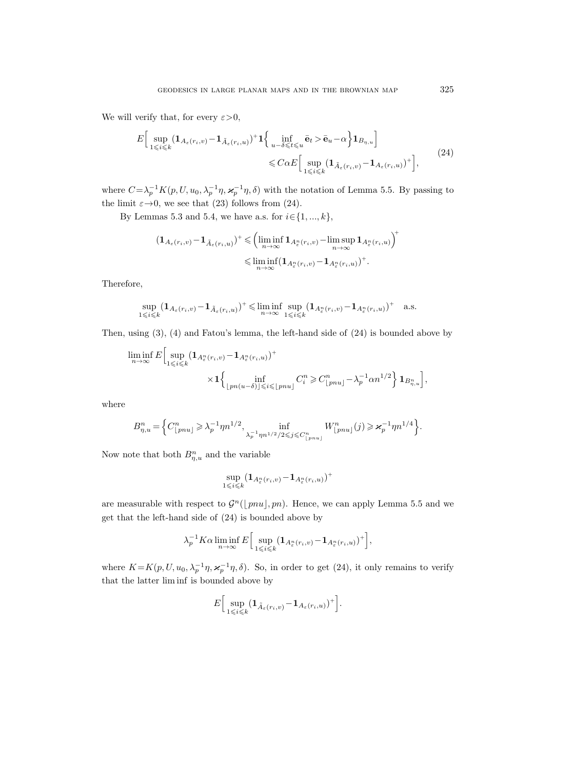We will verify that, for every  $\varepsilon > 0$ ,

$$
E\Big[\sup_{1\leqslant i\leqslant k}(\mathbf{1}_{A_{\varepsilon}(r_i,v)}-\mathbf{1}_{\tilde{A}_{\varepsilon}(r_i,u)})^{+}\mathbf{1}\Big\{\inf_{u-\delta\leqslant t\leqslant u}\bar{\mathbf{e}}_t>\bar{\mathbf{e}}_u-\alpha\Big\}\mathbf{1}_{B_{\eta,u}}\Big]\n\leqslant C\alpha E\Big[\sup_{1\leqslant i\leqslant k}(\mathbf{1}_{\tilde{A}_{\varepsilon}(r_i,v)}-\mathbf{1}_{A_{\varepsilon}(r_i,u)})^{+}\Big],
$$
\n(24)

where  $C = \lambda_p^{-1} K(p, U, u_0, \lambda_p^{-1} \eta, \varkappa_p^{-1} \eta, \delta)$  with the notation of Lemma 5.5. By passing to the limit  $\varepsilon \rightarrow 0$ , we see that (23) follows from (24).

By Lemmas 5.3 and 5.4, we have a.s. for  $i \in \{1, ..., k\}$ ,

$$
(\mathbf{1}_{A_{\varepsilon}(r_i,v)} - \mathbf{1}_{\tilde{A}_{\varepsilon}(r_i,u)})^+ \leqslant \left(\liminf_{n \to \infty} \mathbf{1}_{A_{\varepsilon}^n(r_i,v)} - \limsup_{n \to \infty} \mathbf{1}_{A_{\varepsilon}^n(r_i,u)}\right)^+
$$
  

$$
\leqslant \liminf_{n \to \infty} (\mathbf{1}_{A_{\varepsilon}^n(r_i,v)} - \mathbf{1}_{A_{\varepsilon}^n(r_i,u)})^+.
$$

Therefore,

$$
\sup_{1\leqslant i\leqslant k}(1_{A_\varepsilon(r_i,v)}-1_{\tilde A_\varepsilon(r_i,u)})^+\leqslant \liminf_{n\to\infty}\sup_{1\leqslant i\leqslant k}(1_{A_\varepsilon^n(r_i,v)}-1_{A_\varepsilon^n(r_i,u)})^+\quad \text{a.s.}
$$

Then, using (3), (4) and Fatou's lemma, the left-hand side of (24) is bounded above by

$$
\liminf_{n \to \infty} E\Big[\sup_{1 \leq i \leq k} (\mathbf{1}_{A_{\epsilon}^n(r_i,v)} - \mathbf{1}_{A_{\epsilon}^n(r_i,u)})^+ \times \mathbf{1}_{\{p n(u-\delta) \leq i \leq \lfloor p n u \rfloor} C_i^n \geq C_{\lfloor p n u \rfloor}^n - \lambda_p^{-1} \alpha n^{1/2} \Big] \mathbf{1}_{B_{\eta,u}^n} \Big],
$$

where

$$
B_{\eta,u}^{n} = \left\{ C_{\lfloor pnu \rfloor}^{n} \geq \lambda_{p}^{-1} \eta n^{1/2}, \inf_{\lambda_{p}^{-1} \eta n^{1/2}/2 \leq j \leq C_{\lfloor pnu \rfloor}^{n}} W_{\lfloor pnu \rfloor}^{n}(j) \geq \varkappa_{p}^{-1} \eta n^{1/4} \right\}.
$$

Now note that both  $B_{\eta,u}^n$  and the variable

$$
\sup_{1 \leq i \leq k} (\mathbf{1}_{A_\varepsilon^n(r_i, v)} - \mathbf{1}_{A_\varepsilon^n(r_i, u)})^+
$$

are measurable with respect to  $\mathcal{G}^n(\lfloor pnu \rfloor, pn)$ . Hence, we can apply Lemma 5.5 and we get that the left-hand side of (24) is bounded above by

$$
\lambda_p^{-1} K \alpha \liminf_{n \to \infty} E \Big[ \sup_{1 \leq i \leq k} (\mathbf{1}_{A_\varepsilon^n(r_i,v)} - \mathbf{1}_{A_\varepsilon^n(r_i,u)})^+ \Big],
$$

where  $K = K(p, U, u_0, \lambda_p^{-1} \eta, \varkappa_p^{-1} \eta, \delta)$ . So, in order to get (24), it only remains to verify that the latter lim inf is bounded above by

$$
E\Big[\sup_{1\leqslant i\leqslant k}\bigl(\mathbf{1}_{\tilde{A}_{\varepsilon}(r_i,v)}-\mathbf{1}_{A_{\varepsilon}(r_i,u)}\bigr)^+\Big].
$$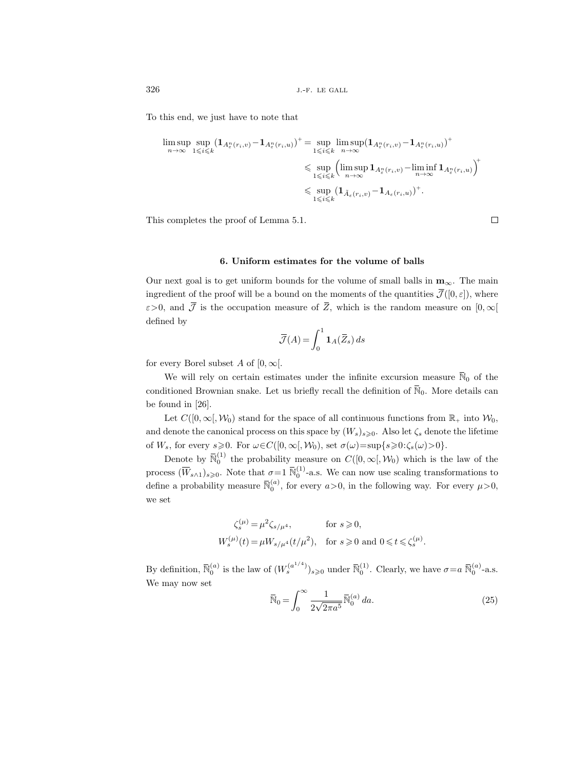To this end, we just have to note that

$$
\limsup_{n \to \infty} \sup_{1 \leq i \leq k} (\mathbf{1}_{A_{\varepsilon}^n(r_i, v)} - \mathbf{1}_{A_{\varepsilon}^n(r_i, u)})^+ = \sup_{1 \leq i \leq k} \limsup_{n \to \infty} (\mathbf{1}_{A_{\varepsilon}^n(r_i, v)} - \mathbf{1}_{A_{\varepsilon}^n(r_i, u)})^+ \leq \sup_{1 \leq i \leq k} (\limsup_{n \to \infty} \mathbf{1}_{A_{\varepsilon}^n(r_i, v)} - \liminf_{n \to \infty} \mathbf{1}_{A_{\varepsilon}^n(r_i, u)})^+ \leq \sup_{1 \leq i \leq k} (\mathbf{1}_{\tilde{A}_{\varepsilon}(r_i, v)} - \mathbf{1}_{A_{\varepsilon}(r_i, u)})^+).
$$

This completes the proof of Lemma 5.1.

### 6. Uniform estimates for the volume of balls

Our next goal is to get uniform bounds for the volume of small balls in  $\mathbf{m}_{\infty}$ . The main ingredient of the proof will be a bound on the moments of the quantities  $\overline{\mathcal{J}}([0,\varepsilon])$ , where  $\varepsilon$ >0, and  $\overline{\mathcal{J}}$  is the occupation measure of  $\overline{Z}$ , which is the random measure on  $[0,\infty[$ defined by

$$
\overline{\mathcal{J}}(A) = \int_0^1 \mathbf{1}_A(\overline{Z}_s) \, ds
$$

for every Borel subset A of  $[0, \infty]$ .

We will rely on certain estimates under the infinite excursion measure  $\bar{N}_0$  of the conditioned Brownian snake. Let us briefly recall the definition of  $\overline{N}_0$ . More details can be found in [26].

Let  $C([0,\infty[,\mathcal{W}_0])$  stand for the space of all continuous functions from  $\mathbb{R}_+$  into  $\mathcal{W}_0$ , and denote the canonical process on this space by  $(W_s)_{s\geqslant0}$ . Also let  $\zeta_s$  denote the lifetime of  $W_s$ , for every  $s\geqslant 0$ . For  $\omega \in C([0,\infty[,\mathcal{W}_0), \text{ set } \sigma(\omega)=\sup\{s\geqslant 0: \zeta_s(\omega)>0\}.$ 

Denote by  $\bar{N}_0^{(1)}$  the probability measure on  $C([0,\infty[,\mathcal{W}_0])$  which is the law of the process  $(\overline{W}_{s\wedge 1})_{s\geqslant 0}$ . Note that  $\sigma=1$   $\overline{\mathbb{N}}_0^{(1)}$ -a.s. We can now use scaling transformations to define a probability measure  $\bar{\mathbb{N}}_0^{(a)}$ , for every  $a > 0$ , in the following way. For every  $\mu > 0$ , we set

$$
\begin{aligned}\n\zeta_s^{(\mu)} &= \mu^2 \zeta_{s/\mu^4}, & \text{for } s \geqslant 0, \\
W_s^{(\mu)}(t) &= \mu W_{s/\mu^4}(t/\mu^2), & \text{for } s \geqslant 0 \text{ and } 0 \leqslant t \leqslant \zeta_s^{(\mu)}. \n\end{aligned}
$$

By definition,  $\overline{\mathbb{N}}_0^{(a)}$  is the law of  $(W_s^{(a^{1/4})})_{s\geqslant 0}$  under  $\overline{\mathbb{N}}_0^{(1)}$ . Clearly, we have  $\sigma = a \ \overline{\mathbb{N}}_0^{(a)}$ -a.s. We may now set

$$
\overline{\mathbb{N}}_0 = \int_0^\infty \frac{1}{2\sqrt{2\pi a^5}} \overline{\mathbb{N}}_0^{(a)} da.
$$
\n(25)

 $\Box$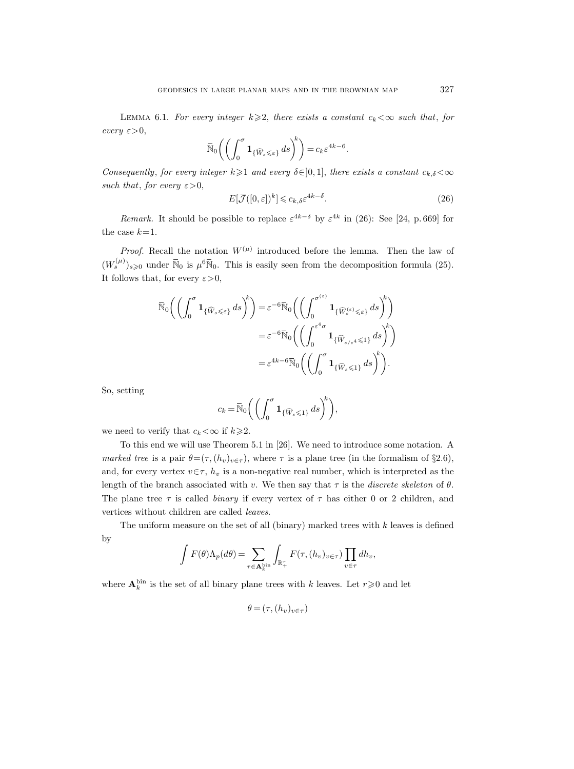LEMMA 6.1. For every integer  $k \geqslant 2$ , there exists a constant  $c_k < \infty$  such that, for every  $\varepsilon > 0$ ,

$$
\overline{\mathbb{N}}_0\bigg(\bigg(\int_0^\sigma \mathbf{1}_{\{\widehat{W}_s\leqslant\varepsilon\}}\,ds\bigg)^k\bigg)=c_k\varepsilon^{4k-6}.
$$

Consequently, for every integer  $k\geqslant 1$  and every  $\delta\in]0,1]$ , there exists a constant  $c_{k,\delta}\lt\infty$ such that, for every  $\varepsilon > 0$ ,

$$
E[\overline{\mathcal{J}}([0,\varepsilon])^k] \leqslant c_{k,\delta} \varepsilon^{4k-\delta}.
$$
\n(26)

*Remark*. It should be possible to replace  $\varepsilon^{4k-\delta}$  by  $\varepsilon^{4k}$  in (26): See [24, p.669] for the case  $k=1$ .

*Proof.* Recall the notation  $W^{(\mu)}$  introduced before the lemma. Then the law of  $(W_s^{(\mu)})_{s\geqslant0}$  under  $\bar{\mathbb{N}}_0$  is  $\mu^6\bar{\mathbb{N}}_0$ . This is easily seen from the decomposition formula (25). It follows that, for every  $\varepsilon > 0$ ,

$$
\overline{\mathbb{N}}_0 \bigg( \bigg( \int_0^{\sigma} \mathbf{1}_{\{\widehat{W}_s \leq \varepsilon\}} ds \bigg)^k \bigg) = \varepsilon^{-6} \overline{\mathbb{N}}_0 \bigg( \bigg( \int_0^{\sigma^{(\varepsilon)}} \mathbf{1}_{\{\widehat{W}_s^{(\varepsilon)} \leq \varepsilon\}} ds \bigg)^k \bigg) \n= \varepsilon^{-6} \overline{\mathbb{N}}_0 \bigg( \bigg( \int_0^{\varepsilon^4 \sigma} \mathbf{1}_{\{\widehat{W}_{s/\varepsilon^4} \leq 1\}} ds \bigg)^k \bigg) \n= \varepsilon^{4k - 6} \overline{\mathbb{N}}_0 \bigg( \bigg( \int_0^{\sigma} \mathbf{1}_{\{\widehat{W}_s \leq 1\}} ds \bigg)^k \bigg).
$$

So, setting

$$
c_k = \overline{\mathbb{N}}_0 \left( \left( \int_0^{\sigma} \mathbf{1}_{\{\widehat{W}_s \leq 1\}} ds \right)^k \right),
$$

we need to verify that  $c_k < \infty$  if  $k \geq 2$ .

To this end we will use Theorem 5.1 in [26]. We need to introduce some notation. A marked tree is a pair  $\theta = (\tau, (h_v)_{v \in \tau})$ , where  $\tau$  is a plane tree (in the formalism of §2.6), and, for every vertex  $v \in \tau$ ,  $h_v$  is a non-negative real number, which is interpreted as the length of the branch associated with v. We then say that  $\tau$  is the *discrete skeleton* of  $\theta$ . The plane tree  $\tau$  is called *binary* if every vertex of  $\tau$  has either 0 or 2 children, and vertices without children are called leaves.

The uniform measure on the set of all (binary) marked trees with  $k$  leaves is defined by

$$
\int F(\theta) \Lambda_p(d\theta) = \sum_{\tau \in \mathbf{A}_k^{\text{bin}}} \int_{\mathbb{R}_+^{\tau}} F(\tau, (h_v)_{v \in \tau}) \prod_{v \in \tau} dh_v,
$$

where  $\mathbf{A}_k^{\text{bin}}$  is the set of all binary plane trees with k leaves. Let  $r \geq 0$  and let

$$
\theta = (\tau, (h_v)_{v \in \tau})
$$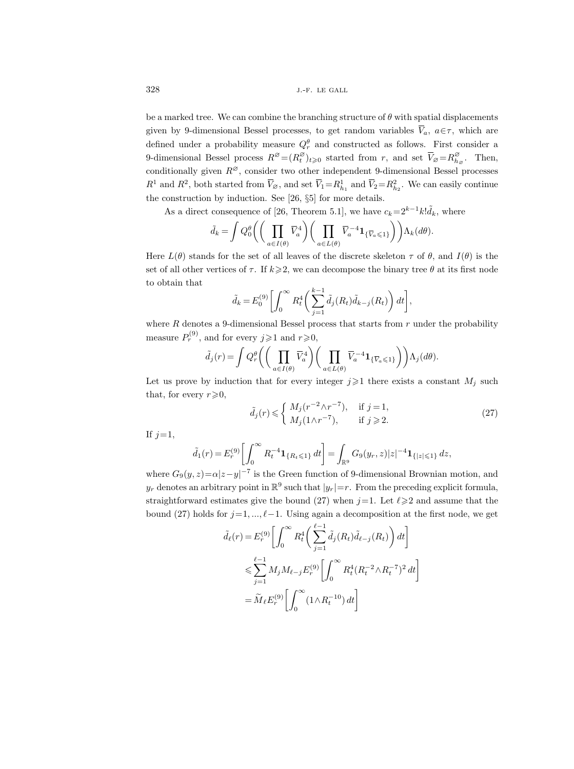be a marked tree. We can combine the branching structure of  $\theta$  with spatial displacements given by 9-dimensional Bessel processes, to get random variables  $\overline{V}_a$ ,  $a \in \tau$ , which are defined under a probability measure  $Q_r^{\theta}$  and constructed as follows. First consider a 9-dimensional Bessel process  $R^{\varnothing} = (R_t^{\varnothing})$  $\overline{U}_{t}^{\varnothing}$  started from r, and set  $\overline{V}_{\varnothing} = R_{h}^{\varnothing}$  $\sum_{h_{\varnothing}}^{\varnothing}$ . Then, conditionally given  $R^{\varnothing}$ , consider two other independent 9-dimensional Bessel processes  $R^1$  and  $R^2$ , both started from  $\overline{V}_{\emptyset}$ , and set  $\overline{V}_1 = R^1_{h_1}$  and  $\overline{V}_2 = R^2_{h_2}$ . We can easily continue the construction by induction. See [26, §5] for more details.

As a direct consequence of [26, Theorem 5.1], we have  $c_k=2^{k-1}k!\tilde{d}_k$ , where

$$
\tilde{d}_k = \int Q_0^{\theta} \bigg( \bigg( \prod_{a \in I(\theta)} \overline{V}_a^4 \bigg) \bigg( \prod_{a \in L(\theta)} \overline{V}_a^{-4} \mathbf{1}_{\{\overline{V}_a \leq 1\}} \bigg) \bigg) \Lambda_k(d\theta).
$$

Here  $L(\theta)$  stands for the set of all leaves of the discrete skeleton  $\tau$  of  $\theta$ , and  $I(\theta)$  is the set of all other vertices of  $\tau$ . If  $k \geqslant 2$ , we can decompose the binary tree  $\theta$  at its first node to obtain that

$$
\tilde{d}_k = E_0^{(9)} \left[ \int_0^\infty R_t^4 \left( \sum_{j=1}^{k-1} \tilde{d}_j(R_t) \tilde{d}_{k-j}(R_t) \right) dt \right],
$$

where  $R$  denotes a 9-dimensional Bessel process that starts from  $r$  under the probability measure  $P_r^{(9)}$ , and for every  $j \geq 1$  and  $r \geq 0$ ,

$$
\tilde{d}_j(r) = \int Q_r^{\theta} \left( \left( \prod_{a \in I(\theta)} \overline{V}_a^4 \right) \left( \prod_{a \in L(\theta)} \overline{V}_a^{-4} \mathbf{1}_{\{\overline{V}_a \leq 1\}} \right) \right) \Lambda_j(d\theta).
$$

Let us prove by induction that for every integer  $j \geq 1$  there exists a constant  $M_j$  such that, for every  $r\geqslant 0$ .

$$
\tilde{d}_j(r) \leqslant \begin{cases} M_j(r^{-2}\wedge r^{-7}), & \text{if } j = 1, \\ M_j(1\wedge r^{-7}), & \text{if } j \geqslant 2. \end{cases}
$$
\n
$$
(27)
$$

If  $j=1$ ,

$$
\tilde{d}_1(r) = E_r^{(9)} \left[ \int_0^\infty R_t^{-4} \mathbf{1}_{\{R_t \leq 1\}} dt \right] = \int_{\mathbb{R}^9} G_9(y_r, z) |z|^{-4} \mathbf{1}_{\{|z| \leq 1\}} dz,
$$

where  $G_9(y, z) = \alpha |z - y|^{-7}$  is the Green function of 9-dimensional Brownian motion, and  $y_r$  denotes an arbitrary point in  $\mathbb{R}^9$  such that  $|y_r|=r$ . From the preceding explicit formula, straightforward estimates give the bound (27) when  $j=1$ . Let  $\ell \geq 2$  and assume that the bound (27) holds for  $j=1, ..., \ell-1$ . Using again a decomposition at the first node, we get

$$
\tilde{d}_{\ell}(r) = E_r^{(9)} \left[ \int_0^{\infty} R_t^4 \left( \sum_{j=1}^{\ell-1} \tilde{d}_j(R_t) \tilde{d}_{\ell-j}(R_t) \right) dt \right]
$$
  

$$
\leqslant \sum_{j=1}^{\ell-1} M_j M_{\ell-j} E_r^{(9)} \left[ \int_0^{\infty} R_t^4 (R_t^{-2} \wedge R_t^{-7})^2 dt \right]
$$
  

$$
= \tilde{M}_{\ell} E_r^{(9)} \left[ \int_0^{\infty} (1 \wedge R_t^{-10}) dt \right]
$$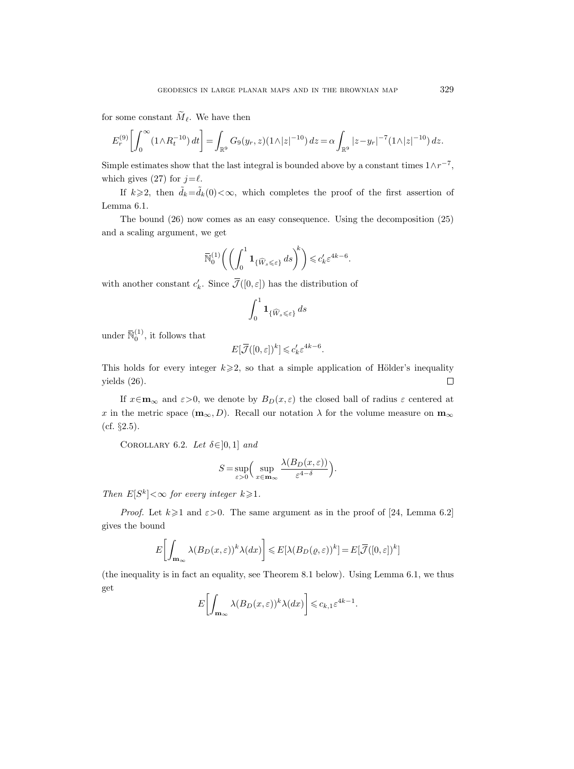for some constant  $\widetilde{M}_{\ell}$ . We have then

$$
E_r^{(9)} \left[ \int_0^\infty (1 \wedge R_t^{-10}) \, dt \right] = \int_{\mathbb{R}^9} G_9(y_r, z) (1 \wedge |z|^{-10}) \, dz = \alpha \int_{\mathbb{R}^9} |z - y_r|^{-7} (1 \wedge |z|^{-10}) \, dz.
$$

Simple estimates show that the last integral is bounded above by a constant times  $1 \wedge r^{-7}$ , which gives (27) for  $j=\ell$ .

If  $k\geq 2$ , then  $\tilde{d}_k=\tilde{d}_k(0)<\infty$ , which completes the proof of the first assertion of Lemma 6.1.

The bound (26) now comes as an easy consequence. Using the decomposition (25) and a scaling argument, we get

$$
\overline{\mathbb{N}}_0^{(1)} \bigg( \bigg( \int_0^1 \mathbf{1}_{\{\widehat{W}_s \leqslant \varepsilon\}} \, ds \bigg)^{\!k} \bigg) \leqslant c'_k \varepsilon^{4k - 6}.
$$

with another constant  $c'_k$ . Since  $\overline{\mathcal{J}}([0,\varepsilon])$  has the distribution of

$$
\int_0^1 \mathbf{1}_{\{\widehat{W}_s \leqslant \varepsilon\}} \, ds
$$

under  $\overline{\mathbb{N}}_0^{(1)}$ , it follows that

$$
E[\overline{\mathcal{J}}([0,\varepsilon])^k] \leqslant c'_k \varepsilon^{4k-6}.
$$

This holds for every integer  $k \geqslant 2$ , so that a simple application of Hölder's inequality yields (26).  $\Box$ 

If  $x \in \mathbf{m}_{\infty}$  and  $\varepsilon > 0$ , we denote by  $B_D(x, \varepsilon)$  the closed ball of radius  $\varepsilon$  centered at x in the metric space  $(m_{\infty}, D)$ . Recall our notation  $\lambda$  for the volume measure on  $m_{\infty}$ (cf. §2.5).

COROLLARY 6.2. Let  $\delta \in ]0,1]$  and

$$
S = \sup_{\varepsilon > 0} \Big( \sup_{x \in \mathbf{m}_{\infty}} \frac{\lambda(B_D(x, \varepsilon))}{\varepsilon^{4-\delta}} \Big).
$$

Then  $E[S^k]<\infty$  for every integer  $k\geqslant 1$ .

*Proof.* Let  $k \ge 1$  and  $\varepsilon > 0$ . The same argument as in the proof of [24, Lemma 6.2] gives the bound

$$
E\bigg[\int_{\mathbf{m}_{\infty}} \lambda(B_D(x,\varepsilon))^k \lambda(dx)\bigg] \leqslant E[\lambda(B_D(\varrho,\varepsilon))^k] = E[\overline{\mathcal{J}}([0,\varepsilon])^k]
$$

(the inequality is in fact an equality, see Theorem 8.1 below). Using Lemma 6.1, we thus get

$$
E\bigg[\int_{\mathbf{m}_{\infty}} \lambda(B_D(x,\varepsilon))^k \lambda(dx)\bigg] \leqslant c_{k,1} \varepsilon^{4k-1}.
$$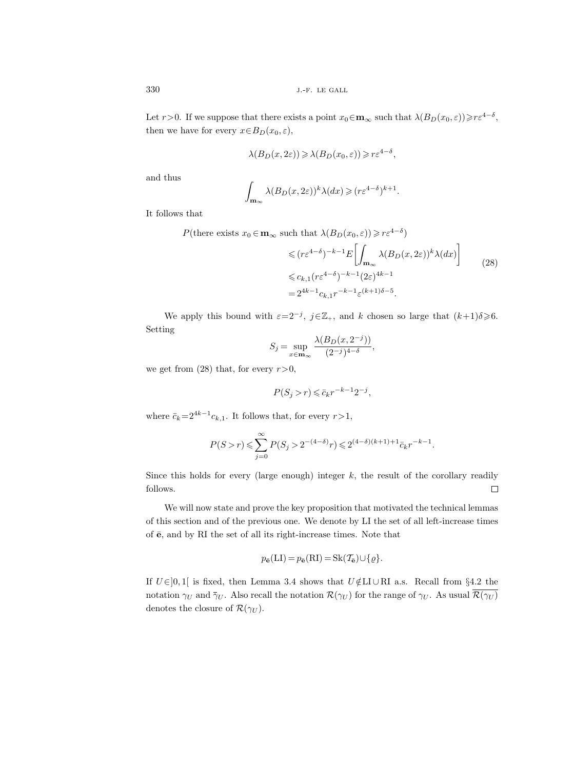Let  $r>0$ . If we suppose that there exists a point  $x_0 \in \mathbf{m}_{\infty}$  such that  $\lambda(B_D(x_0, \varepsilon)) \geq r \varepsilon^{4-\delta}$ , then we have for every  $x \in B_D(x_0, \varepsilon)$ ,

$$
\lambda(B_D(x, 2\varepsilon)) \geqslant \lambda(B_D(x_0, \varepsilon)) \geqslant r\varepsilon^{4-\delta},
$$

and thus

$$
\int_{\mathbf{m}_{\infty}} \lambda(B_D(x, 2\varepsilon))^k \lambda(dx) \geqslant (r\varepsilon^{4-\delta})^{k+1}
$$

It follows that

$$
P(\text{there exists } x_0 \in \mathbf{m}_{\infty} \text{ such that } \lambda(B_D(x_0, \varepsilon)) \ge r\varepsilon^{4-\delta})
$$
  
\$\le (r\varepsilon^{4-\delta})^{-k-1}E\left[\int\_{\mathbf{m}\_{\infty}} \lambda(B\_D(x, 2\varepsilon))^k \lambda(dx)\right]\$ (28)  
\$\le c\_{k,1}(r\varepsilon^{4-\delta})^{-k-1}(2\varepsilon)^{4k-1}\$  
= 2^{4k-1}c\_{k,1}r^{-k-1}\varepsilon^{(k+1)\delta-5}\$.

.

We apply this bound with  $\varepsilon = 2^{-j}$ ,  $j \in \mathbb{Z}_+$ , and k chosen so large that  $(k+1)\delta \geq 6$ . Setting

$$
S_j = \sup_{x \in \mathbf{m}_{\infty}} \frac{\lambda(B_D(x, 2^{-j}))}{(2^{-j})^{4-\delta}},
$$

we get from (28) that, for every  $r>0$ ,

$$
P(S_j > r) \leqslant \bar{c}_k r^{-k-1} 2^{-j},
$$

where  $\bar{c}_k = 2^{4k-1}c_{k,1}$ . It follows that, for every  $r > 1$ ,

$$
P(S > r) \leqslant \sum_{j=0}^{\infty} P(S_j > 2^{-(4-\delta)}r) \leqslant 2^{(4-\delta)(k+1)+1}\bar{c}_k r^{-k-1}.
$$

Since this holds for every (large enough) integer  $k$ , the result of the corollary readily follows.  $\Box$ 

We will now state and prove the key proposition that motivated the technical lemmas of this section and of the previous one. We denote by LI the set of all left-increase times of  $\bar{e}$ , and by RI the set of all its right-increase times. Note that

$$
p_{\bar{\mathbf{e}}}(\mathbf{LI}) = p_{\bar{\mathbf{e}}}(\mathbf{RI}) = \mathbf{Sk}(\mathcal{T}_{\bar{\mathbf{e}}}) \cup \{\varrho\}.
$$

If  $U \in ]0,1[$  is fixed, then Lemma 3.4 shows that  $U \notin L\cup \text{RI}$  a.s. Recall from §4.2 the notation  $\gamma_U$  and  $\bar{\gamma}_U$ . Also recall the notation  $\mathcal{R}(\gamma_U)$  for the range of  $\gamma_U$ . As usual  $\overline{\mathcal{R}(\gamma_U)}$ denotes the closure of  $\mathcal{R}(\gamma_U)$ .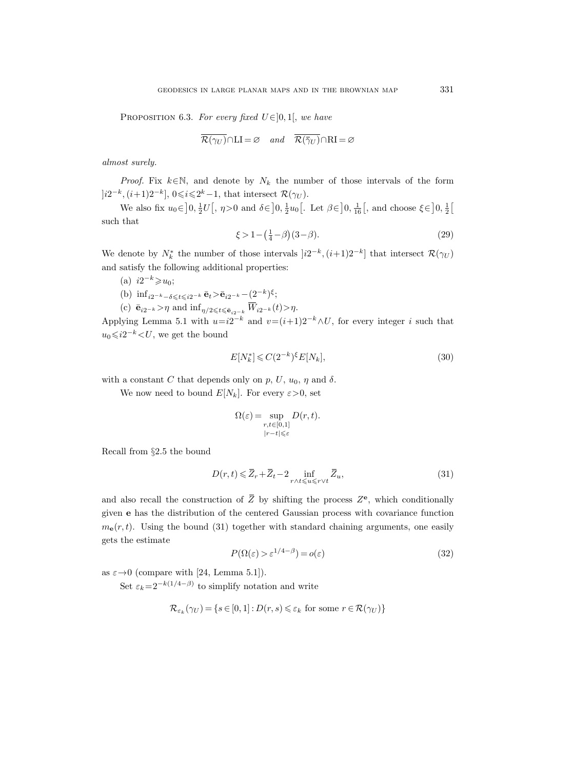PROPOSITION 6.3. For every fixed  $U \in ]0,1[$ , we have

$$
\overline{\mathcal{R}(\gamma_U)} \cap \text{LI} = \varnothing \quad and \quad \overline{\mathcal{R}(\overline{\gamma}_U)} \cap \text{RI} = \varnothing
$$

almost surely.

*Proof.* Fix  $k \in \mathbb{N}$ , and denote by  $N_k$  the number of those intervals of the form  $[i2^{-k}, (i+1)2^{-k}]$ ,  $0 \le i \le 2^{k}-1$ , that intersect  $\mathcal{R}(\gamma_U)$ .

We also fix  $u_0 \in ]0, \frac{1}{2}U[$ ,  $\eta > 0$  and  $\delta \in ]0, \frac{1}{2}u_0[$ . Let  $\beta \in ]0, \frac{1}{16}[$ , and choose  $\xi \in ]0, \frac{1}{2}[$ such that

$$
\xi > 1 - \left(\frac{1}{4} - \beta\right)(3 - \beta). \tag{29}
$$

We denote by  $N_k^*$  the number of those intervals  $[i2^{-k}, (i+1)2^{-k}]$  that intersect  $\mathcal{R}(\gamma_U)$ and satisfy the following additional properties:

- (a)  $i2^{-k} \geqslant u_0$ ;
- (b)  $\inf_{i2^{-k}-\delta \leqslant t \leqslant i2^{-k}} \bar{\mathbf{e}}_t > \bar{\mathbf{e}}_{i2^{-k}} (2^{-k})^{\xi};$
- (c)  $\bar{\mathbf{e}}_{i2^{-k}} > \eta$  and  $\inf_{\eta/2 \leq t \leq \bar{\mathbf{e}}_{i2^{-k}}} \overline{W}_{i2^{-k}}(t) > \eta$ .

Applying Lemma 5.1 with  $u=i2^{-k}$  and  $v=(i+1)2^{-k} \wedge U$ , for every integer i such that  $u_0 \leqslant i2^{-k} \lt U$ , we get the bound

$$
E[N_k^*] \leqslant C(2^{-k})^{\xi} E[N_k],\tag{30}
$$

with a constant C that depends only on p, U,  $u_0$ ,  $\eta$  and  $\delta$ .

We now need to bound  $E[N_k]$ . For every  $\varepsilon > 0$ , set

$$
\Omega(\varepsilon) = \sup_{\substack{r,t \in [0,1] \\ |r-t| \leqslant \varepsilon}} D(r,t).
$$

Recall from §2.5 the bound

$$
D(r,t) \leq \overline{Z}_r + \overline{Z}_t - 2 \inf_{r \wedge t \leq u \leq r \vee t} \overline{Z}_u,
$$
\n(31)

and also recall the construction of  $\overline{Z}$  by shifting the process  $Z^{\mathbf{e}}$ , which conditionally given e has the distribution of the centered Gaussian process with covariance function  $m_e(r, t)$ . Using the bound (31) together with standard chaining arguments, one easily gets the estimate

$$
P(\Omega(\varepsilon) > \varepsilon^{1/4 - \beta}) = o(\varepsilon)
$$
\n(32)

as  $\varepsilon \rightarrow 0$  (compare with [24, Lemma 5.1]).

Set  $\varepsilon_k = 2^{-k(1/4-\beta)}$  to simplify notation and write

$$
\mathcal{R}_{\varepsilon_k}(\gamma_U) = \{ s \in [0,1] : D(r,s) \leq \varepsilon_k \text{ for some } r \in \mathcal{R}(\gamma_U) \}
$$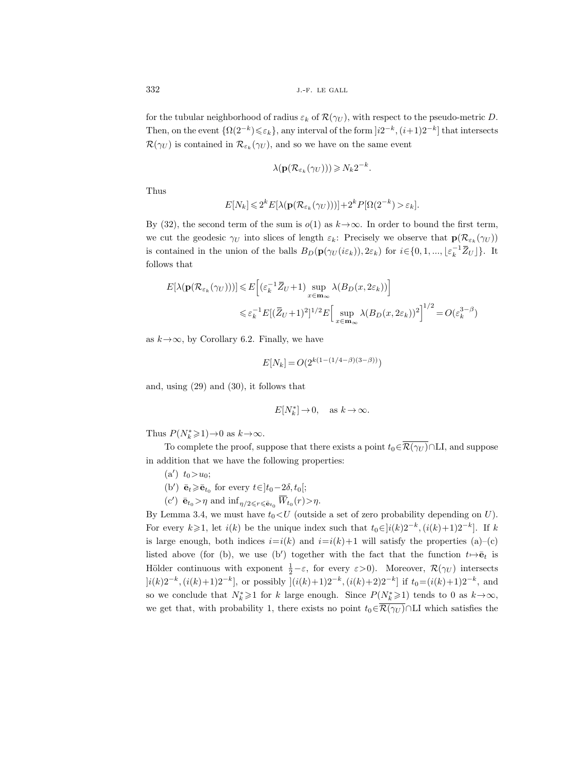for the tubular neighborhood of radius  $\varepsilon_k$  of  $\mathcal{R}(\gamma_U)$ , with respect to the pseudo-metric D. Then, on the event  $\{\Omega(2^{-k})\leqslant\varepsilon_k\}$ , any interval of the form  $]i2^{-k},(i+1)2^{-k}]$  that intersects  $\mathcal{R}(\gamma_U)$  is contained in  $\mathcal{R}_{\varepsilon_k}(\gamma_U)$ , and so we have on the same event

$$
\lambda(\mathbf{p}(\mathcal{R}_{\varepsilon_k}(\gamma_U))) \geqslant N_k 2^{-k}.
$$

Thus

$$
E[N_k] \leq 2^k E[\lambda(\mathbf{p}(\mathcal{R}_{\varepsilon_k}(\gamma_U)))]+2^k P[\Omega(2^{-k})>\varepsilon_k].
$$

By (32), the second term of the sum is  $o(1)$  as  $k \rightarrow \infty$ . In order to bound the first term, we cut the geodesic  $\gamma_U$  into slices of length  $\varepsilon_k$ : Precisely we observe that  ${\bf p}({\cal R}_{\varepsilon_k}(\gamma_U))$ is contained in the union of the balls  $B_D(\mathbf{p}(\gamma_U(i\varepsilon_k)), 2\varepsilon_k)$  for  $i \in \{0, 1, ..., \lfloor \varepsilon_k^{-1} \bar{Z}_U \rfloor \}$ . It follows that

$$
E[\lambda(\mathbf{p}(\mathcal{R}_{\varepsilon_k}(\gamma_U)))] \leq E\Big[(\varepsilon_k^{-1}\overline{Z}_U + 1)\sup_{x \in \mathbf{m}_\infty} \lambda(B_D(x, 2\varepsilon_k))\Big]
$$
  

$$
\leq \varepsilon_k^{-1} E[(\overline{Z}_U + 1)^2]^{1/2} E\Big[\sup_{x \in \mathbf{m}_\infty} \lambda(B_D(x, 2\varepsilon_k))^2\Big]^{1/2} = O(\varepsilon_k^{3-\beta})
$$

as  $k \rightarrow \infty$ , by Corollary 6.2. Finally, we have

$$
E[N_k] = O(2^{k(1 - (1/4 - \beta)(3 - \beta))})
$$

and, using (29) and (30), it follows that

$$
E[N_k^*]\to 0,\quad \text{as } k\to\infty.
$$

Thus  $P(N_k^* \geq 1) \rightarrow 0$  as  $k \rightarrow \infty$ .

To complete the proof, suppose that there exists a point  $t_0 \in \overline{\mathcal{R}(\gamma_U)} \cap L I$ , and suppose in addition that we have the following properties:

- $(a') \t t_0 > u_0;$
- (b')  $\bar{\mathbf{e}}_t \geq \bar{\mathbf{e}}_{t_0}$  for every  $t \in ]t_0-2\delta, t_0[;$
- (c')  $\bar{\mathbf{e}}_{t_0} > \eta$  and  $\inf_{\eta/2 \leq r \leq \bar{\mathbf{e}}_{t_0}} \overline{W}_{t_0}(r) > \eta$ .

By Lemma 3.4, we must have  $t_0 < U$  (outside a set of zero probability depending on U). For every  $k \geq 1$ , let  $i(k)$  be the unique index such that  $t_0 \in ]i(k)2^{-k}, (i(k)+1)2^{-k}]$ . If k is large enough, both indices  $i=i(k)$  and  $i=i(k)+1$  will satisfy the properties (a)–(c) listed above (for (b), we use (b') together with the fact that the function  $t \mapsto \bar{e}_t$  is Hölder continuous with exponent  $\frac{1}{2} - \varepsilon$ , for every  $\varepsilon > 0$ ). Moreover,  $\mathcal{R}(\gamma_U)$  intersects  $[i(k)2^{-k}, (i(k)+1)2^{-k}]$ , or possibly  $](i(k)+1)2^{-k}, (i(k)+2)2^{-k}]$  if  $t_0=(i(k)+1)2^{-k}$ , and so we conclude that  $N_k^* \geq 1$  for k large enough. Since  $P(N_k^* \geq 1)$  tends to 0 as  $k \to \infty$ , we get that, with probability 1, there exists no point  $t_0 \in \overline{\mathcal{R}(\gamma_U)} \cap \text{LI}$  which satisfies the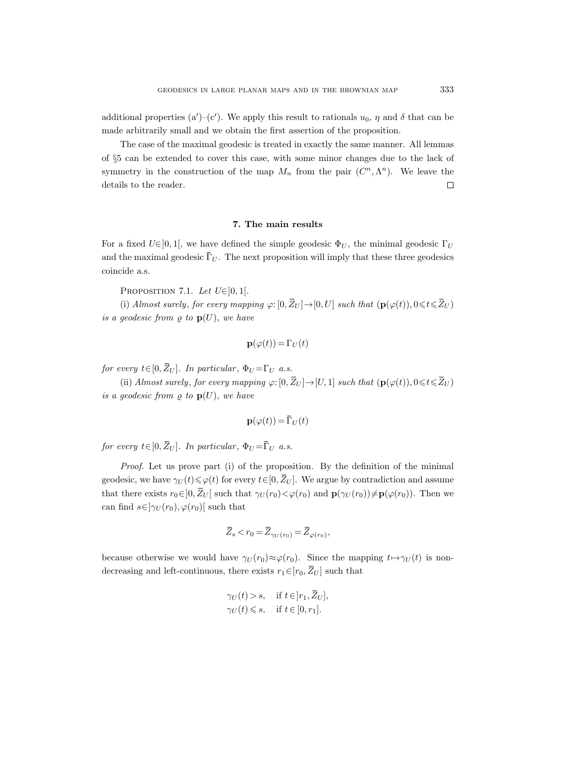additional properties (a')–(c'). We apply this result to rationals  $u_0$ ,  $\eta$  and  $\delta$  that can be made arbitrarily small and we obtain the first assertion of the proposition.

The case of the maximal geodesic is treated in exactly the same manner. All lemmas of §5 can be extended to cover this case, with some minor changes due to the lack of symmetry in the construction of the map  $M_n$  from the pair  $(C^n, \Lambda^n)$ . We leave the details to the reader.  $\Box$ 

### 7. The main results

For a fixed  $U\epsilon$ ]0, 1[, we have defined the simple geodesic  $\Phi_U$ , the minimal geodesic  $\Gamma_U$ and the maximal geodesic  $\overline{\Gamma}_U$ . The next proposition will imply that these three geodesics coincide a.s.

PROPOSITION 7.1. Let  $U \in ]0,1[$ .

(i) Almost surely, for every mapping  $\varphi: [0, \bar{Z}_U] \to [0, U]$  such that  $(\mathbf{p}(\varphi(t)), 0 \leq t \leq \bar{Z}_U)$ is a geodesic from  $\rho$  to  $p(U)$ , we have

$$
\mathbf{p}(\varphi(t)) = \Gamma_U(t)
$$

for every  $t \in [0, \bar{Z}_U]$ . In particular,  $\Phi_U = \Gamma_U$  a.s.

(ii) Almost surely, for every mapping  $\varphi: [0, \bar{Z}_U] \to [U, 1]$  such that  $(\mathbf{p}(\varphi(t)), 0 \leq t \leq \bar{Z}_U )$ is a geodesic from  $\rho$  to  $p(U)$ , we have

$$
\mathbf{p}(\varphi(t)) = \bar{\Gamma}_U(t)
$$

for every  $t\in[0,\bar{Z}_U].$  In particular,  $\Phi_U = \bar{\Gamma}_U$  a.s.

Proof. Let us prove part (i) of the proposition. By the definition of the minimal geodesic, we have  $\gamma_U(t) \leq \varphi(t)$  for every  $t \in [0, \bar{Z}_U]$ . We argue by contradiction and assume that there exists  $r_0 \in ]0, \bar{Z}_U[$  such that  $\gamma_U(r_0) < \varphi(r_0)$  and  $\mathbf{p}(\gamma_U(r_0)) \neq \mathbf{p}(\varphi(r_0))$ . Then we can find  $s \in ]\gamma_U(r_0), \varphi(r_0)]$  such that

$$
\overline{Z}_s < r_0 = \overline{Z}_{\gamma_U(r_0)} = \overline{Z}_{\varphi(r_0)},
$$

because otherwise we would have  $\gamma_U(r_0) \approx \varphi(r_0)$ . Since the mapping  $t \mapsto \gamma_U(t)$  is nondecreasing and left-continuous, there exists  $r_1 \in [r_0, \overline{Z}_U]$  such that

$$
\gamma_U(t) > s, \quad \text{if } t \in ]r_1, \bar{Z}_U],
$$
\n
$$
\gamma_U(t) \leq s, \quad \text{if } t \in [0, r_1].
$$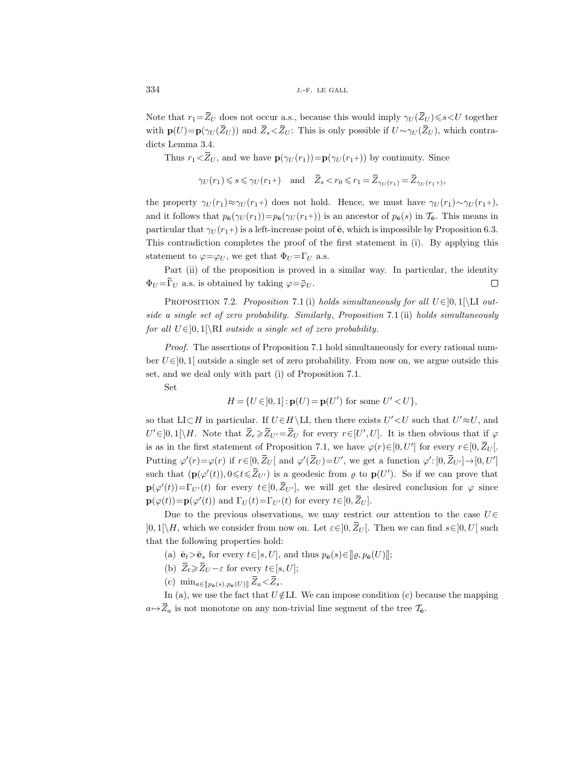Note that  $r_1=\overline{Z}_U$  does not occur a.s., because this would imply  $\gamma_U(\overline{Z}_U) \leq s < U$  together with  $p(U)=p(\gamma_U(\bar{Z}_U))$  and  $\bar{Z}_s<\bar{Z}_U$ : This is only possible if  $U\sim \gamma_U(\bar{Z}_U)$ , which contradicts Lemma 3.4.

Thus  $r_1 < Z_U$ , and we have  $\mathbf{p}(\gamma_U(r_1)) = \mathbf{p}(\gamma_U(r_1))$  by continuity. Since

 $\gamma_U(r_1) \leqslant s \leqslant \gamma_U(r_1+)$  and  $\overline{Z}_s < r_0 \leqslant r_1 = \overline{Z}_{\gamma_U(r_1)} = \overline{Z}_{\gamma_U(r_1+)},$ 

the property  $\gamma_U(r_1) \approx \gamma_U(r_1+)$  does not hold. Hence, we must have  $\gamma_U(r_1) \sim \gamma_U(r_1+)$ , and it follows that  $p_{\bar{\mathbf{e}}}(r_U(r_1))=p_{\bar{\mathbf{e}}}(r_U(r_1+))$  is an ancestor of  $p_{\bar{\mathbf{e}}}(s)$  in  $\mathcal{T}_{\bar{\mathbf{e}}}.$  This means in particular that  $\gamma_U(r_1+)$  is a left-increase point of  $\bar{e}$ , which is impossible by Proposition 6.3. This contradiction completes the proof of the first statement in (i). By applying this statement to  $\varphi = \varphi_U$ , we get that  $\Phi_U = \Gamma_U$  a.s.

Part (ii) of the proposition is proved in a similar way. In particular, the identity  $\Phi_U = \Gamma_U$  a.s. is obtained by taking  $\varphi = \bar{\varphi}_U$ .  $\Box$ 

PROPOSITION 7.2. Proposition 7.1 (i) holds simultaneously for all  $U \in ]0,1[\L]$  outside a single set of zero probability. Similarly, Proposition 7.1 (ii) holds simultaneously for all  $U \in ]0,1[\R{I}$  outside a single set of zero probability.

Proof. The assertions of Proposition 7.1 hold simultaneously for every rational number  $U\in]0,1[$  outside a single set of zero probability. From now on, we argue outside this set, and we deal only with part (i) of Proposition 7.1.

Set

$$
H = \{ U \in ]0,1] : \mathbf{p}(U) = \mathbf{p}(U') \text{ for some } U' < U \},
$$

so that LI $\subset H$  in particular. If  $U \in H \backslash$  LI, then there exists  $U' \lt U$  such that  $U' \approx U$ , and  $U' \in ]0,1[\setminus H]$ . Note that  $\overline{Z}_r \geq \overline{Z}_{U'} = \overline{Z}_U$  for every  $r \in [U', U]$ . It is then obvious that if  $\varphi$ is as in the first statement of Proposition 7.1, we have  $\varphi(r) \in [0, U']$  for every  $r \in [0, \overline{Z}_U]$ . Putting  $\varphi'(r) = \varphi(r)$  if  $r \in [0, \bar{Z}_U]$  and  $\varphi'(\bar{Z}_U) = U'$ , we get a function  $\varphi' : [0, \bar{Z}_{U'}] \to [0, U']$ such that  $(\mathbf{p}(\varphi'(t)), 0 \leq t \leq \overline{Z}_{U'})$  is a geodesic from  $\varrho$  to  $\mathbf{p}(U')$ . So if we can prove that  $\mathbf{p}(\varphi'(t)) = \Gamma_{U'}(t)$  for every  $t \in [0, \bar{Z}_{U'}]$ , we will get the desired conclusion for  $\varphi$  since  $\mathbf{p}(\varphi(t))\!=\!\mathbf{p}(\varphi'(t))$  and  $\Gamma_U(t)\!=\!\Gamma_{U'}(t)$  for every  $t\!\in\![0,\bar{Z}_U].$ 

Due to the previous observations, we may restrict our attention to the case  $U\in$  $[0,1[\Hbox{$\bigwedge$} H]$ , which we consider from now on. Let  $\varepsilon \in ]0,Z_U[$ . Then we can find  $s \in ]0,U[$  such that the following properties hold:

- (a)  $\bar{\mathbf{e}}_t > \bar{\mathbf{e}}_s$  for every  $t \in ]s, U]$ , and thus  $p_{\bar{\mathbf{e}}}(s) \in ]\!] \varrho, p_{\bar{\mathbf{e}}}(U)[\!]$ ;
- (b)  $\bar{Z}_t \ge \bar{Z}_U \varepsilon$  for every  $t \in [s, U];$
- (c)  $\min_{a \in [\![p_{\bar{\mathbf{e}}}(s), p_{\bar{\mathbf{e}}}(U)]\!]} Z_a \! < \! Z_s.$

In (a), we use the fact that  $U \notin L$ I. We can impose condition (c) because the mapping  $a \mapsto Z_a$  is not monotone on any non-trivial line segment of the tree  $\mathcal{T}_{\mathbf{e}}$ .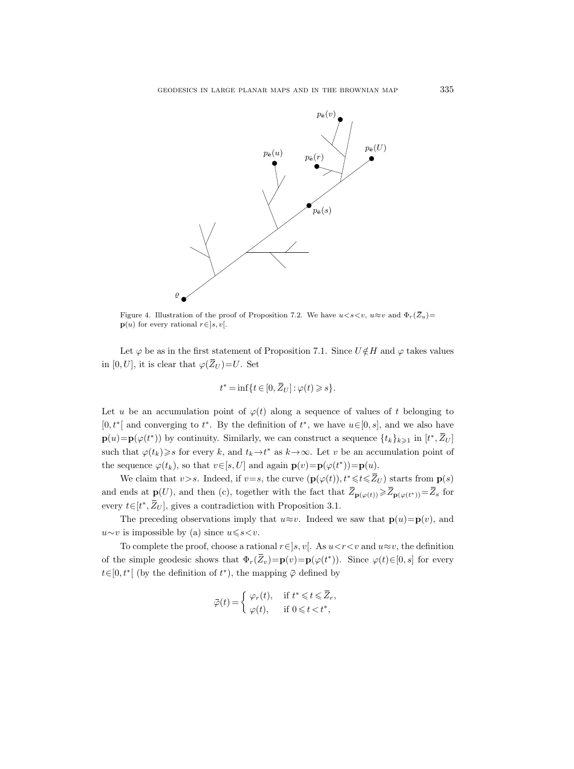

Figure 4. Illustration of the proof of Proposition 7.2. We have  $u < s < v$ ,  $u \approx v$  and  $\Phi_r(\overline{Z}_u)$  =  $\mathbf{p}(u)$  for every rational  $r \in [s, v]$ .

Let  $\varphi$  be as in the first statement of Proposition 7.1. Since  $U \notin H$  and  $\varphi$  takes values in [0, U], it is clear that  $\varphi(\bar{Z}_U) = U$ . Set

$$
t^* = \inf\{t \in [0, \bar{Z}_U] : \varphi(t) \geqslant s\}.
$$

Let u be an accumulation point of  $\varphi(t)$  along a sequence of values of t belonging to [0,  $t^*$ [ and converging to  $t^*$ . By the definition of  $t^*$ , we have  $u \in [0, s]$ , and we also have  $\mathbf{p}(u) = \mathbf{p}(\varphi(t^*))$  by continuity. Similarly, we can construct a sequence  $\{t_k\}_{k\geqslant 1}$  in  $[t^*, \overline{Z}_U]$ such that  $\varphi(t_k) \geq s$  for every k, and  $t_k \to t^*$  as  $k \to \infty$ . Let v be an accumulation point of the sequence  $\varphi(t_k)$ , so that  $v \in [s, U]$  and again  $\mathbf{p}(v) = \mathbf{p}(\varphi(t^*)) = \mathbf{p}(u)$ .

We claim that v>s. Indeed, if v=s, the curve  $(\mathbf{p}(\varphi(t)), t^* \leq t \leq \overline{Z}_U)$  starts from  $\mathbf{p}(s)$ and ends at  $\mathbf{p}(U)$ , and then (c), together with the fact that  $\overline{Z}_{\mathbf{p}(\varphi(t))} \geq \overline{Z}_{\mathbf{p}(\varphi(t^*))} = \overline{Z}_s$  for every  $t \in [t^*, \overline{Z}_U]$ , gives a contradiction with Proposition 3.1.

The preceding observations imply that  $u \approx v$ . Indeed we saw that  $\mathbf{p}(u) = \mathbf{p}(v)$ , and  $u \sim v$  is impossible by (a) since  $u \le s \lt v$ .

To complete the proof, choose a rational  $r \in ]s, v[$ . As  $u < r < v$  and  $u \approx v$ , the definition of the simple geodesic shows that  $\Phi_r(\bar{Z}_v) = \mathbf{p}(v) = \mathbf{p}(\varphi(t^*))$ . Since  $\varphi(t) \in [0, s]$  for every  $t \in [0, t^*]$  (by the definition of  $t^*$ ), the mapping  $\bar{\varphi}$  defined by

$$
\bar{\varphi}(t) = \begin{cases} \varphi_r(t), & \text{if } t^* \leqslant t \leqslant \overline{Z}_r, \\ \varphi(t), & \text{if } 0 \leqslant t < t^*, \end{cases}
$$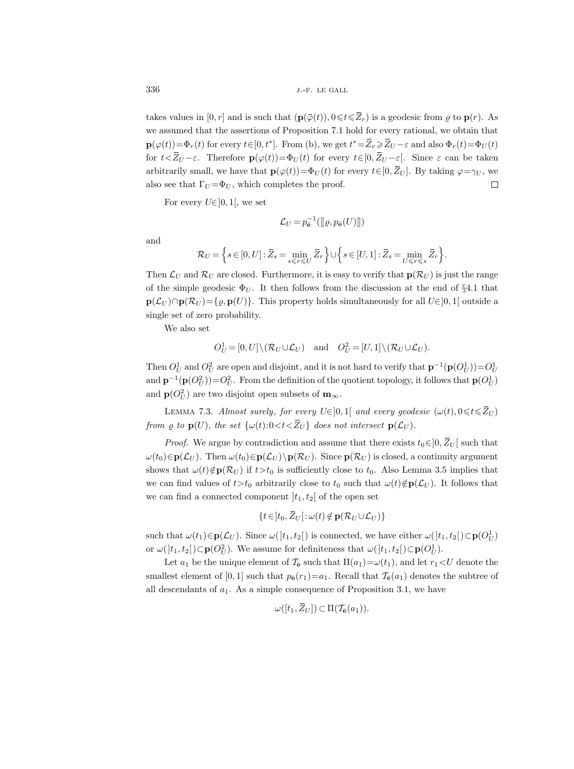takes values in  $[0, r]$  and is such that  $(\mathbf{p}(\overline{\varphi}(t)), 0 \leq t \leq \overline{Z}_r)$  is a geodesic from  $\rho$  to  $\mathbf{p}(r)$ . As we assumed that the assertions of Proposition 7.1 hold for every rational, we obtain that  $\mathbf{p}(\varphi(t)) = \Phi_r(t)$  for every  $t \in [0, t^*]$ . From (b), we get  $t^* = \overline{Z}_v \ge \overline{Z}_U - \varepsilon$  and also  $\Phi_r(t) = \Phi_U(t)$ for  $t\le\overline{Z}_U-\varepsilon$ . Therefore  $\mathbf{p}(\varphi(t))=\Phi_U(t)$  for every  $t\in[0,\overline{Z}_U-\varepsilon]$ . Since  $\varepsilon$  can be taken arbitrarily small, we have that  $\mathbf{p}(\varphi(t)) = \Phi_U(t)$  for every  $t \in [0, \bar{Z}_U]$ . By taking  $\varphi = \gamma_U$ , we also see that  $\Gamma_U = \Phi_U$ , which completes the proof.  $\Box$ 

For every  $U \in ]0,1[$ , we set

$$
\mathcal{L}_U = p_{\mathbf{\bar{e}}}^{-1}(\llbracket \varrho, p_{\mathbf{\bar{e}}}(U)\rrbracket)
$$

and

$$
\mathcal{R}_U = \left\{ s \in [0, U] : \overline{Z}_s = \min_{s \le r \le U} \overline{Z}_r \right\} \cup \left\{ s \in [U, 1] : \overline{Z}_s = \min_{U \le r \le s} \overline{Z}_r \right\}.
$$

Then  $\mathcal{L}_U$  and  $\mathcal{R}_U$  are closed. Furthermore, it is easy to verify that  $\mathbf{p}(\mathcal{R}_U)$  is just the range of the simple geodesic  $\Phi_U$ . It then follows from the discussion at the end of §4.1 that  $\mathbf{p}(\mathcal{L}_U) \cap \mathbf{p}(\mathcal{R}_U) = \{ \varrho, \mathbf{p}(U) \}.$  This property holds simultaneously for all  $U \in ]0,1[$  outside a single set of zero probability.

We also set

$$
O_U^1 = [0, U] \setminus (\mathcal{R}_U \cup \mathcal{L}_U)
$$
 and  $O_U^2 = [U, 1] \setminus (\mathcal{R}_U \cup \mathcal{L}_U)$ .

Then  $O_U^1$  and  $O_U^2$  are open and disjoint, and it is not hard to verify that  $\mathbf{p}^{-1}(\mathbf{p}(O_U^1)) = O_U^1$ and  $\mathbf{p}^{-1}(\mathbf{p}(O_U^2)) = O_U^2$ . From the definition of the quotient topology, it follows that  $\mathbf{p}(O_U^1)$ and  $\mathbf{p}(O_U^2)$  are two disjoint open subsets of  $\mathbf{m}_{\infty}$ .

LEMMA 7.3. Almost surely, for every U∈[0,1] and every geodesic  $(\omega(t), 0 \leq t \leq \overline{Z}_U)$ from  $\rho$  to  $\mathbf{p}(U)$ , the set  $\{\omega(t): 0 < t < \overline{Z}_U\}$  does not intersect  $\mathbf{p}(\mathcal{L}_U)$ .

*Proof.* We argue by contradiction and assume that there exists  $t_0 \in ]0, \overline{Z}_U[$  such that  $\omega(t_0) \in \mathbf{p}(\mathcal{L}_U)$ . Then  $\omega(t_0) \in \mathbf{p}(\mathcal{L}_U) \backslash \mathbf{p}(\mathcal{R}_U)$ . Since  $\mathbf{p}(\mathcal{R}_U)$  is closed, a continuity argument shows that  $\omega(t)\notin\mathbf{p}(\mathcal{R}_U)$  if  $t>t_0$  is sufficiently close to  $t_0$ . Also Lemma 3.5 implies that we can find values of  $t>t_0$  arbitrarily close to  $t_0$  such that  $\omega(t)\notin{\bf p}(\mathcal{L}_U)$ . It follows that we can find a connected component  $]t_1, t_2[$  of the open set

$$
\{t\in]t_0,\overline{Z}_U[\colon\omega(t)\notin\mathbf{p}(\mathcal{R}_U\cup\mathcal{L}_U)\}\
$$

such that  $\omega(t_1) \in \mathbf{p}(\mathcal{L}_U)$ . Since  $\omega([t_1, t_2])$  is connected, we have either  $\omega([t_1, t_2]) \subset \mathbf{p}(O_U^1)$ or  $\omega(]t_1, t_2[) \subset \mathbf{p}(O_U^2)$ . We assume for definiteness that  $\omega(]t_1, t_2[) \subset \mathbf{p}(O_U^1)$ .

Let  $a_1$  be the unique element of  $\mathcal{T}_{\mathbf{\bar{e}}}$  such that  $\Pi(a_1)=\omega(t_1)$ , and let  $r_1 < U$  denote the smallest element of [0, 1] such that  $p_{\mathbf{\bar{e}}}(r_1)=a_1$ . Recall that  $\mathcal{T}_{\mathbf{\bar{e}}}(a_1)$  denotes the subtree of all descendants of  $a_1$ . As a simple consequence of Proposition 3.1, we have

$$
\omega([t_1,\overline{Z}_U]) \subset \Pi(\mathcal{T}_{\overline{e}}(a_1)).
$$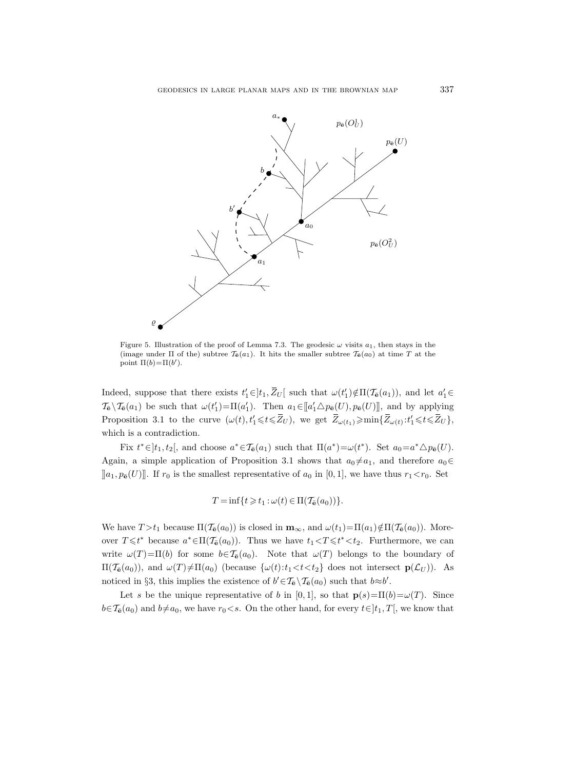

Figure 5. Illustration of the proof of Lemma 7.3. The geodesic  $\omega$  visits  $a_1$ , then stays in the (image under  $\Pi$  of the) subtree  $\mathcal{T}_{\mathbf{\bar{e}}}(a_1)$ . It hits the smaller subtree  $\mathcal{T}_{\mathbf{\bar{e}}}(a_0)$  at time T at the point  $\Pi(b) = \Pi(b').$ 

Indeed, suppose that there exists  $t'_1 \in ]t_1, \overline{Z}_U[$  such that  $\omega(t'_1) \notin \Pi(\mathcal{T}_{\bar{e}}(a_1))$ , and let  $a'_1 \in ]t'_1, t'_2]$  $\mathcal{T}_{\bar{\mathbf{e}}}\setminus\mathcal{T}_{\bar{\mathbf{e}}}(a_1)$  be such that  $\omega(t_1')=\Pi(a_1')$ . Then  $a_1\in[[a_1'\triangle p_{\bar{\mathbf{e}}}(U),p_{\bar{\mathbf{e}}}(U)]]$ , and by applying Proposition 3.1 to the curve  $(\omega(t), t'_1 \leq t \leq \overline{Z}_U)$ , we get  $\overline{Z}_{\omega(t_1)} \geq \min\{\overline{Z}_{\omega(t)} : t'_1 \leq t \leq \overline{Z}_U\}$ , which is a contradiction.

Fix  $t^* \in ]t_1, t_2[$ , and choose  $a^* \in \mathcal{T}_{\bar{\mathbf{e}}}(a_1)$  such that  $\Pi(a^*) = \omega(t^*)$ . Set  $a_0 = a^* \Delta p_{\bar{\mathbf{e}}}(U)$ . Again, a simple application of Proposition 3.1 shows that  $a_0 \neq a_1$ , and therefore  $a_0 \in$  $\llbracket a_1, p_{\bar{\mathbf{e}}}(U) \rrbracket$ . If  $r_0$  is the smallest representative of  $a_0$  in [0, 1], we have thus  $r_1 < r_0$ . Set

$$
T = \inf\{t \geq t_1 : \omega(t) \in \Pi(\mathcal{T}_{\bar{e}}(a_0))\}.
$$

We have  $T > t_1$  because  $\Pi(\mathcal{T}_{\mathbf{e}}(a_0))$  is closed in  $\mathbf{m}_{\infty}$ , and  $\omega(t_1)=\Pi(a_1)\notin\Pi(\mathcal{T}_{\mathbf{e}}(a_0))$ . Moreover  $T \leq t^*$  because  $a^* \in \Pi(\mathcal{T}_{\mathbf{e}}(a_0))$ . Thus we have  $t_1 < T \leq t^* < t_2$ . Furthermore, we can write  $\omega(T)=\Pi(b)$  for some  $b\in\mathcal{T}_{\mathbf{e}}(a_0)$ . Note that  $\omega(T)$  belongs to the boundary of  $\Pi(\mathcal{T}_{\bar{e}}(a_0))$ , and  $\omega(T)\neq\Pi(a_0)$  (because  $\{\omega(t):t_1< t< t_2\}$  does not intersect  $\mathbf{p}(\mathcal{L}_U)$ ). As noticed in §3, this implies the existence of  $b' \in \mathcal{T}_{\bar{e}} \setminus \mathcal{T}_{\bar{e}}(a_0)$  such that  $b \approx b'$ .

Let s be the unique representative of b in [0, 1], so that  $p(s)=\Pi(b)=\omega(T)$ . Since  $b\in\mathcal{T}_{\mathbf{e}}(a_0)$  and  $b\neq a_0$ , we have  $r_0\lt s$ . On the other hand, for every  $t\in]t_1, T[$ , we know that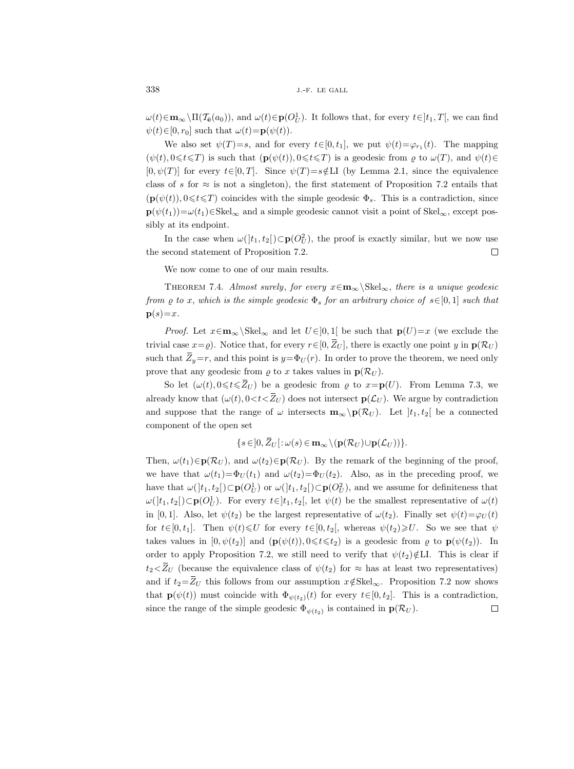$\omega(t) \in \mathbf{m}_{\infty} \setminus \Pi(\mathcal{T}_{\bar{\mathbf{e}}}(a_0)),$  and  $\omega(t) \in \mathbf{p}(O_U^1)$ . It follows that, for every  $t \in ]t_1, T[$ , we can find  $\psi(t) \in [0, r_0]$  such that  $\omega(t) = \mathbf{p}(\psi(t)).$ 

We also set  $\psi(T)=s$ , and for every  $t\in[0,t_1]$ , we put  $\psi(t)=\varphi_{r_1}(t)$ . The mapping  $(\psi(t), 0 \leq t \leq T)$  is such that  $(\mathbf{p}(\psi(t)), 0 \leq t \leq T)$  is a geodesic from  $\varrho$  to  $\omega(T)$ , and  $\psi(t) \in$  $[0, \psi(T)]$  for every  $t \in [0, T]$ . Since  $\psi(T)=s \notin L$ I (by Lemma 2.1, since the equivalence class of s for  $\approx$  is not a singleton), the first statement of Proposition 7.2 entails that  $(\mathbf{p}(\psi(t)), 0 \leq t \leq T)$  coincides with the simple geodesic  $\Phi_s$ . This is a contradiction, since  $\mathbf{p}(\psi(t_1))=\omega(t_1)\in\text{Skel}_{\infty}$  and a simple geodesic cannot visit a point of Skel<sub>∞</sub>, except possibly at its endpoint.

In the case when  $\omega($ ] $t_1, t_2$ [ $)$ ⊂ $\mathbf{p}(O_U^2)$ , the proof is exactly similar, but we now use the second statement of Proposition 7.2.  $\Box$ 

We now come to one of our main results.

THEOREM 7.4. Almost surely, for every  $x \in \mathbf{m}_{\infty} \backslash \text{Skel}_{\infty}$ , there is a unique geodesic from  $\varrho$  to x, which is the simple geodesic  $\Phi_s$  for an arbitrary choice of  $s \in [0,1]$  such that  $\mathbf{p}(s)=x$ .

*Proof.* Let  $x \in \mathbf{m}_{\infty} \backslash \text{Skel}_{\infty}$  and let  $U \in ]0,1[$  be such that  $p(U)=x$  (we exclude the trivial case  $x=\varrho$ ). Notice that, for every  $r\in[0,\bar{Z}_U]$ , there is exactly one point y in  $\mathbf{p}(\mathcal{R}_U)$ such that  $\bar{Z}_y=r$ , and this point is  $y=\Phi_U(r)$ . In order to prove the theorem, we need only prove that any geodesic from  $\rho$  to x takes values in  $p(\mathcal{R}_U)$ .

So let  $(\omega(t), 0 \leq t \leq \overline{Z}_U)$  be a geodesic from  $\varrho$  to  $x = \mathbf{p}(U)$ . From Lemma 7.3, we already know that  $(\omega(t), 0 < t < \bar{Z}_U)$  does not intersect  $\mathbf{p}(\mathcal{L}_U)$ . We argue by contradiction and suppose that the range of  $\omega$  intersects  $\mathbf{m}_{\infty} \backslash \mathbf{p}(\mathcal{R}_U)$ . Let  $|t_1, t_2|$  be a connected component of the open set

$$
\{s\in]0,\overline{Z}_U[\colon\omega(s)\in\mathbf{m}_{\infty}\setminus(\mathbf{p}(\mathcal{R}_U)\cup\mathbf{p}(\mathcal{L}_U))\}.
$$

Then,  $\omega(t_1) \in \mathbf{p}(\mathcal{R}_U)$ , and  $\omega(t_2) \in \mathbf{p}(\mathcal{R}_U)$ . By the remark of the beginning of the proof, we have that  $\omega(t_1)=\Phi_U(t_1)$  and  $\omega(t_2)=\Phi_U(t_2)$ . Also, as in the preceding proof, we have that  $\omega(]t_1, t_2[) \subset \mathbf{p}(O_U^1)$  or  $\omega(]t_1, t_2[) \subset \mathbf{p}(O_U^2)$ , and we assume for definiteness that  $\omega([t_1, t_2]) \subset \mathbf{p}(O_U^1)$ . For every  $t \in ]t_1, t_2[$ , let  $\psi(t)$  be the smallest representative of  $\omega(t)$ in [0,1]. Also, let  $\psi(t_2)$  be the largest representative of  $\omega(t_2)$ . Finally set  $\psi(t) = \varphi_U(t)$ for  $t \in [0, t_1]$ . Then  $\psi(t) \leq U$  for every  $t \in [0, t_2[$ , whereas  $\psi(t_2) \geq U$ . So we see that  $\psi$ takes values in  $[0, \psi(t_2)]$  and  $(\mathbf{p}(\psi(t)), 0 \leq t \leq t_2)$  is a geodesic from  $\varrho$  to  $\mathbf{p}(\psi(t_2))$ . In order to apply Proposition 7.2, we still need to verify that  $\psi(t_2)\notin L\mathcal{L}$ . This is clear if  $t_2 \lt Z_U$  (because the equivalence class of  $\psi(t_2)$  for  $\approx$  has at least two representatives) and if  $t_2=Z_U$  this follows from our assumption  $x \notin \text{Skel}_{\infty}$ . Proposition 7.2 now shows that  $\mathbf{p}(\psi(t))$  must coincide with  $\Phi_{\psi(t_2)}(t)$  for every  $t \in [0, t_2]$ . This is a contradiction, since the range of the simple geodesic  $\Phi_{\psi(t_2)}$  is contained in  $\mathbf{p}(\mathcal{R}_U)$ .  $\Box$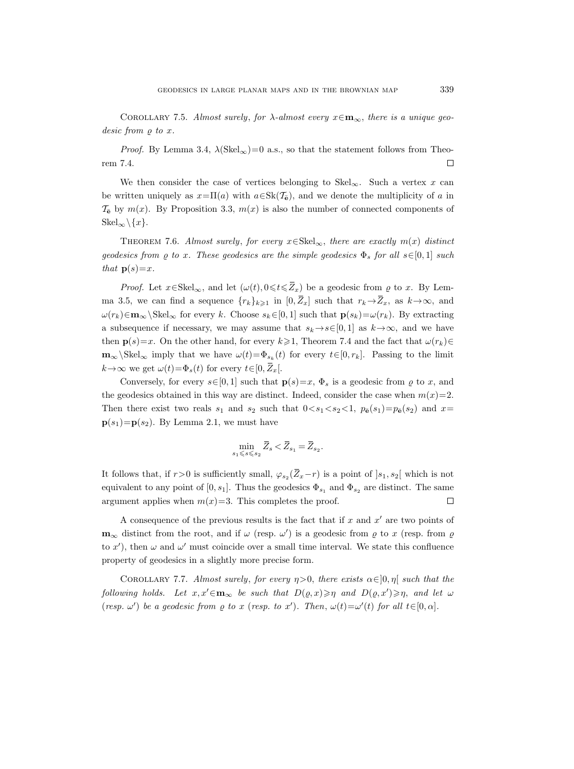COROLLARY 7.5. Almost surely, for  $\lambda$ -almost every  $x \in \mathbf{m}_{\infty}$ , there is a unique geodesic from  $\rho$  to x.

*Proof.* By Lemma 3.4,  $\lambda(Skel_{\infty})=0$  a.s., so that the statement follows from Theorem 7.4.  $\Box$ 

We then consider the case of vertices belonging to Skel<sub>∞</sub>. Such a vertex x can be written uniquely as  $x=\Pi(a)$  with  $a\in Sk(\mathcal{T}_{\Theta})$ , and we denote the multiplicity of a in  $\mathcal{T}_{\mathbf{\bar{e}}}$  by  $m(x)$ . By Proposition 3.3,  $m(x)$  is also the number of connected components of  $\text{Skel}_{\infty}\backslash\{x\}.$ 

THEOREM 7.6. Almost surely, for every  $x \in \text{Skel}_{\infty}$ , there are exactly  $m(x)$  distinct geodesics from  $\varrho$  to x. These geodesics are the simple geodesics  $\Phi_s$  for all  $s\in[0,1]$  such that  $p(s)=x$ .

*Proof.* Let  $x \in Skel_{\infty}$ , and let  $(\omega(t), 0 \leq t \leq \overline{Z}_x)$  be a geodesic from  $\varrho$  to x. By Lemma 3.5, we can find a sequence  $\{r_k\}_{k\geqslant1}$  in  $[0, \bar{Z}_x]$  such that  $r_k \rightarrow \bar{Z}_x$ , as  $k \rightarrow \infty$ , and  $\omega(r_k) \in \mathbf{m}_{\infty} \backslash \text{Skel}_{\infty}$  for every k. Choose  $s_k \in [0, 1]$  such that  $\mathbf{p}(s_k) = \omega(r_k)$ . By extracting a subsequence if necessary, we may assume that  $s_k \rightarrow s \in [0, 1]$  as  $k \rightarrow \infty$ , and we have then  $p(s)=x$ . On the other hand, for every  $k\geq 1$ , Theorem 7.4 and the fact that  $\omega(r_k)\in$  $\mathbf{m}_{\infty}\backslash\text{Skel}_{\infty}$  imply that we have  $\omega(t)=\Phi_{s_k}(t)$  for every  $t\in[0,r_k]$ . Passing to the limit  $k \rightarrow \infty$  we get  $\omega(t) = \Phi_s(t)$  for every  $t \in [0, \bar{Z}_x]$ .

Conversely, for every  $s\in[0,1]$  such that  $\mathbf{p}(s)=x, \Phi_s$  is a geodesic from  $\varrho$  to x, and the geodesics obtained in this way are distinct. Indeed, consider the case when  $m(x)=2$ . Then there exist two reals  $s_1$  and  $s_2$  such that  $0 < s_1 < s_2 < 1$ ,  $p_{\mathbf{\bar{e}}}(s_1) = p_{\mathbf{\bar{e}}}(s_2)$  and  $x=$  $p(s_1)=p(s_2)$ . By Lemma 2.1, we must have

$$
\min_{s_1 \leq s \leq s_2} \overline{Z}_s < \overline{Z}_{s_1} = \overline{Z}_{s_2}.
$$

It follows that, if  $r>0$  is sufficiently small,  $\varphi_{s_2}(\bar{Z}_x-r)$  is a point of  $]s_1, s_2[$  which is not equivalent to any point of  $[0, s_1]$ . Thus the geodesics  $\Phi_{s_1}$  and  $\Phi_{s_2}$  are distinct. The same argument applies when  $m(x)=3$ . This completes the proof.  $\Box$ 

A consequence of the previous results is the fact that if  $x$  and  $x'$  are two points of  $\mathbf{m}_{\infty}$  distinct from the root, and if  $\omega$  (resp.  $\omega'$ ) is a geodesic from  $\varrho$  to x (resp. from  $\varrho$ to x'), then  $\omega$  and  $\omega'$  must coincide over a small time interval. We state this confluence property of geodesics in a slightly more precise form.

COROLLARY 7.7. Almost surely, for every  $\eta > 0$ , there exists  $\alpha \in ]0, \eta[$  such that the following holds. Let  $x, x' \in \mathbf{m}_{\infty}$  be such that  $D(\varrho, x) \geqslant \eta$  and  $D(\varrho, x') \geqslant \eta$ , and let  $\omega$ (resp.  $\omega'$ ) be a geodesic from  $\rho$  to x (resp. to x'). Then,  $\omega(t) = \omega'(t)$  for all  $t \in [0, \alpha]$ .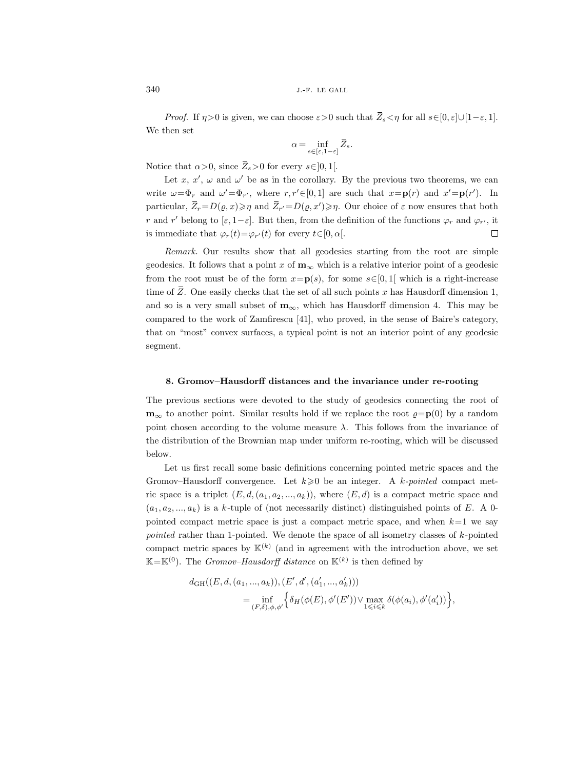*Proof.* If  $\eta > 0$  is given, we can choose  $\varepsilon > 0$  such that  $\overline{Z}_s < \eta$  for all  $s \in [0, \varepsilon] \cup [1-\varepsilon, 1]$ . We then set

$$
\alpha=\inf_{s\in [\varepsilon,1-\varepsilon]}\bar{Z}_{s}.
$$

Notice that  $\alpha > 0$ , since  $\overline{Z}_s > 0$  for every  $s \in ]0,1[$ .

Let x, x',  $\omega$  and  $\omega'$  be as in the corollary. By the previous two theorems, we can write  $\omega = \Phi_r$  and  $\omega' = \Phi_{r'}$ , where  $r, r' \in [0, 1]$  are such that  $x = \mathbf{p}(r)$  and  $x' = \mathbf{p}(r')$ . In particular,  $\overline{Z}_r = D(\varrho, x) \geqslant \eta$  and  $\overline{Z}_{r'} = D(\varrho, x') \geqslant \eta$ . Our choice of  $\varepsilon$  now ensures that both r and r' belong to  $[\varepsilon, 1-\varepsilon]$ . But then, from the definition of the functions  $\varphi_r$  and  $\varphi_{r'}$ , it  $\Box$ is immediate that  $\varphi_r(t) = \varphi_{r'}(t)$  for every  $t \in [0, \alpha]$ .

Remark. Our results show that all geodesics starting from the root are simple geodesics. It follows that a point x of  $\mathbf{m}_{\infty}$  which is a relative interior point of a geodesic from the root must be of the form  $x=p(s)$ , for some  $s\in[0,1]$  which is a right-increase time of  $Z$ . One easily checks that the set of all such points  $x$  has Hausdorff dimension 1, and so is a very small subset of  $m_{\infty}$ , which has Hausdorff dimension 4. This may be compared to the work of Zamfirescu [41], who proved, in the sense of Baire's category, that on "most" convex surfaces, a typical point is not an interior point of any geodesic segment.

### 8. Gromov–Hausdorff distances and the invariance under re-rooting

The previous sections were devoted to the study of geodesics connecting the root of  $\mathbf{m}_{\infty}$  to another point. Similar results hold if we replace the root  $\rho = \mathbf{p}(0)$  by a random point chosen according to the volume measure  $\lambda$ . This follows from the invariance of the distribution of the Brownian map under uniform re-rooting, which will be discussed below.

Let us first recall some basic definitions concerning pointed metric spaces and the Gromov–Hausdorff convergence. Let  $k \geqslant 0$  be an integer. A k-pointed compact metric space is a triplet  $(E, d, (a_1, a_2, ..., a_k))$ , where  $(E, d)$  is a compact metric space and  $(a_1, a_2, \ldots, a_k)$  is a k-tuple of (not necessarily distinct) distinguished points of E. A 0pointed compact metric space is just a compact metric space, and when  $k=1$  we say pointed rather than 1-pointed. We denote the space of all isometry classes of  $k$ -pointed compact metric spaces by  $\mathbb{K}^{(k)}$  (and in agreement with the introduction above, we set  $\mathbb{K}=\mathbb{K}^{(0)}$ . The *Gromov-Hausdorff distance* on  $\mathbb{K}^{(k)}$  is then defined by

$$
d_{GH}((E, d, (a_1, ..., a_k)), (E', d', (a'_1, ..., a'_k)))
$$
  
= 
$$
\inf_{(F, \delta), \phi, \phi'} \Big\{ \delta_H(\phi(E), \phi'(E')) \vee \max_{1 \leq i \leq k} \delta(\phi(a_i), \phi'(a'_i)) \Big\},
$$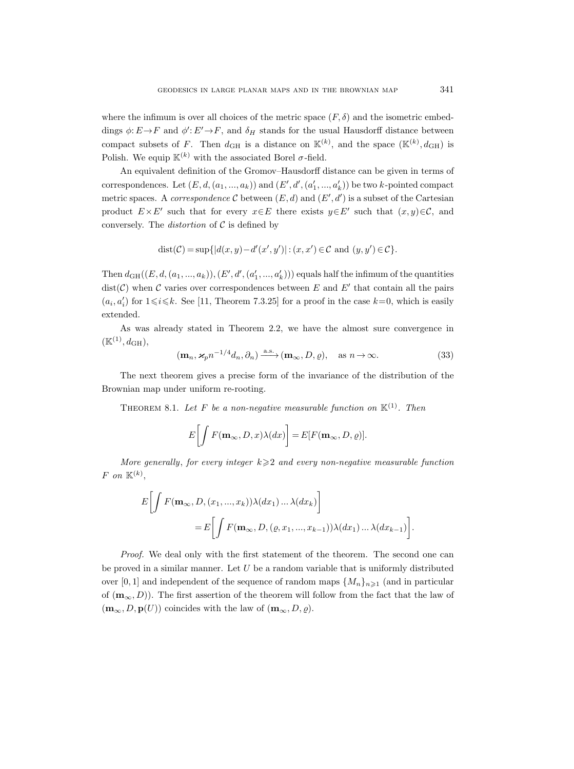where the infimum is over all choices of the metric space  $(F, \delta)$  and the isometric embeddings  $\phi: E \to F$  and  $\phi': E' \to F$ , and  $\delta_H$  stands for the usual Hausdorff distance between compact subsets of F. Then  $d_{GH}$  is a distance on  $\mathbb{K}^{(k)}$ , and the space  $(\mathbb{K}^{(k)}, d_{GH})$  is Polish. We equip  $\mathbb{K}^{(k)}$  with the associated Borel  $\sigma$ -field.

An equivalent definition of the Gromov–Hausdorff distance can be given in terms of correspondences. Let  $(E, d, (a_1, ..., a_k))$  and  $(E', d', (a'_1, ..., a'_k))$  be two k-pointed compact metric spaces. A *correspondence* C between  $(E, d)$  and  $(E', d')$  is a subset of the Cartesian product  $E \times E'$  such that for every  $x \in E$  there exists  $y \in E'$  such that  $(x, y) \in C$ , and conversely. The *distortion* of  $C$  is defined by

$$
dist(\mathcal{C}) = \sup\{|d(x,y) - d'(x',y')| : (x,x') \in \mathcal{C} \text{ and } (y,y') \in \mathcal{C}\}.
$$

Then  $d_{GH}((E, d, (a_1, ..., a_k)), (E', d', (a'_1, ..., a'_k)))$  equals half the infimum of the quantities  $dist(\mathcal{C})$  when  $\mathcal C$  varies over correspondences between E and E' that contain all the pairs  $(a_i, a'_i)$  for  $1 \leq i \leq k$ . See [11, Theorem 7.3.25] for a proof in the case  $k=0$ , which is easily extended.

As was already stated in Theorem 2.2, we have the almost sure convergence in  $(\mathbb{K}^{(1)}, d_{\mathrm{GH}}),$ 

$$
(\mathbf{m}_n, \mathbf{x}_p n^{-1/4} d_n, \partial_n) \xrightarrow{\text{a.s.}} (\mathbf{m}_\infty, D, \varrho), \quad \text{as } n \to \infty.
$$
 (33)

The next theorem gives a precise form of the invariance of the distribution of the Brownian map under uniform re-rooting.

THEOREM 8.1. Let F be a non-negative measurable function on  $K^{(1)}$ . Then

$$
E\bigg[\int F(\mathbf{m}_{\infty}, D, x)\lambda(dx)\bigg] = E[F(\mathbf{m}_{\infty}, D, \varrho)].
$$

More generally, for every integer  $k \geqslant 2$  and every non-negative measurable function  $F$  on  $\mathbb{K}^{(k)}$ ,

$$
E\bigg[\int F(\mathbf{m}_{\infty}, D, (x_1, ..., x_k))\lambda(dx_1) ... \lambda(dx_k)\bigg]
$$
  
= 
$$
E\bigg[\int F(\mathbf{m}_{\infty}, D, (\varrho, x_1, ..., x_{k-1}))\lambda(dx_1) ... \lambda(dx_{k-1})\bigg].
$$

*Proof.* We deal only with the first statement of the theorem. The second one can be proved in a similar manner. Let  $U$  be a random variable that is uniformly distributed over [0, 1] and independent of the sequence of random maps  $\{M_n\}_{n\geq 1}$  (and in particular of  $(m_{\infty}, D)$ ). The first assertion of the theorem will follow from the fact that the law of  $(\mathbf{m}_{\infty}, D, \mathbf{p}(U))$  coincides with the law of  $(\mathbf{m}_{\infty}, D, \varrho)$ .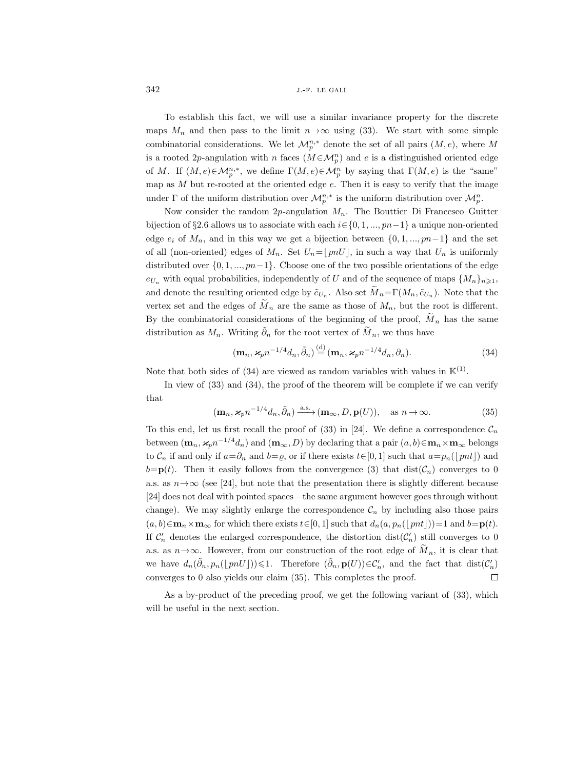To establish this fact, we will use a similar invariance property for the discrete maps  $M_n$  and then pass to the limit  $n \rightarrow \infty$  using (33). We start with some simple combinatorial considerations. We let  $\mathcal{M}_{p}^{n,*}$  denote the set of all pairs  $(M, e)$ , where M is a rooted 2p-angulation with n faces  $(M \in M_p^n)$  and e is a distinguished oriented edge of M. If  $(M, e) \in M_p^{n,*}$ , we define  $\Gamma(M, e) \in M_p^n$  by saying that  $\Gamma(M, e)$  is the "same" map as  $M$  but re-rooted at the oriented edge  $e$ . Then it is easy to verify that the image under  $\Gamma$  of the uniform distribution over  $\mathcal{M}_p^{n,*}$  is the uniform distribution over  $\mathcal{M}_p^n$ .

Now consider the random  $2p$ -angulation  $M_n$ . The Bouttier–Di Francesco–Guitter bijection of §2.6 allows us to associate with each  $i \in \{0, 1, ..., pn-1\}$  a unique non-oriented edge  $e_i$  of  $M_n$ , and in this way we get a bijection between  $\{0, 1, ..., pn-1\}$  and the set of all (non-oriented) edges of  $M_n$ . Set  $U_n = \lfloor pnU \rfloor$ , in such a way that  $U_n$  is uniformly distributed over  $\{0, 1, ..., pn-1\}$ . Choose one of the two possible orientations of the edge  $e_{U_n}$  with equal probabilities, independently of U and of the sequence of maps  $\{M_n\}_{n\geq 1}$ , and denote the resulting oriented edge by  $\tilde{e}_{U_n}$ . Also set  $M_n = \Gamma(M_n, \tilde{e}_{U_n})$ . Note that the vertex set and the edges of  $\tilde{M}_n$  are the same as those of  $M_n$ , but the root is different. By the combinatorial considerations of the beginning of the proof,  $M_n$  has the same distribution as  $M_n$ . Writing  $\tilde{\partial}_n$  for the root vertex of  $\tilde{M}_n$ , we thus have

$$
(\mathbf{m}_n, \mathbf{x}_p n^{-1/4} d_n, \tilde{\partial}_n) \stackrel{\text{(d)}}{=} (\mathbf{m}_n, \mathbf{x}_p n^{-1/4} d_n, \partial_n). \tag{34}
$$

Note that both sides of (34) are viewed as random variables with values in  $\mathbb{K}^{(1)}$ .

In view of  $(33)$  and  $(34)$ , the proof of the theorem will be complete if we can verify that

$$
(\mathbf{m}_n, \varkappa_p n^{-1/4} d_n, \tilde{\partial}_n) \xrightarrow{\text{a.s.}} (\mathbf{m}_\infty, D, \mathbf{p}(U)), \quad \text{as } n \to \infty.
$$
 (35)

To this end, let us first recall the proof of (33) in [24]. We define a correspondence  $\mathcal{C}_n$ between  $(m_n, \mathbf{x}_p n^{-1/4}d_n)$  and  $(m_\infty, D)$  by declaring that a pair  $(a, b) \in \mathbf{m}_n \times \mathbf{m}_\infty$  belongs to  $\mathcal{C}_n$  if and only if  $a=\partial_n$  and  $b=\varrho$ , or if there exists  $t\in[0,1]$  such that  $a=p_n(\lfloor mt\rfloor)$  and  $b=p(t)$ . Then it easily follows from the convergence (3) that  $dist(\mathcal{C}_n)$  converges to 0 a.s. as  $n \rightarrow \infty$  (see [24], but note that the presentation there is slightly different because [24] does not deal with pointed spaces—the same argument however goes through without change). We may slightly enlarge the correspondence  $\mathcal{C}_n$  by including also those pairs  $(a, b) \in \mathbf{m}_n \times \mathbf{m}_{\infty}$  for which there exists  $t \in [0, 1]$  such that  $d_n(a, p_n(\vert \, pnt \vert))=1$  and  $b=\mathbf{p}(t)$ . If  $\mathcal{C}'_n$  denotes the enlarged correspondence, the distortion  $dist(\mathcal{C}'_n)$  still converges to 0 a.s. as  $n \rightarrow \infty$ . However, from our construction of the root edge of  $M_n$ , it is clear that we have  $d_n(\tilde{\partial}_n, p_n(\lfloor pnU\rfloor)) \leq 1$ . Therefore  $(\tilde{\partial}_n, \mathbf{p}(U)) \in \mathcal{C}'_n$ , and the fact that  $dist(\mathcal{C}'_n)$  $\Box$ converges to 0 also yields our claim (35). This completes the proof.

As a by-product of the preceding proof, we get the following variant of (33), which will be useful in the next section.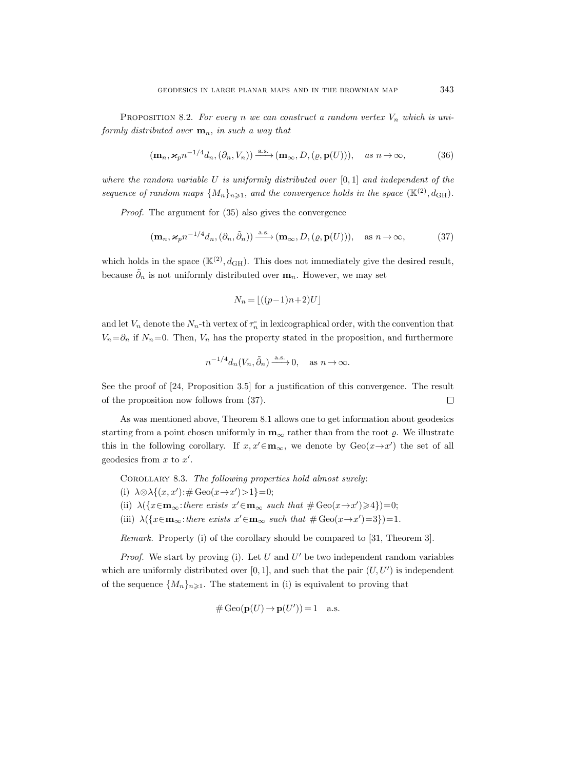PROPOSITION 8.2. For every n we can construct a random vertex  $V_n$  which is uniformly distributed over  $\mathbf{m}_n$ , in such a way that

$$
(\mathbf{m}_n, \varkappa_p n^{-1/4} d_n, (\partial_n, V_n)) \xrightarrow{\text{a.s.}} (\mathbf{m}_\infty, D, (\varrho, \mathbf{p}(U))), \quad \text{as } n \to \infty,
$$
 (36)

where the random variable U is uniformly distributed over  $[0,1]$  and independent of the sequence of random maps  $\{M_n\}_{n\geqslant 1}$ , and the convergence holds in the space  $(\mathbb{K}^{(2)}, d_{\text{GH}})$ .

Proof. The argument for (35) also gives the convergence

$$
(\mathbf{m}_n, \mathbf{x}_p n^{-1/4} d_n, (\partial_n, \tilde{\partial}_n)) \xrightarrow{\text{a.s.}} (\mathbf{m}_\infty, D, (\varrho, \mathbf{p}(U))), \quad \text{as } n \to \infty,
$$
 (37)

which holds in the space  $(\mathbb{K}^{(2)}, d_{GH})$ . This does not immediately give the desired result, because  $\tilde{\partial}_n$  is not uniformly distributed over  $\mathbf{m}_n$ . However, we may set

$$
N_n = \lfloor ((p-1)n + 2)U \rfloor
$$

and let  $V_n$  denote the  $N_n$ -th vertex of  $\tau_n^{\circ}$  in lexicographical order, with the convention that  $V_n=\partial_n$  if  $N_n=0$ . Then,  $V_n$  has the property stated in the proposition, and furthermore

$$
n^{-1/4}d_n(V_n, \tilde{\partial}_n) \xrightarrow{\text{a.s.}} 0, \quad \text{as } n \to \infty.
$$

See the proof of [24, Proposition 3.5] for a justification of this convergence. The result of the proposition now follows from (37).  $\Box$ 

As was mentioned above, Theorem 8.1 allows one to get information about geodesics starting from a point chosen uniformly in  $\mathbf{m}_{\infty}$  rather than from the root  $\rho$ . We illustrate this in the following corollary. If  $x, x' \in \mathbf{m}_{\infty}$ , we denote by  $Geo(x \rightarrow x')$  the set of all geodesics from  $x$  to  $x'$ .

COROLLARY 8.3. The following properties hold almost surely:

(i)  $\lambda \otimes \lambda \{(x, x') : \# \text{Geo}(x \to x') > 1\} = 0;$ 

- (ii)  $\lambda(\lbrace x \in \mathbf{m}_{\infty} : there \ exists \ x' \in \mathbf{m}_{\infty} \ such \ that \ # \ Geo(x \rightarrow x') \geq 4 \rbrace) = 0;$
- (iii)  $\lambda({x \in \mathbf{m}_{\infty}}: there exists x' \in \mathbf{m}_{\infty} such that \#Geo(x \to x')=3})=1.$

Remark. Property (i) of the corollary should be compared to [31, Theorem 3].

*Proof.* We start by proving (i). Let  $U$  and  $U'$  be two independent random variables which are uniformly distributed over  $[0, 1]$ , and such that the pair  $(U, U')$  is independent of the sequence  $\{M_n\}_{n\geqslant1}$ . The statement in (i) is equivalent to proving that

$$
\#\operatorname{Geo}(\mathbf{p}(U) \to \mathbf{p}(U')) = 1 \quad \text{a.s.}
$$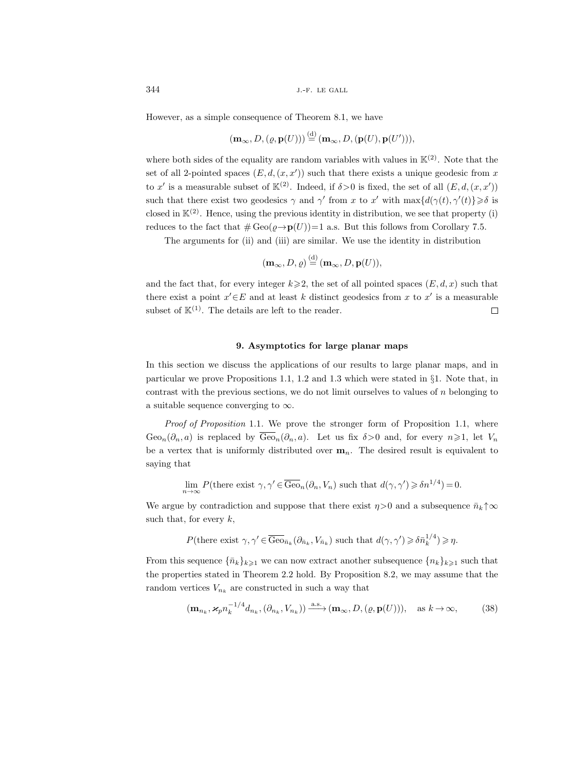However, as a simple consequence of Theorem 8.1, we have

$$
(\mathbf{m}_{\infty}, D, (\varrho, \mathbf{p}(U))) \stackrel{\text{(d)}}{=} (\mathbf{m}_{\infty}, D, (\mathbf{p}(U), \mathbf{p}(U'))),
$$

where both sides of the equality are random variables with values in  $\mathbb{K}^{(2)}$ . Note that the set of all 2-pointed spaces  $(E, d, (x, x'))$  such that there exists a unique geodesic from x to x' is a measurable subset of  $\mathbb{K}^{(2)}$ . Indeed, if  $\delta > 0$  is fixed, the set of all  $(E, d, (x, x'))$ such that there exist two geodesics  $\gamma$  and  $\gamma'$  from x to x' with  $\max\{d(\gamma(t),\gamma'(t)\}\geq \delta$  is closed in  $\mathbb{K}^{(2)}$ . Hence, using the previous identity in distribution, we see that property (i) reduces to the fact that  $\#\text{Geo}(\varrho\to{\bf p}(U))=1$  a.s. But this follows from Corollary 7.5.

The arguments for (ii) and (iii) are similar. We use the identity in distribution

$$
(\mathbf{m}_{\infty}, D, \varrho) \stackrel{\text{(d)}}{=} (\mathbf{m}_{\infty}, D, \mathbf{p}(U)),
$$

and the fact that, for every integer  $k\geqslant 2$ , the set of all pointed spaces  $(E, d, x)$  such that there exist a point  $x' \in E$  and at least k distinct geodesics from x to x' is a measurable subset of  $K^{(1)}$ . The details are left to the reader.  $\Box$ 

# 9. Asymptotics for large planar maps

In this section we discuss the applications of our results to large planar maps, and in particular we prove Propositions 1.1, 1.2 and 1.3 which were stated in §1. Note that, in contrast with the previous sections, we do not limit ourselves to values of  $n$  belonging to a suitable sequence converging to  $\infty$ .

Proof of Proposition 1.1. We prove the stronger form of Proposition 1.1, where  $Geo_n(\partial_n, a)$  is replaced by  $\overline{Geo}_n(\partial_n, a)$ . Let us fix  $\delta > 0$  and, for every  $n \geq 1$ , let  $V_n$ be a vertex that is uniformly distributed over  $\mathbf{m}_n$ . The desired result is equivalent to saying that

$$
\lim_{n \to \infty} P(\text{there exist } \gamma, \gamma' \in \overline{\text{Geo}}_n(\partial_n, V_n) \text{ such that } d(\gamma, \gamma') \ge \delta n^{1/4}) = 0.
$$

We argue by contradiction and suppose that there exist  $\eta$ >0 and a subsequence  $\bar{n}_k \uparrow \infty$ such that, for every  $k$ ,

$$
P(\text{there exist } \gamma, \gamma' \in \overline{\text{Geo}}_{\bar{n}_k}(\partial_{\bar{n}_k}, V_{\bar{n}_k}) \text{ such that } d(\gamma, \gamma') \geq \delta \bar{n}_k^{1/4}) \geqslant \eta.
$$

From this sequence  $\{\bar{n}_k\}_{k\geq 1}$  we can now extract another subsequence  $\{n_k\}_{k\geq 1}$  such that the properties stated in Theorem 2.2 hold. By Proposition 8.2, we may assume that the random vertices  $V_{n_k}$  are constructed in such a way that

$$
(\mathbf{m}_{n_k}, \varkappa_p n_k^{-1/4} d_{n_k}, (\partial_{n_k}, V_{n_k})) \xrightarrow{\text{a.s.}} (\mathbf{m}_{\infty}, D, (\varrho, \mathbf{p}(U))), \quad \text{as } k \to \infty,
$$
 (38)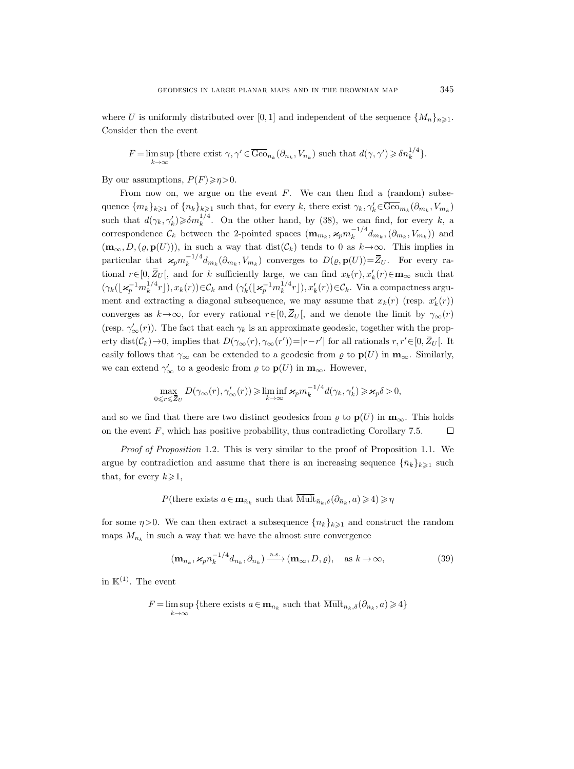where U is uniformly distributed over [0, 1] and independent of the sequence  $\{M_n\}_{n\geq 1}$ . Consider then the event

$$
F = \limsup_{k \to \infty} \{ \text{there exist } \gamma, \gamma' \in \overline{\text{Geo}}_{n_k}(\partial_{n_k}, V_{n_k}) \text{ such that } d(\gamma, \gamma') \geq \delta n_k^{1/4} \}.
$$

By our assumptions,  $P(F) \geq n > 0$ .

From now on, we argue on the event  $F$ . We can then find a (random) subsequence  $\{m_k\}_{k\geqslant 1}$  of  $\{n_k\}_{k\geqslant 1}$  such that, for every k, there exist  $\gamma_k, \gamma'_k \in \overline{\text{Geo}}_{m_k}(\partial_{m_k}, V_{m_k})$ such that  $d(\gamma_k, \gamma'_k) \geq \delta m_k^{1/4}$ . On the other hand, by (38), we can find, for every k, a correspondence  $\mathcal{C}_k$  between the 2-pointed spaces  $(\mathbf{m}_{m_k}, \mathbf{x}_p m_k^{-1/4})$  $\binom{n}{k}^{-1/4} d_{m_k}, (\partial_{m_k}, V_{m_k})$  and  $(\mathbf{m}_{\infty}, D, (\varrho, \mathbf{p}(U))),$  in such a way that  $dist(\mathcal{C}_k)$  tends to 0 as  $k \to \infty$ . This implies in particular that  $\varkappa_p m_k^{-1/4}$  $\bar{k}_{k}^{-1/4}d_{m_{k}}(\partial_{m_{k}}, V_{m_{k}})$  converges to  $D(\varrho, \mathbf{p}(U)) = \overline{Z}_{U}$ . For every rational  $r \in [0, \bar{Z}_U]$ , and for k sufficiently large, we can find  $x_k(r), x'_k(r) \in \mathbf{m}_{\infty}$  such that  $(\gamma_k(\lfloor \varkappa_p^{-1} m_k^{1/4})$  $\binom{1}{k} \binom{1}{k} \mathcal{L}_k(r)$  and  $(\gamma_k'(\lfloor \varkappa_p^{-1} m_k^{1/4})$  $\binom{1}{k}$  $\binom{1}{k}$  $\binom{r}{k}$  $\in \mathcal{C}_k$ . Via a compactness argument and extracting a diagonal subsequence, we may assume that  $x_k(r)$  (resp.  $x'_k(r)$ ) converges as  $k \to \infty$ , for every rational  $r \in [0, \bar{Z}_U]$ , and we denote the limit by  $\gamma_\infty(r)$ (resp.  $\gamma'_{\infty}(r)$ ). The fact that each  $\gamma_k$  is an approximate geodesic, together with the property dist $(\mathcal{C}_k) \to 0$ , implies that  $D(\gamma_\infty(r), \gamma_\infty(r')) = |r-r'|$  for all rationals  $r, r' \in [0, \overline{Z}_U]$ . It easily follows that  $\gamma_{\infty}$  can be extended to a geodesic from  $\varrho$  to  $\mathbf{p}(U)$  in  $\mathbf{m}_{\infty}$ . Similarly, we can extend  $\gamma_{\infty}'$  to a geodesic from  $\varrho$  to  $\mathbf{p}(U)$  in  $\mathbf{m}_{\infty}$ . However,

$$
\max_{0 \le r \le \overline{Z}_U} D(\gamma_\infty(r), \gamma_\infty'(r)) \ge \liminf_{k \to \infty} \varkappa_p m_k^{-1/4} d(\gamma_k, \gamma_k') \ge \varkappa_p \delta > 0,
$$

and so we find that there are two distinct geodesics from  $\rho$  to  $p(U)$  in  $m_{\infty}$ . This holds on the event  $F$ , which has positive probability, thus contradicting Corollary 7.5.  $\Box$ 

Proof of Proposition 1.2. This is very similar to the proof of Proposition 1.1. We argue by contradiction and assume that there is an increasing sequence  $\{\bar{n}_k\}_{k\geq 1}$  such that, for every  $k\geqslant 1$ ,

P(there exists  $a \in \mathbf{m}_{\bar{n}_k}$  such that  $\overline{\text{Mult}}_{\bar{n}_k,\delta}(\partial_{\bar{n}_k},a) \geq 4 \geq \eta$ 

for some  $\eta$ >0. We can then extract a subsequence  $\{n_k\}_{k\geqslant1}$  and construct the random maps  $M_{n_k}$  in such a way that we have the almost sure convergence

$$
(\mathbf{m}_{n_k}, \mathbf{x}_p n_k^{-1/4} d_{n_k}, \partial_{n_k}) \xrightarrow{\text{a.s.}} (\mathbf{m}_{\infty}, D, \varrho), \quad \text{as } k \to \infty,
$$
 (39)

in  $K^{(1)}$ . The event

$$
F = \limsup_{k \to \infty} \{ \text{there exists } a \in \mathbf{m}_{n_k} \text{ such that } \overline{\text{Mult}}_{n_k, \delta}(\partial_{n_k}, a) \geq 4 \}
$$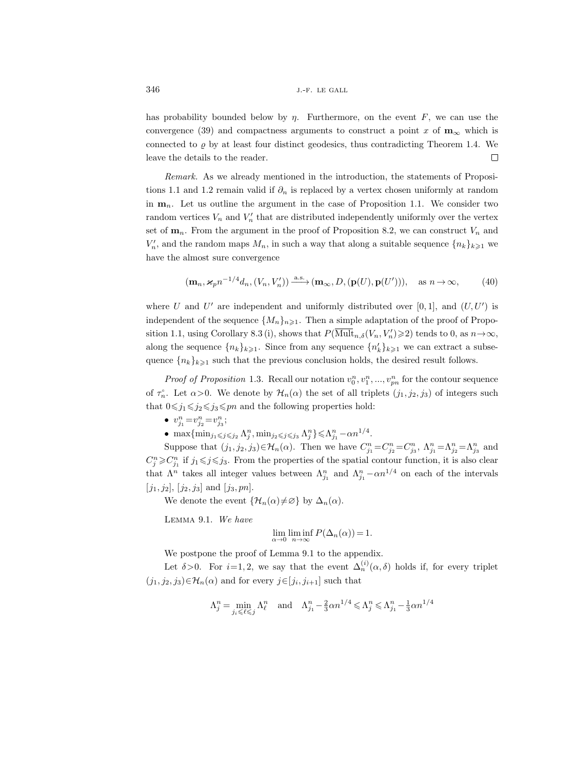has probability bounded below by  $\eta$ . Furthermore, on the event  $F$ , we can use the convergence (39) and compactness arguments to construct a point x of  $m_{\infty}$  which is connected to  $\rho$  by at least four distinct geodesics, thus contradicting Theorem 1.4. We leave the details to the reader.  $\Box$ 

Remark. As we already mentioned in the introduction, the statements of Propositions 1.1 and 1.2 remain valid if  $\partial_n$  is replaced by a vertex chosen uniformly at random in  $\mathbf{m}_n$ . Let us outline the argument in the case of Proposition 1.1. We consider two random vertices  $V_n$  and  $V'_n$  that are distributed independently uniformly over the vertex set of  $\mathbf{m}_n$ . From the argument in the proof of Proposition 8.2, we can construct  $V_n$  and  $V'_n$ , and the random maps  $M_n$ , in such a way that along a suitable sequence  $\{n_k\}_{k\geqslant 1}$  we have the almost sure convergence

$$
(\mathbf{m}_n, \mathbf{x}_p n^{-1/4} d_n, (V_n, V'_n)) \xrightarrow{\text{a.s.}} (\mathbf{m}_\infty, D, (\mathbf{p}(U), \mathbf{p}(U'))), \quad \text{as } n \to \infty,
$$
 (40)

where U and U' are independent and uniformly distributed over  $[0,1]$ , and  $(U, U')$  is independent of the sequence  $\{M_n\}_{n\geq 1}$ . Then a simple adaptation of the proof of Proposition 1.1, using Corollary 8.3 (i), shows that  $P(\overline{\text{Mult}}_{n,\delta}(V_n, V'_n) \geq 2)$  tends to 0, as  $n \to \infty$ , along the sequence  $\{n_k\}_{k\geqslant 1}$ . Since from any sequence  $\{n'_k\}_{k\geqslant 1}$  we can extract a subsequence  ${n_k}_{k\geq 1}$  such that the previous conclusion holds, the desired result follows.

*Proof of Proposition* 1.3. Recall our notation  $v_0^n, v_1^n, ..., v_{pn}^n$  for the contour sequence of  $\tau_n^{\circ}$ . Let  $\alpha > 0$ . We denote by  $\mathcal{H}_n(\alpha)$  the set of all triplets  $(j_1, j_2, j_3)$  of integers such that  $0 \le j_1 \le j_2 \le j_3 \le pn$  and the following properties hold:

- $v_{j_1}^n = v_{j_2}^n = v_{j_3}^n;$
- max $\{\min_{j_1 \leq j \leq j_2} \Lambda_j^n, \min_{j_2 \leq j \leq j_3} \Lambda_j^n\} \leq \Lambda_{j_1}^n \alpha n^{1/4}$ .

Suppose that  $(j_1, j_2, j_3) \in \mathcal{H}_n(\alpha)$ . Then we have  $C_{j_1}^n = C_{j_2}^n = C_{j_3}^n$ ,  $\Lambda_{j_1}^n = \Lambda_{j_2}^n = \Lambda_{j_3}^n$  and  $C_j^n \geqslant C_{j_1}^n$  if  $j_1 \leqslant j \leqslant j_3$ . From the properties of the spatial contour function, it is also clear that  $\Lambda^n$  takes all integer values between  $\Lambda_{j_1}^n$  and  $\Lambda_{j_1}^n - \alpha n^{1/4}$  on each of the intervals  $[j_1, j_2], [j_2, j_3]$  and  $[j_3, pn]$ .

We denote the event  $\{\mathcal{H}_n(\alpha)\neq\varnothing\}$  by  $\Delta_n(\alpha)$ .

Lemma 9.1. We have

$$
\lim_{\alpha \to 0} \liminf_{n \to \infty} P(\Delta_n(\alpha)) = 1.
$$

We postpone the proof of Lemma 9.1 to the appendix.

Let  $\delta > 0$ . For  $i=1,2$ , we say that the event  $\Delta_n^{(i)}(\alpha,\delta)$  holds if, for every triplet  $(j_1, j_2, j_3) \in \mathcal{H}_n(\alpha)$  and for every  $j \in [j_i, j_{i+1}]$  such that

$$
\Lambda^n_j = \min_{j_i \leqslant \ell \leqslant j} \Lambda^n_\ell \quad \text{and} \quad \Lambda^n_{j_1} - \tfrac{2}{3}\alpha n^{1/4} \leqslant \Lambda^n_j \leqslant \Lambda^n_{j_1} - \tfrac{1}{3}\alpha n^{1/4}
$$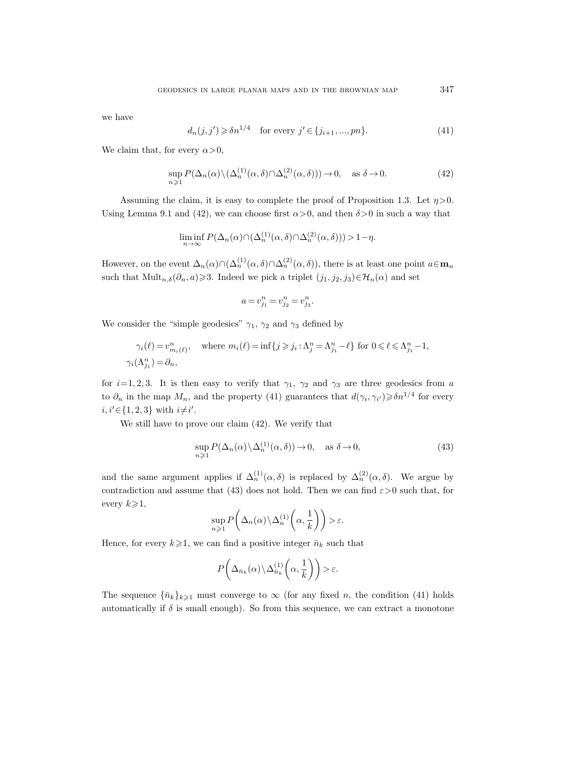we have

$$
d_n(j, j') \geq \delta n^{1/4} \quad \text{for every } j' \in \{j_{i+1}, ..., pn\}.
$$
 (41)

We claim that, for every  $\alpha > 0$ ,

$$
\sup_{n\geqslant 1} P(\Delta_n(\alpha) \setminus (\Delta_n^{(1)}(\alpha, \delta) \cap \Delta_n^{(2)}(\alpha, \delta))) \to 0, \quad \text{as } \delta \to 0.
$$
 (42)

Assuming the claim, it is easy to complete the proof of Proposition 1.3. Let  $\eta > 0$ . Using Lemma 9.1 and (42), we can choose first  $\alpha > 0$ , and then  $\delta > 0$  in such a way that

$$
\liminf_{n \to \infty} P(\Delta_n(\alpha) \cap (\Delta_n^{(1)}(\alpha, \delta) \cap \Delta_n^{(2)}(\alpha, \delta))) > 1 - \eta.
$$

However, on the event  $\Delta_n(\alpha) \cap (\Delta_n^{(1)}(\alpha, \delta) \cap \Delta_n^{(2)}(\alpha, \delta))$ , there is at least one point  $a \in \mathbf{m}_n$ such that  $Mult_{n,\delta}(\partial_n, a) \geq 3$ . Indeed we pick a triplet  $(j_1, j_2, j_3) \in \mathcal{H}_n(\alpha)$  and set

$$
a = v_{j_1}^n = v_{j_2}^n = v_{j_3}^n.
$$

We consider the "simple geodesics"  $\gamma_1$ ,  $\gamma_2$  and  $\gamma_3$  defined by

$$
\gamma_i(\ell) = v^n_{m_i(\ell)}, \quad \text{where } m_i(\ell) = \inf\{j \geq j_i : \Lambda^n_j = \Lambda^n_{j_1} - \ell\} \text{ for } 0 \leq \ell \leq \Lambda^n_{j_1} - 1,
$$
  

$$
\gamma_i(\Lambda^n_{j_1}) = \partial_n,
$$

for  $i=1, 2, 3$ . It is then easy to verify that  $\gamma_1$ ,  $\gamma_2$  and  $\gamma_3$  are three geodesics from a to  $\partial_n$  in the map  $M_n$ , and the property (41) guarantees that  $d(\gamma_i, \gamma_{i'}) \geq \delta n^{1/4}$  for every  $i, i' \in \{1, 2, 3\}$  with  $i \neq i'$ .

We still have to prove our claim (42). We verify that

$$
\sup_{n\geqslant 1} P(\Delta_n(\alpha) \setminus \Delta_n^{(1)}(\alpha, \delta)) \to 0, \quad \text{as } \delta \to 0,
$$
\n(43)

and the same argument applies if  $\Delta_n^{(1)}(\alpha,\delta)$  is replaced by  $\Delta_n^{(2)}(\alpha,\delta)$ . We argue by contradiction and assume that (43) does not hold. Then we can find  $\varepsilon > 0$  such that, for every  $k\geqslant 1$ ,

$$
\sup_{n\geqslant 1} P\bigg(\Delta_n(\alpha)\backslash \Delta_n^{(1)}\bigg(\alpha,\frac{1}{k}\bigg)\bigg) > \varepsilon.
$$

Hence, for every  $k\geqslant 1$ , we can find a positive integer  $\bar{n}_k$  such that

$$
P\bigg(\Delta_{\bar{n}_k}(\alpha) \backslash \Delta_{\bar{n}_k}^{(1)}\bigg(\alpha,\frac{1}{k}\bigg)\bigg) > \varepsilon.
$$

The sequence  $\{\bar{n}_k\}_{k\geq 1}$  must converge to  $\infty$  (for any fixed n, the condition (41) holds automatically if  $\delta$  is small enough). So from this sequence, we can extract a monotone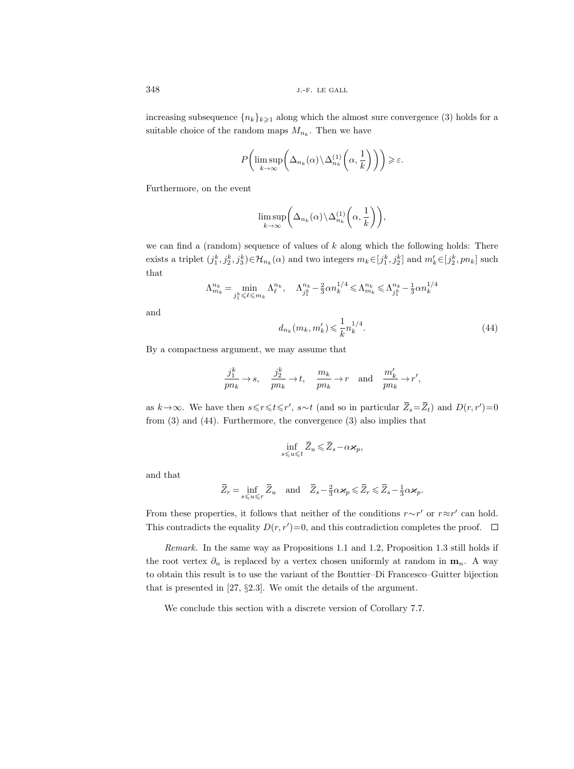increasing subsequence  ${n_k}_{k\geq 1}$  along which the almost sure convergence (3) holds for a suitable choice of the random maps  $M_{n_k}$ . Then we have

$$
P\bigg(\limsup_{k\to\infty}\bigg(\Delta_{n_k}(\alpha)\backslash\Delta_{n_k}^{(1)}\bigg(\alpha,\frac{1}{k}\bigg)\bigg)\bigg)\geqslant\varepsilon.
$$

Furthermore, on the event

$$
\limsup_{k \to \infty} \biggl( \Delta_{n_k}(\alpha) \backslash \Delta_{n_k}^{(1)} \biggl( \alpha, \frac{1}{k} \biggr) \biggr),
$$

we can find a (random) sequence of values of  $k$  along which the following holds: There exists a triplet  $(j_1^k, j_2^k, j_3^k) \in \mathcal{H}_{n_k}(\alpha)$  and two integers  $m_k \in [j_1^k, j_2^k]$  and  $m'_k \in [j_2^k, pn_k]$  such that

$$
\Lambda^{n_k}_{m_k}=\min_{j^k_1\leqslant \ell\leqslant m_k}\Lambda^{n_k}_{\ell},\quad \Lambda^{n_k}_{j^k_1}-\tfrac23\alpha n_k^{1/4}\leqslant \Lambda^{n_k}_{m_k}\leqslant \Lambda^{n_k}_{j^k_1}-\tfrac13\alpha n_k^{1/4}
$$

and

$$
d_{n_k}(m_k, m'_k) \leqslant \frac{1}{k} n_k^{1/4}.
$$
\n(44)

By a compactness argument, we may assume that

$$
\frac{j_1^k}{pn_k}\to s,\quad \frac{j_2^k}{pn_k}\to t,\quad \frac{m_k}{pn_k}\to r\quad \text{and}\quad \frac{m'_k}{pn_k}\to r',
$$

as  $k \to \infty$ . We have then  $s \leq r \leq t \leq r'$ ,  $s \sim t$  (and so in particular  $\overline{Z}_s = \overline{Z}_t$ ) and  $D(r, r') = 0$ from (3) and (44). Furthermore, the convergence (3) also implies that

$$
\inf_{s\leqslant u\leqslant t}\bar{Z}_u\leqslant \bar{Z}_s-\alpha\varkappa_p,
$$

and that

$$
\overline{Z}_r = \inf_{s \leq u \leq r} \overline{Z}_u \quad \text{and} \quad \overline{Z}_s - \frac{2}{3} \alpha \varkappa_p \leq \overline{Z}_r \leq \overline{Z}_s - \frac{1}{3} \alpha \varkappa_p.
$$

From these properties, it follows that neither of the conditions  $r \sim r'$  or  $r \approx r'$  can hold. This contradicts the equality  $D(r, r') = 0$ , and this contradiction completes the proof.

Remark. In the same way as Propositions 1.1 and 1.2, Proposition 1.3 still holds if the root vertex  $\partial_n$  is replaced by a vertex chosen uniformly at random in  $\mathbf{m}_n$ . A way to obtain this result is to use the variant of the Bouttier–Di Francesco–Guitter bijection that is presented in [27, §2.3]. We omit the details of the argument.

We conclude this section with a discrete version of Corollary 7.7.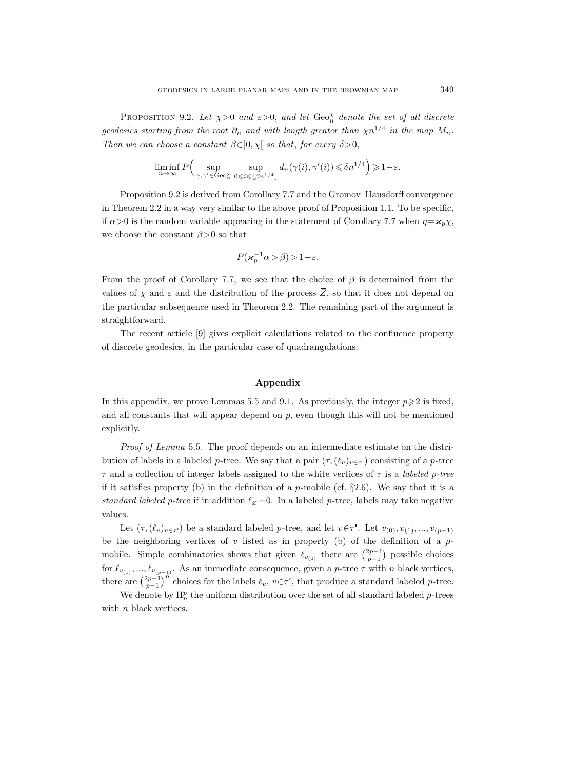PROPOSITION 9.2. Let  $\chi > 0$  and  $\varepsilon > 0$ , and let  $\text{Geo}_n^{\chi}$  denote the set of all discrete geodesics starting from the root  $\partial_n$  and with length greater than  $\chi n^{1/4}$  in the map  $M_n$ . Then we can choose a constant  $\beta \in ]0, \chi[$  so that, for every  $\delta > 0$ ,

$$
\liminf_{n \to \infty} P\Big(\sup_{\gamma,\gamma' \in \text{Geo}_n^{\chi} } \sup_{0 \leq i \leq \lfloor \beta n^{1/4} \rfloor} d_n(\gamma(i),\gamma'(i)) \leq \delta n^{1/4} \Big) \geq 1-\varepsilon.
$$

Proposition 9.2 is derived from Corollary 7.7 and the Gromov–Hausdorff convergence in Theorem 2.2 in a way very similar to the above proof of Proposition 1.1. To be specific, if  $\alpha$ >0 is the random variable appearing in the statement of Corollary 7.7 when  $\eta = \varkappa_p \chi$ , we choose the constant  $\beta > 0$  so that

$$
P(\varkappa_p^{-1}\alpha > \beta) > 1 - \varepsilon.
$$

From the proof of Corollary 7.7, we see that the choice of  $\beta$  is determined from the values of  $\chi$  and  $\varepsilon$  and the distribution of the process  $\overline{Z}$ , so that it does not depend on the particular subsequence used in Theorem 2.2. The remaining part of the argument is straightforward.

The recent article [9] gives explicit calculations related to the confluence property of discrete geodesics, in the particular case of quadrangulations.

## Appendix

In this appendix, we prove Lemmas 5.5 and 9.1. As previously, the integer  $p \geq 2$  is fixed, and all constants that will appear depend on  $p$ , even though this will not be mentioned explicitly.

Proof of Lemma 5.5. The proof depends on an intermediate estimate on the distribution of labels in a labeled p-tree. We say that a pair  $(\tau, (\ell_v)_{v \in \tau})$  consisting of a p-tree  $\tau$  and a collection of integer labels assigned to the white vertices of  $\tau$  is a *labeled p-tree* if it satisfies property (b) in the definition of a p-mobile (cf.  $\S2.6$ ). We say that it is a standard labeled p-tree if in addition  $\ell_{\varnothing} = 0$ . In a labeled p-tree, labels may take negative values.

Let  $(\tau, (\ell_v)_{v \in \tau})$  be a standard labeled p-tree, and let  $v \in \tau^*$ . Let  $v_{(0)}, v_{(1)}, ..., v_{(p-1)}$ be the neighboring vertices of  $v$  listed as in property (b) of the definition of a  $p$ mobile. Simple combinatorics shows that given  $\ell_{v_{(0)}}$  there are  $\binom{2p-1}{p-1}$  possible choices for  $\ell_{v_{(1)}}, ..., \ell_{v_{(p-1)}}$ . As an immediate consequence, given a p-tree  $\tau$  with n black vertices, there are  $\binom{2p-1}{p-1}^n$  choices for the labels  $\ell_v, v \in \tau^{\circ}$ , that produce a standard labeled p-tree.

We denote by  $\Pi_n^p$  the uniform distribution over the set of all standard labeled p-trees with *n* black vertices.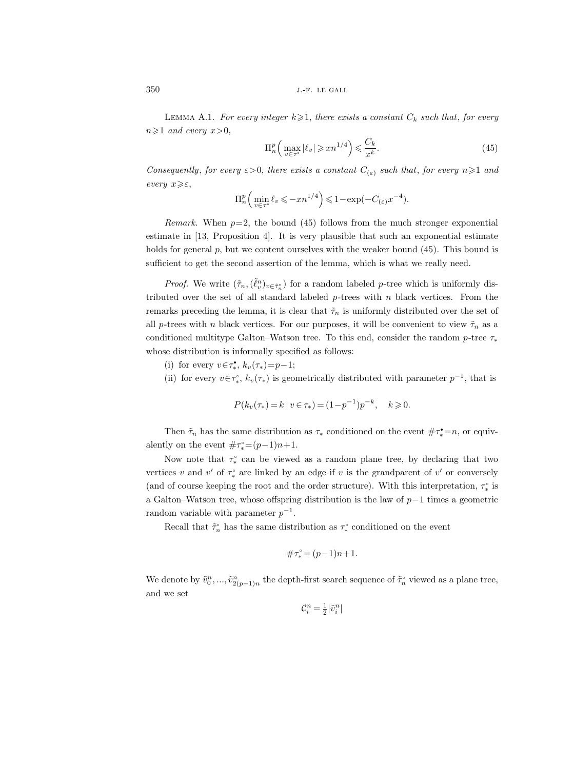LEMMA A.1. For every integer  $k\geqslant 1$ , there exists a constant  $C_k$  such that, for every  $n \geqslant 1$  and every  $x > 0$ ,

$$
\Pi_n^p \left( \max_{v \in \tau^\circ} |\ell_v| \geqslant xn^{1/4} \right) \leqslant \frac{C_k}{x^k}.\tag{45}
$$

Consequently, for every  $\varepsilon > 0$ , there exists a constant  $C_{(\varepsilon)}$  such that, for every  $n \geq 1$  and every  $x \geqslant \varepsilon$ ,

$$
\Pi_n^p\Big(\min_{v\in\tau^{\circ}}\ell_v\leqslant -xn^{1/4}\Big)\leqslant 1-\exp\bigl(-C_{(\varepsilon)}x^{-4}\bigr).
$$

Remark. When  $p=2$ , the bound (45) follows from the much stronger exponential estimate in [13, Proposition 4]. It is very plausible that such an exponential estimate holds for general p, but we content ourselves with the weaker bound (45). This bound is sufficient to get the second assertion of the lemma, which is what we really need.

*Proof.* We write  $(\tilde{\tau}_n, (\tilde{\ell}_v^n)_{v \in \tilde{\tau}_n^{\circ}})$  for a random labeled p-tree which is uniformly distributed over the set of all standard labeled  $p$ -trees with  $n$  black vertices. From the remarks preceding the lemma, it is clear that  $\tilde{\tau}_n$  is uniformly distributed over the set of all p-trees with n black vertices. For our purposes, it will be convenient to view  $\tilde{\tau}_n$  as a conditioned multitype Galton–Watson tree. To this end, consider the random p-tree  $\tau_*$ whose distribution is informally specified as follows:

- (i) for every  $v \in \tau_*^{\bullet}$ ,  $k_v(\tau_*) = p-1$ ;
- (ii) for every  $v \in \tau_*^{\circ}$ ,  $k_v(\tau_*)$  is geometrically distributed with parameter  $p^{-1}$ , that is

$$
P(k_v(\tau_*) = k \mid v \in \tau_*) = (1 - p^{-1})p^{-k}, \quad k \ge 0.
$$

Then  $\tilde{\tau}_n$  has the same distribution as  $\tau_*$  conditioned on the event  $\#\tau^* = n$ , or equivalently on the event  $\#\tau^{\circ}=(p-1)n+1$ .

Now note that  $\tau_*^{\circ}$  can be viewed as a random plane tree, by declaring that two vertices v and v' of  $\tau^{\circ}_*$  are linked by an edge if v is the grandparent of v' or conversely (and of course keeping the root and the order structure). With this interpretation,  $\tau_*^{\circ}$  is a Galton–Watson tree, whose offspring distribution is the law of  $p-1$  times a geometric random variable with parameter  $p^{-1}$ .

Recall that  $\tilde{\tau}_n^{\circ}$  has the same distribution as  $\tau_*^{\circ}$  conditioned on the event

$$
\#\tau^{\circ} = (p-1)n + 1.
$$

We denote by  $\tilde{v}_0^n, ..., \tilde{v}_{2(p-1)n}^n$  the depth-first search sequence of  $\tilde{\tau}_n^{\circ}$  viewed as a plane tree, and we set

$$
\mathcal{C}^n_i = \tfrac{1}{2}|\tilde{v}^n_i|
$$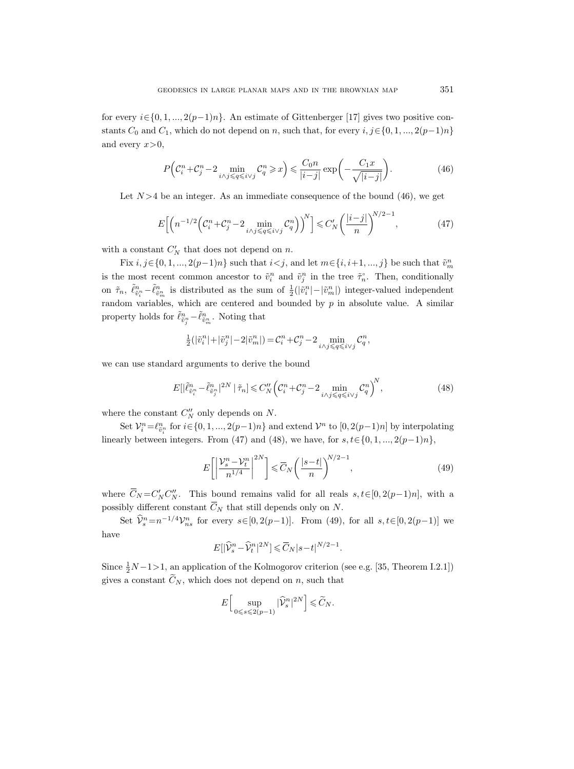for every  $i \in \{0, 1, ..., 2(p-1)n\}$ . An estimate of Gittenberger [17] gives two positive constants  $C_0$  and  $C_1$ , which do not depend on n, such that, for every  $i, j \in \{0, 1, ..., 2(p-1)n\}$ and every  $x>0$ ,

$$
P\left(\mathcal{C}_i^n + \mathcal{C}_j^n - 2 \min_{i \wedge j \le q \le i \vee j} \mathcal{C}_q^n \ge x\right) \le \frac{C_0 n}{|i - j|} \exp\left(-\frac{C_1 x}{\sqrt{|i - j|}}\right). \tag{46}
$$

Let  $N > 4$  be an integer. As an immediate consequence of the bound (46), we get

$$
E\left[\left(n^{-1/2}\left(\mathcal{C}_i^n + \mathcal{C}_j^n - 2\min_{i \wedge j \leq q \leq i \vee j} \mathcal{C}_q^n\right)\right)^N\right] \leq C'_N \left(\frac{|i-j|}{n}\right)^{N/2 - 1},\tag{47}
$$

with a constant  $C'_N$  that does not depend on n.

Fix  $i, j \in \{0, 1, ..., 2(p-1)n\}$  such that  $i < j$ , and let  $m \in \{i, i+1, ..., j\}$  be such that  $\tilde{v}_m^n$ is the most recent common ancestor to  $\tilde{v}_i^n$  and  $\tilde{v}_j^n$  in the tree  $\tilde{\tau}_n^{\circ}$ . Then, conditionally on  $\tilde{\tau}_n$ ,  $\tilde{\ell}_{\tilde{v}_i^n}^n - \tilde{\ell}_{\tilde{v}_m^n}^n$  is distributed as the sum of  $\frac{1}{2}(|\tilde{v}_i^n| - |\tilde{v}_m^n|)$  integer-valued independent random variables, which are centered and bounded by  $p$  in absolute value. A similar property holds for  $\tilde{\ell}_{\tilde{v}_j^n}^n - \tilde{\ell}_{\tilde{v}_m^n}^n$ . Noting that

$$
\tfrac{1}{2}(|\tilde v_i^n|+|\tilde v_j^n|-2|\tilde v_m^n|)=\mathcal{C}_i^n+\mathcal{C}_j^n-2\min_{i\wedge j\leqslant q\leqslant i\vee j}\mathcal{C}_q^n,
$$

we can use standard arguments to derive the bound

$$
E[|\tilde{\ell}_{\tilde{v}_i^n}^n - \tilde{\ell}_{\tilde{v}_j^n}^n|^{2N} | \tilde{\tau}_n] \le C_N'' \Big(\mathcal{C}_i^n + \mathcal{C}_j^n - 2 \min_{i \wedge j \le q \le i \vee j} \mathcal{C}_q^n \Big)^N, \tag{48}
$$

where the constant  $C_N''$  only depends on N.

Set  $\mathcal{V}_i^n = \ell_{\tilde{v}_i^n}^n$  for  $i \in \{0, 1, ..., 2(p-1)n\}$  and extend  $\mathcal{V}^n$  to  $[0, 2(p-1)n]$  by interpolating linearly between integers. From (47) and (48), we have, for  $s, t \in \{0, 1, ..., 2(p-1)n\}$ ,

$$
E\left[\left|\frac{\mathcal{V}_s^n - \mathcal{V}_t^n}{n^{1/4}}\right|^{2N}\right] \leq \overline{C}_N \left(\frac{|s-t|}{n}\right)^{N/2 - 1},\tag{49}
$$

where  $\overline{C}_N = C'_N C''_N$ . This bound remains valid for all reals  $s, t \in [0, 2(p-1)n]$ , with a possibly different constant  $\overline{C}_N$  that still depends only on N.

Set  $\hat{V}_s^n = n^{-1/4} V_{ns}^n$  for every  $s \in [0, 2(p-1)]$ . From (49), for all  $s, t \in [0, 2(p-1)]$  we have

$$
E[|\widehat{\mathcal{V}}_s^n - \widehat{\mathcal{V}}_t^n|^{2N}] \leq \overline{C}_N |s-t|^{N/2-1}.
$$

Since  $\frac{1}{2}N-1>1$ , an application of the Kolmogorov criterion (see e.g. [35, Theorem I.2.1]) gives a constant  $\tilde{C}_N$ , which does not depend on n, such that

$$
E\Big[\sup_{0\leq s\leqslant 2(p-1)}|\widehat{\mathcal{V}}_{s}^{n}|^{2N}\Big]\leqslant \widetilde{C}_{N}.
$$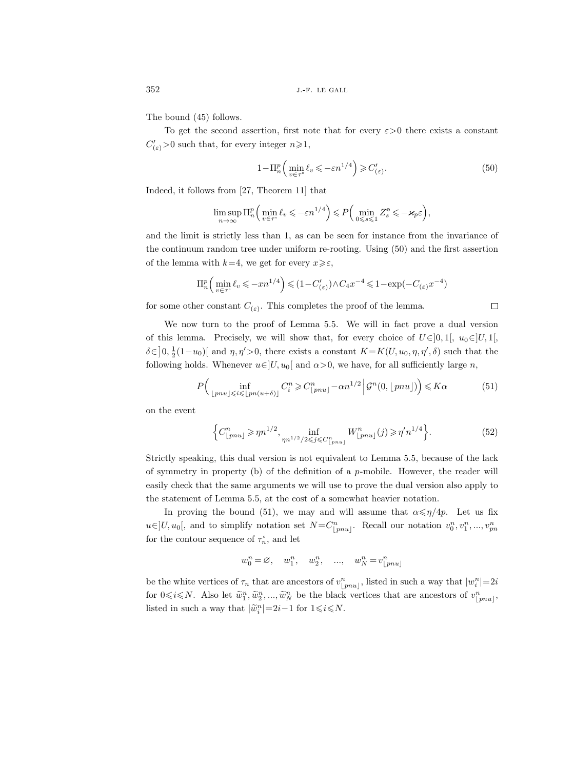The bound (45) follows.

To get the second assertion, first note that for every  $\varepsilon > 0$  there exists a constant  $C'_{(\varepsilon)} > 0$  such that, for every integer  $n \geq 1$ ,

$$
1 - \Pi_n^p \left( \min_{v \in \tau^{\circ}} \ell_v \leqslant -\varepsilon n^{1/4} \right) \geqslant C'_{(\varepsilon)}.
$$
\n
$$
(50)
$$

Indeed, it follows from [27, Theorem 11] that

$$
\limsup_{n\to\infty}\Pi_n^p\left(\min_{v\in\tau^\circ}\ell_v\leqslant -\varepsilon n^{1/4}\right)\leqslant P\left(\min_{0\leqslant s\leqslant 1}Z_s^{\mathbf{e}}\leqslant -\varkappa_p\varepsilon\right),\,
$$

and the limit is strictly less than 1, as can be seen for instance from the invariance of the continuum random tree under uniform re-rooting. Using (50) and the first assertion of the lemma with  $k=4$ , we get for every  $x\geqslant\varepsilon$ ,

$$
\Pi_n^p \left( \min_{v \in \tau^\circ} \ell_v \leqslant -xn^{1/4} \right) \leqslant (1 - C'_{(\varepsilon)}) \wedge C_4 x^{-4} \leqslant 1 - \exp(-C_{(\varepsilon)} x^{-4})
$$

for some other constant  $C_{(\varepsilon)}$ . This completes the proof of the lemma.

We now turn to the proof of Lemma 5.5. We will in fact prove a dual version of this lemma. Precisely, we will show that, for every choice of  $U \in ]0,1[$ ,  $u_0 \in ]U,1[$  $\delta \in ]0, \frac{1}{2}(1-u_0)]$  and  $\eta, \eta' > 0$ , there exists a constant  $K = K(U, u_0, \eta, \eta', \delta)$  such that the following holds. Whenever  $u \in ]U, u_0[$  and  $\alpha > 0$ , we have, for all sufficiently large n,

$$
P\Big(\inf_{\lfloor pnu \rfloor \leq i \leq \lfloor p n(u+\delta) \rfloor} C_i^n \geq C_{\lfloor pnu \rfloor}^n - \alpha n^{1/2} \Big| \mathcal{G}^n(0, \lfloor pnu \rfloor) \Big) \leq K\alpha \tag{51}
$$

on the event

$$
\left\{C_{\lfloor pnu \rfloor}^n \ge \eta n^{1/2}, \inf_{\eta n^{1/2}/2 \le j \le C_{\lfloor pnu \rfloor}^n} W_{\lfloor pnu \rfloor}^n(j) \ge \eta' n^{1/4} \right\}.
$$
 (52)

Strictly speaking, this dual version is not equivalent to Lemma 5.5, because of the lack of symmetry in property  $(b)$  of the definition of a p-mobile. However, the reader will easily check that the same arguments we will use to prove the dual version also apply to the statement of Lemma 5.5, at the cost of a somewhat heavier notation.

In proving the bound (51), we may and will assume that  $\alpha \leq \eta/4p$ . Let us fix  $u \in ]U, u_0[$ , and to simplify notation set  $N = C_{[pnu]}^n$ . Recall our notation  $v_0^n, v_1^n, ..., v_{pn}^n$ for the contour sequence of  $\tau_n^{\circ}$ , and let

$$
w_0^n = \varnothing, \quad w_1^n, \quad w_2^n, \quad ..., \quad w_N^n = v_{\lfloor pnu \rfloor}^n
$$

be the white vertices of  $\tau_n$  that are ancestors of  $v_{[pnu]}^n$ , listed in such a way that  $|w_i^n|=2i$ for  $0 \le i \le N$ . Also let  $\widetilde{w}_1^n, \widetilde{w}_2^n, ..., \widetilde{w}_N^n$  be the black vertices that are ancestors of  $v_{\lfloor pnu \rfloor}^n$ , listed in such a way that  $|\tilde{w}_i^n|=2i-1$  for  $1 \le i \le N$ .

 $\Box$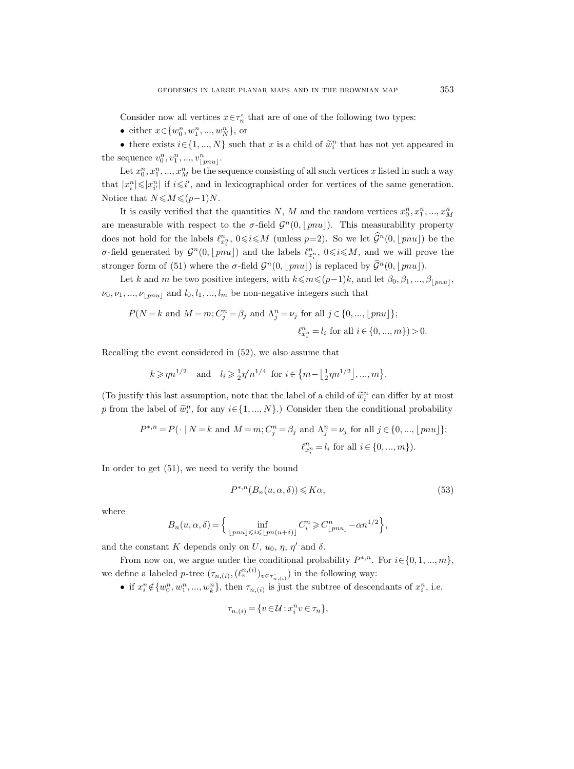Consider now all vertices  $x \in \tau_n^{\circ}$  that are of one of the following two types:

• either  $x \in \{w_0^n, w_1^n, ..., w_N^n\}$ , or

• there exists  $i \in \{1, ..., N\}$  such that x is a child of  $\tilde{w}_i^n$  that has not yet appeared in the sequence  $v_0^n, v_1^n, ..., v_{\lfloor pnu \rfloor}^n$ .

Let  $x_0^n, x_1^n, ..., x_M^n$  be the sequence consisting of all such vertices x listed in such a way that  $|x_i^n| \leq |x_{i'}^n|$  if  $i \leq i'$ , and in lexicographical order for vertices of the same generation. Notice that  $N \leq M \leq (p-1)N$ .

It is easily verified that the quantities N, M and the random vertices  $x_0^n, x_1^n, ..., x_M^n$ are measurable with respect to the  $\sigma$ -field  $\mathcal{G}^n(0, \lfloor pnu \rfloor)$ . This measurability property does not hold for the labels  $\ell_{x_i^n}^n$ ,  $0 \leq i \leq M$  (unless  $p=2$ ). So we let  $\widehat{\mathcal{G}}^n(0, \lfloor pnu \rfloor)$  be the σ-field generated by  $\mathcal{G}^n(0, \lfloor pnu \rfloor)$  and the labels  $\ell_{x_i^n}^n$ ,  $0 \leq i \leq M$ , and we will prove the stronger form of (51) where the  $\sigma$ -field  $\mathcal{G}^n(0, \lfloor pnu \rfloor)$  is replaced by  $\mathcal{G}^n(0, \lfloor pnu \rfloor)$ .

Let k and m be two positive integers, with  $k \leq m \leq (p-1)k$ , and let  $\beta_0, \beta_1, ..., \beta_{|pnu|}$ ,  $\nu_0, \nu_1, ..., \nu_{\lfloor pnu \rfloor}$  and  $l_0, l_1, ..., l_m$  be non-negative integers such that

$$
P(N = k \text{ and } M = m; C_j^n = \beta_j \text{ and } \Lambda_j^n = \nu_j \text{ for all } j \in \{0, ..., \lfloor p n u \rfloor\};
$$
  

$$
\ell_{x_i^n}^n = l_i \text{ for all } i \in \{0, ..., m\} ) > 0.
$$

Recalling the event considered in (52), we also assume that

$$
k \ge \eta n^{1/2}
$$
 and  $l_i \ge \frac{1}{2}\eta' n^{1/4}$  for  $i \in \{m - \lfloor \frac{1}{2}\eta n^{1/2} \rfloor, ..., m\}.$ 

(To justify this last assumption, note that the label of a child of  $\tilde{w}_i^n$  can differ by at most p from the label of  $\tilde{w}_i^n$ , for any  $i \in \{1, ..., N\}$ .) Consider then the conditional probability

$$
P^{*,n} = P(\cdot | N = k \text{ and } M = m; C_j^n = \beta_j \text{ and } \Lambda_j^n = \nu_j \text{ for all } j \in \{0, ..., \lfloor pnu \rfloor\};
$$
  

$$
\ell_{x_i^n}^n = l_i \text{ for all } i \in \{0, ..., m\}).
$$

In order to get (51), we need to verify the bound

$$
P^{*,n}(B_n(u,\alpha,\delta)) \leqslant K\alpha,\tag{53}
$$

where

$$
B_n(u, \alpha, \delta) = \Big\{ \inf_{\lfloor pnu \rfloor \leqslant i \leqslant \lfloor p n (u+\delta) \rfloor} C_i^n \geqslant C_{\lfloor pnu \rfloor}^n - \alpha n^{1/2} \Big\},\
$$

and the constant K depends only on U,  $u_0$ ,  $\eta$ ,  $\eta'$  and  $\delta$ .

From now on, we argue under the conditional probability  $P^{*,n}$ . For  $i \in \{0, 1, ..., m\}$ , we define a labeled p-tree  $(\tau_{n,(i)}, (\ell^{n,(i)}_v)_{v \in \tau_{n,(i)}^{\circ}})$  in the following way:

• if  $x_i^n \notin \{w_0^n, w_1^n, ..., w_k^n\}$ , then  $\tau_{n,(i)}$  is just the subtree of descendants of  $x_i^n$ , i.e.

$$
\tau_{n,(i)} = \{v \in \mathcal{U} : x_i^n v \in \tau_n\},\
$$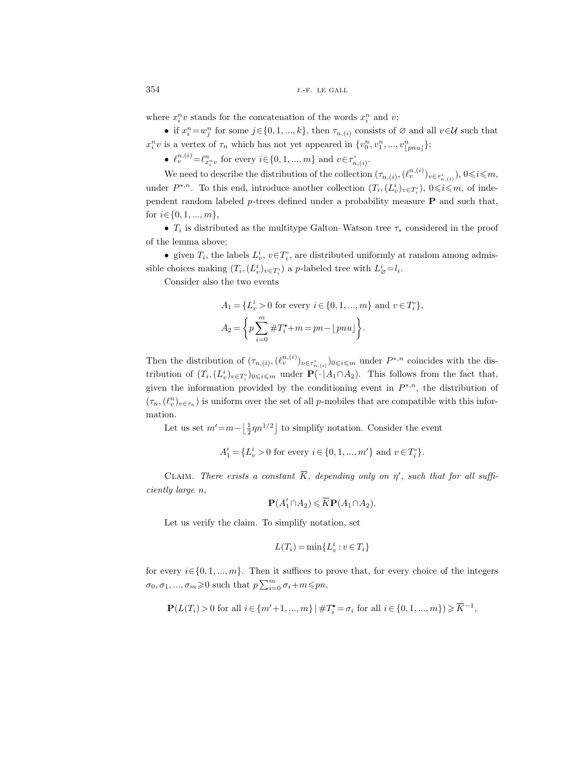where  $x_i^n v$  stands for the concatenation of the words  $x_i^n$  and  $v$ ;

• if  $x_i^n = w_j^n$  for some  $j \in \{0, 1, ..., k\}$ , then  $\tau_{n,(i)}$  consists of  $\emptyset$  and all  $v \in \mathcal{U}$  such that  $x_i^n v$  is a vertex of  $\tau_n$  which has not yet appeared in  $\{v_0^n, v_1^n, ..., v_{\lfloor pnu \rfloor}^n\};$ 

•  $\ell_v^{n,(i)} = \ell_{x_i^n v}^n$  for every  $i \in \{0, 1, ..., m\}$  and  $v \in \tau_{n,(i)}^{\circ}$ .

We need to describe the distribution of the collection  $(\tau_{n,(i)},(\ell^{n,(i)}_v)_{v\in\tau^{,\circ}_{n,(i)}}), 0\leqslant i\leqslant m,$ under  $P^{*,n}$ . To this end, introduce another collection  $(T_i,(L_v^i)_{v \in T_i^s}), 0 \leq i \leq m$ , of independent random labeled  $p$ -trees defined under a probability measure **P** and such that, for  $i \in \{0, 1, ..., m\},\$ 

•  $T_i$  is distributed as the multitype Galton–Watson tree  $\tau_*$  considered in the proof of the lemma above;

• given  $T_i$ , the labels  $L_v^i$ ,  $v \in T_i^{\circ}$ , are distributed uniformly at random among admissible choices making  $(T_i, (L_v^i)_{v \in T_i^o})$  a *p*-labeled tree with  $L^i_{\beta} = l_i$ .

Consider also the two events

$$
A_1 = \{L_v^i > 0 \text{ for every } i \in \{0, 1, ..., m\} \text{ and } v \in T_v^{\circ}\},
$$
  

$$
A_2 = \left\{ p \sum_{i=0}^m \#T_i^* + m = pn - \lfloor pn u \rfloor \right\}.
$$

Then the distribution of  $(\tau_{n,(i)},(\ell^{n,(i)}_v)_{v\in\tau^{(\circ)}_{n,(i)}})_{0\leqslant i\leqslant m}$  under  $P^{*,n}$  coincides with the distribution of  $(T_i, (L_v^i)_{v \in T_i^o})_{0 \leqslant i \leqslant m}$  under  $\mathbf{P}(\cdot | A_1 \cap A_2)$ . This follows from the fact that, given the information provided by the conditioning event in  $P^{*,n}$ , the distribution of  $(\tau_n,(\ell_v^n)_{v\in\tau_n})$  is uniform over the set of all p-mobiles that are compatible with this information.

Let us set  $m' = m - \left\lfloor \frac{1}{2} \eta n^{1/2} \right\rfloor$  to simplify notation. Consider the event

$$
A'_1 = \{L_v^i > 0 \text{ for every } i \in \{0, 1, ..., m'\} \text{ and } v \in T_i^{\circ}\}.
$$

CLAIM. There exists a constant  $\overline{K}$ , depending only on  $\eta'$ , such that for all sufficiently large n,

$$
\mathbf{P}(A'_1 \cap A_2) \leqslant \overline{K} \mathbf{P}(A_1 \cap A_2).
$$

Let us verify the claim. To simplify notation, set

$$
L(T_i)=\min\{L_v^i: v\in T_i\}
$$

for every  $i \in \{0, 1, ..., m\}$ . Then it suffices to prove that, for every choice of the integers  $\sigma_0, \sigma_1, ..., \sigma_m \geqslant 0$  such that  $p \sum_{i=0}^m \sigma_i + m \leqslant pn$ ,

$$
\mathbf{P}(L(T_i) > 0 \text{ for all } i \in \{m' + 1, ..., m\} \mid \#T_i^{\bullet} = \sigma_i \text{ for all } i \in \{0, 1, ..., m\} \geqslant \overline{K}^{-1},
$$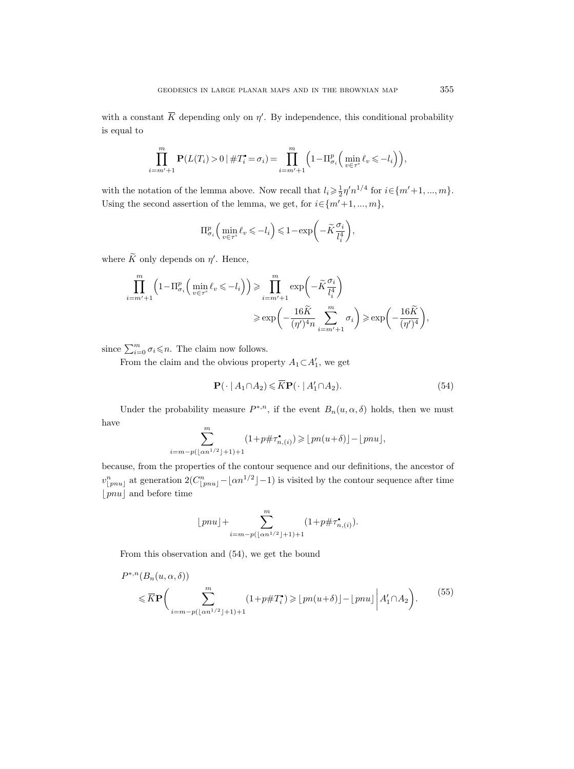with a constant  $\overline{K}$  depending only on  $\eta'$ . By independence, this conditional probability is equal to

$$
\prod_{i=m'+1}^{m} \mathbf{P}(L(T_i) > 0 \mid \#T_i^{\bullet} = \sigma_i) = \prod_{i=m'+1}^{m} \left(1 - \Pi_{\sigma_i}^p \left(\min_{v \in \tau^{\circ}} \ell_v \leq -l_i\right)\right),
$$

with the notation of the lemma above. Now recall that  $l_i \geq \frac{1}{2} \eta' n^{1/4}$  for  $i \in \{m'+1, ..., m\}$ . Using the second assertion of the lemma, we get, for  $i \in \{m'+1, ..., m\}$ ,

$$
\Pi_{\sigma_i}^p \left( \min_{v \in \tau^{\circ}} \ell_v \leqslant -l_i \right) \leqslant 1 - \exp\bigg( -\widetilde{K} \frac{\sigma_i}{l_i^4} \bigg),
$$

where  $\tilde{K}$  only depends on  $\eta'$ . Hence,

$$
\prod_{i=m'+1}^{m} \left(1 - \Pi_{\sigma_i}^p \left(\min_{v \in \tau^{\circ}} \ell_v \leqslant -l_i\right)\right) \geqslant \prod_{i=m'+1}^{m} \exp\left(-\widetilde{K} \frac{\sigma_i}{l_i^4}\right)
$$
\n
$$
\geqslant \exp\left(-\frac{16\widetilde{K}}{(\eta')^4 n} \sum_{i=m'+1}^{m} \sigma_i\right) \geqslant \exp\left(-\frac{16\widetilde{K}}{(\eta')^4}\right),
$$

since  $\sum_{i=0}^{m} \sigma_i \leq n$ . The claim now follows.

From the claim and the obvious property  $A_1 \subset A'_1$ , we get

$$
\mathbf{P}(\cdot \mid A_1 \cap A_2) \leqslant \overline{K} \mathbf{P}(\cdot \mid A_1' \cap A_2). \tag{54}
$$

Under the probability measure  $P^{*,n}$ , if the event  $B_n(u, \alpha, \delta)$  holds, then we must have

$$
\sum_{i=m-p(\lfloor \alpha n^{1/2} \rfloor+1)+1}^m (1+p\#\tau_{n,(i)}^{\bullet}) \geqslant \lfloor pn(u+\delta) \rfloor - \lfloor pn u \rfloor,
$$

because, from the properties of the contour sequence and our definitions, the ancestor of  $v_{\lfloor pnu \rfloor}^n$  at generation  $2(C_{\lfloor pnu \rfloor}^n - \lfloor \alpha n^{1/2} \rfloor - 1)$  is visited by the contour sequence after time  $|pnu|$  and before time

$$
\lfloor pnu \rfloor + \sum_{i=m-p(\lfloor \alpha n^{1/2} \rfloor +1)+1}^m (1+p\#\tau_{n,(i)}^{\bullet}).
$$

From this observation and (54), we get the bound

$$
P^{*,n}(B_n(u,\alpha,\delta))
$$
  
\$\leq R\mathbf{P}\left(\sum\_{i=m-p(\lfloor \alpha n^{1/2} \rfloor+1)+1}^{m} (1+p\#T\_i^{\bullet}) \geqslant \lfloor pn(u+\delta) \rfloor - \lfloor pnu \rfloor \mid A\_1' \cap A\_2\right).\$ (55)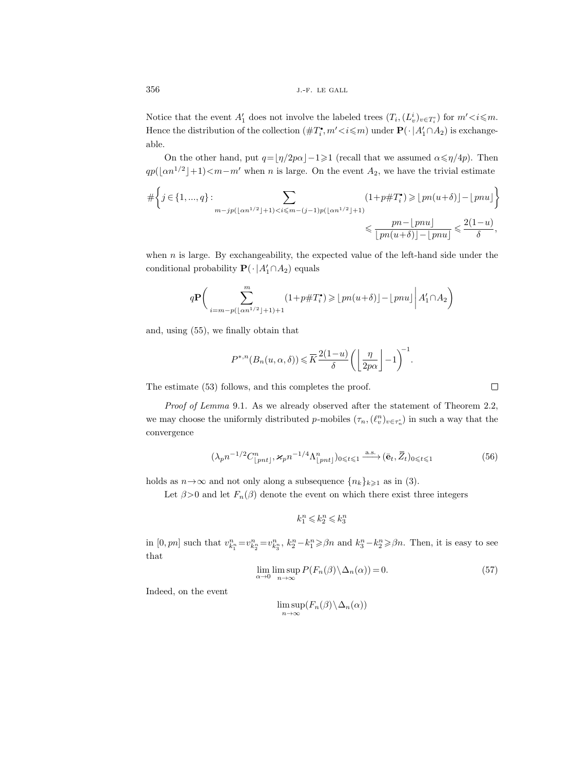Notice that the event  $A'_1$  does not involve the labeled trees  $(T_i,(L_v^i)_{v \in T_i^c})$  for  $m' {<} i {\leqslant} m$ . Hence the distribution of the collection  $(\#T_i, m' \lt i \leq m)$  under  $\mathbf{P}(\cdot | A'_1 \cap A_2)$  is exchangeable.

On the other hand, put  $q=\lfloor \eta/2p\alpha\rfloor-1\geqslant1$  (recall that we assumed  $\alpha\leqslant\eta/4p$ ). Then  $qp(\lfloor \alpha n^{1/2} \rfloor + 1) < m-m'$  when n is large. On the event  $A_2$ , we have the trivial estimate

# j ∈ {1, ..., q} : X m−jp(bαn1/2c+1)<i6m−(j−1)p(bαn1/2c+1) (1+p#T i ) > bpn(u+δ)c−bpnuc 6 pn−bpnuc bpn(u+δ)c−bpnuc 6 2(1−u) δ ,

when n is large. By exchangeability, the expected value of the left-hand side under the conditional probability  $\mathbf{P}(\cdot | A'_1 \cap A_2)$  equals

$$
q\mathbf{P}\bigg(\sum_{i=m-p(\lfloor \alpha n^{1/2} \rfloor+1)+1}^{m} (1+p\#T_i^*) \geqslant \lfloor pn(u+\delta) \rfloor - \lfloor pnu \rfloor \bigg| A'_1 \cap A_2 \bigg)
$$

and, using (55), we finally obtain that

$$
P^{*,n}(B_n(u,\alpha,\delta)) \leq \overline{K} \frac{2(1-u)}{\delta} \left( \left\lfloor \frac{\eta}{2p\alpha} \right\rfloor - 1 \right)^{-1}.
$$

The estimate (53) follows, and this completes the proof.

Proof of Lemma 9.1. As we already observed after the statement of Theorem 2.2, we may choose the uniformly distributed p-mobiles  $(\tau_n, (\ell_v^n)_{v \in \tau_n^{\circ}})$  in such a way that the convergence

$$
(\lambda_p n^{-1/2} C_{\lfloor pnt \rfloor}^n, \varkappa_p n^{-1/4} \Lambda_{\lfloor pnt \rfloor}^n)_{0 \leq t \leq 1} \xrightarrow{\text{a.s.}} (\bar{e}_t, \bar{Z}_t)_{0 \leq t \leq 1}
$$
(56)

holds as  $n \rightarrow \infty$  and not only along a subsequence  $\{n_k\}_{k\geq 1}$  as in (3).

Let  $\beta > 0$  and let  $F_n(\beta)$  denote the event on which there exist three integers

 $k_1^n \leqslant k_2^n \leqslant k_3^n$ 

in  $[0, pn]$  such that  $v_{k_1^n}^n = v_{k_2^n}^n = v_{k_3^n}^n$ ,  $k_2^n - k_1^n \geq \beta n$  and  $k_3^n - k_2^n \geq \beta n$ . Then, it is easy to see that

$$
\lim_{\alpha \to 0} \limsup_{n \to \infty} P(F_n(\beta) \setminus \Delta_n(\alpha)) = 0.
$$
\n(57)

Indeed, on the event

$$
\limsup_{n\to\infty}(F_n(\beta)\setminus\Delta_n(\alpha))
$$

 $\Box$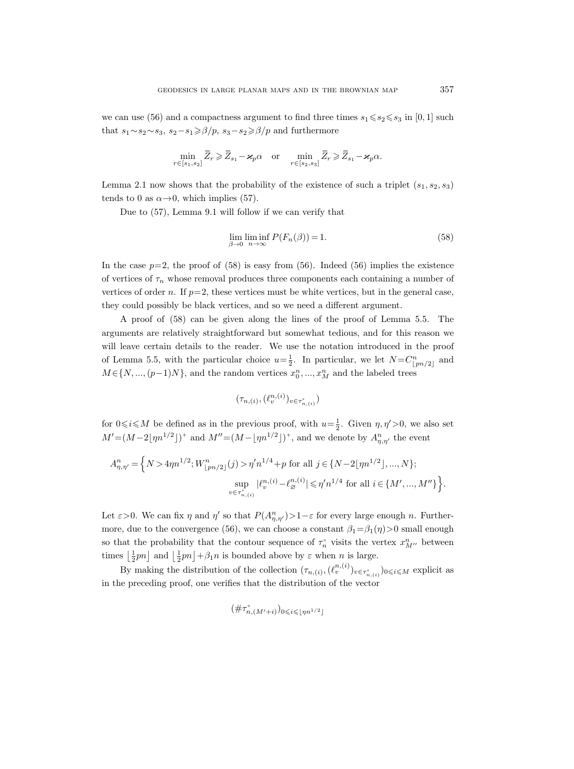we can use (56) and a compactness argument to find three times  $s_1 \le s_2 \le s_3$  in [0, 1] such that  $s_1 \sim s_2 \sim s_3$ ,  $s_2 - s_1 \ge \beta/p$ ,  $s_3 - s_2 \ge \beta/p$  and furthermore

$$
\min_{r \in [s_1, s_2]} \overline{Z}_r \geqslant \overline{Z}_{s_1} - \varkappa_p \alpha \quad \text{or} \quad \min_{r \in [s_2, s_3]} \overline{Z}_r \geqslant \overline{Z}_{s_1} - \varkappa_p \alpha.
$$

Lemma 2.1 now shows that the probability of the existence of such a triplet  $(s_1, s_2, s_3)$ tends to 0 as  $\alpha \rightarrow 0$ , which implies (57).

Due to (57), Lemma 9.1 will follow if we can verify that

$$
\lim_{\beta \to 0} \liminf_{n \to \infty} P(F_n(\beta)) = 1.
$$
\n(58)

In the case  $p=2$ , the proof of  $(58)$  is easy from  $(56)$ . Indeed  $(56)$  implies the existence of vertices of  $\tau_n$  whose removal produces three components each containing a number of vertices of order n. If  $p=2$ , these vertices must be white vertices, but in the general case, they could possibly be black vertices, and so we need a different argument.

A proof of (58) can be given along the lines of the proof of Lemma 5.5. The arguments are relatively straightforward but somewhat tedious, and for this reason we will leave certain details to the reader. We use the notation introduced in the proof of Lemma 5.5, with the particular choice  $u=\frac{1}{2}$ . In particular, we let  $N=C^n_{\lfloor pn/2\rfloor}$  and  $M\!\in\!\{N,...,(p\!-\!1)N\},$  and the random vertices  $x_0^n,...,x_M^n$  and the labeled trees

$$
(\tau_{n,(i)},(\ell^{n,(i)}_v)_{v\in\tau^{\circ}_{n,(i)}})
$$

for  $0 \le i \le M$  be defined as in the previous proof, with  $u = \frac{1}{2}$ . Given  $\eta, \eta' > 0$ , we also set  $M' = (M - 2\lfloor \eta n^{1/2} \rfloor)^+$  and  $M'' = (M - \lfloor \eta n^{1/2} \rfloor)^+$ , and we denote by  $A_{\eta,\eta'}^n$  the event

$$
A_{\eta,\eta'}^n = \left\{ N > 4\eta n^{1/2}; W_{\lfloor pn/2\rfloor}^n(j) > \eta' n^{1/4} + p \text{ for all } j \in \{N-2\lfloor \eta n^{1/2} \rfloor, ..., N\}; \sup_{v \in \tau_{n,(i)}^n} |\ell_v^{n,(i)} - \ell_\varnothing^{n,(i)}| \leqslant \eta' n^{1/4} \text{ for all } i \in \{M', ..., M''\}\right\}.
$$

Let  $\varepsilon > 0$ . We can fix  $\eta$  and  $\eta'$  so that  $P(A_{\eta,\eta'}^n) > 1 - \varepsilon$  for every large enough n. Furthermore, due to the convergence (56), we can choose a constant  $\beta_1 = \beta_1(\eta) > 0$  small enough so that the probability that the contour sequence of  $\tau_n^{\circ}$  visits the vertex  $x_{M}^n$ , between times  $\left\lfloor \frac{1}{2}pn \right\rfloor$  and  $\left\lfloor \frac{1}{2}pn \right\rfloor + \beta_1 n$  is bounded above by  $\varepsilon$  when  $n$  is large.

By making the distribution of the collection  $(\tau_{n,(i)},(\ell_v^{n,(i)})_{v\in\tau_{n,(i)}^{\circ}})_{0\leqslant i\leqslant M}$  explicit as in the preceding proof, one verifies that the distribution of the vector

$$
(\#\tau_{n,(M'+i)}^{\circ})_{0\leqslant i\leqslant \lfloor \eta n^{1/2}\rfloor}
$$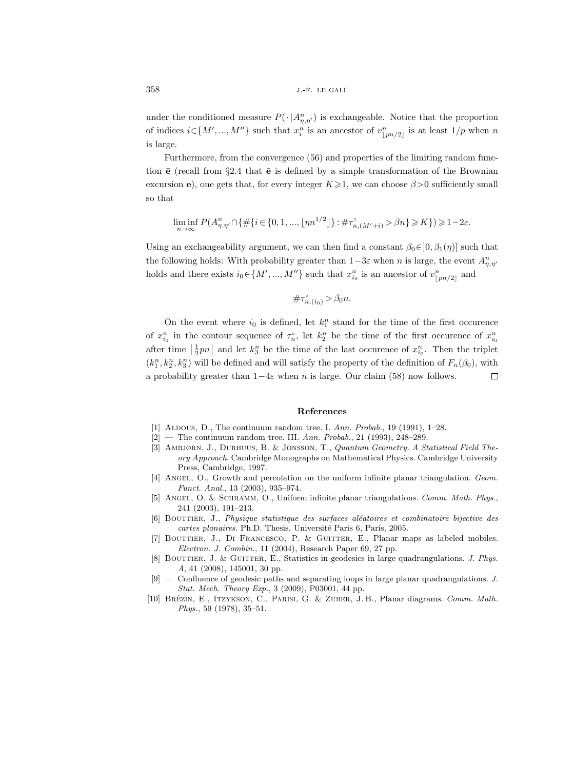under the conditioned measure  $P(\cdot | A_{\eta,\eta'}^n)$  is exchangeable. Notice that the proportion of indices  $i \in \{M', ..., M''\}$  such that  $x_i^n$  is an ancestor of  $v_{\lfloor pn/2 \rfloor}^n$  is at least  $1/p$  when n is large.

Furthermore, from the convergence (56) and properties of the limiting random function  $\bar{e}$  (recall from §2.4 that  $\bar{e}$  is defined by a simple transformation of the Brownian excursion e), one gets that, for every integer  $K \geq 1$ , we can choose  $\beta > 0$  sufficiently small so that

$$
\liminf_{n\to\infty}P(A^n_{\eta,\eta'}\cap\{\#\{i\in\{0,1,...,\lfloor \eta n^{1/2}\rfloor\}:\#\tau^{\circ}_{n,(M'+i)}>\beta n\}\geqslant K\})\geqslant 1-2\varepsilon.
$$

Using an exchangeability argument, we can then find a constant  $\beta_0 \in ]0, \beta_1(\eta)]$  such that the following holds: With probability greater than  $1-3\varepsilon$  when n is large, the event  $A_{\eta,\eta'}^n$ holds and there exists  $i_0 \in \{M', ..., M''\}$  such that  $x_{i_0}^n$  is an ancestor of  $v_{\lfloor pn/2 \rfloor}^n$  and

$$
\#\tau_{n,(i_0)}^{\circ} > \beta_0 n.
$$

On the event where  $i_0$  is defined, let  $k_1^n$  stand for the time of the first occurence of  $x_{i_0}^n$  in the contour sequence of  $\tau_n^{\circ}$ , let  $k_2^n$  be the time of the first occurence of  $x_{i_0}^n$ after time  $\lfloor \frac{1}{2}pn \rfloor$  and let  $k_3^n$  be the time of the last occurence of  $x_{i_0}^n$ . Then the triplet  $(k_1^n, k_2^n, k_3^n)$  will be defined and will satisfy the property of the definition of  $F_n(\beta_0)$ , with a probability greater than  $1-4\varepsilon$  when n is large. Our claim (58) now follows. С

### References

- [1] ALDOUS, D., The continuum random tree. I. Ann. Probab., 19 (1991), 1-28.
- $[2]$  The continuum random tree. III. Ann. Probab., 21 (1993), 248–289.
- [3] Ambjørn, J., Durhuus, B. & Jonsson, T., Quantum Geometry. A Statistical Field Theory Approach. Cambridge Monographs on Mathematical Physics. Cambridge University Press, Cambridge, 1997.
- [4] ANGEL, O., Growth and percolation on the uniform infinite planar triangulation. Geom. Funct. Anal., 13 (2003), 935–974.
- [5] ANGEL, O. & SCHRAMM, O., Uniform infinite planar triangulations. Comm. Math. Phys., 241 (2003), 191–213.
- [6] BOUTTIER, J., Physique statistique des surfaces aléatoires et combinatoire bijective des cartes planaires. Ph.D. Thesis, Université Paris 6, Paris, 2005.
- [7] Bouttier, J., Di Francesco, P. & Guitter, E., Planar maps as labeled mobiles. Electron. J. Combin., 11 (2004), Research Paper 69, 27 pp.
- [8] BOUTTIER, J. & GUITTER, E., Statistics in geodesics in large quadrangulations. J. Phys. A, 41 (2008), 145001, 30 pp.
- [9] Confluence of geodesic paths and separating loops in large planar quadrangulations. J. Stat. Mech. Theory Exp., 3 (2009), P03001, 44 pp.
- [10] BRÉZIN, E., ITZYKSON, C., PARISI, G. & ZUBER, J. B., Planar diagrams. Comm. Math. Phys., 59 (1978), 35–51.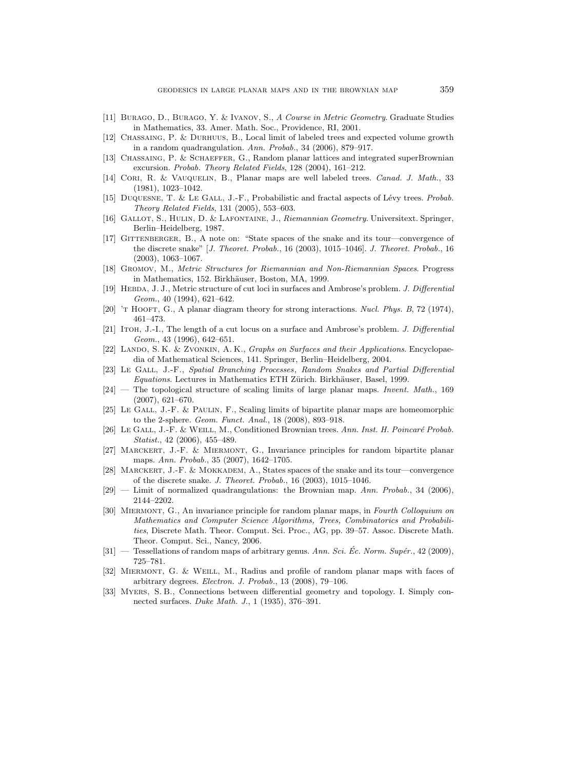- [11] Burago, D., Burago, Y. & Ivanov, S., A Course in Metric Geometry. Graduate Studies in Mathematics, 33. Amer. Math. Soc., Providence, RI, 2001.
- [12] Chassaing, P. & Durhuus, B., Local limit of labeled trees and expected volume growth in a random quadrangulation. Ann. Probab., 34 (2006), 879–917.
- [13] Chassaing, P. & Schaeffer, G., Random planar lattices and integrated superBrownian excursion. Probab. Theory Related Fields, 128 (2004), 161–212.
- [14] CORI, R. & VAUQUELIN, B., Planar maps are well labeled trees. *Canad. J. Math.*, 33 (1981), 1023–1042.
- [15] DUQUESNE, T. & LE GALL, J.-F., Probabilistic and fractal aspects of Lévy trees. Probab. Theory Related Fields, 131 (2005), 553–603.
- [16] Gallot, S., Hulin, D. & Lafontaine, J., Riemannian Geometry. Universitext. Springer, Berlin–Heidelberg, 1987.
- [17] GITTENBERGER, B., A note on: "State spaces of the snake and its tour—convergence of the discrete snake" [J. Theoret. Probab., 16 (2003), 1015–1046]. J. Theoret. Probab., 16 (2003), 1063–1067.
- [18] Gromov, M., Metric Structures for Riemannian and Non-Riemannian Spaces. Progress in Mathematics, 152. Birkhäuser, Boston, MA, 1999.
- [19] HEBDA, J. J., Metric structure of cut loci in surfaces and Ambrose's problem. J. Differential Geom., 40 (1994), 621–642.
- [20]  $\tau$  Hooft, G., A planar diagram theory for strong interactions. Nucl. Phys. B, 72 (1974), 461–473.
- [21] ITOH, J.-I., The length of a cut locus on a surface and Ambrose's problem. J. Differential Geom., 43 (1996), 642–651.
- [22] LANDO, S. K. & ZVONKIN, A. K., Graphs on Surfaces and their Applications. Encyclopaedia of Mathematical Sciences, 141. Springer, Berlin–Heidelberg, 2004.
- [23] Le Gall, J.-F., Spatial Branching Processes, Random Snakes and Partial Differential Equations. Lectures in Mathematics ETH Zürich. Birkhäuser, Basel, 1999.
- [24] The topological structure of scaling limits of large planar maps. Invent. Math., 169 (2007), 621–670.
- [25] Le Gall, J.-F. & Paulin, F., Scaling limits of bipartite planar maps are homeomorphic to the 2-sphere. Geom. Funct. Anal., 18 (2008), 893–918.
- [26] LE GALL, J.-F. & WEILL, M., Conditioned Brownian trees. Ann. Inst. H. Poincaré Probab. Statist., 42 (2006), 455–489.
- [27] Marckert, J.-F. & Miermont, G., Invariance principles for random bipartite planar maps. Ann. Probab., 35 (2007), 1642–1705.
- [28] MARCKERT, J.-F. & MOKKADEM, A., States spaces of the snake and its tour—convergence of the discrete snake. J. Theoret. Probab., 16 (2003), 1015–1046.
- $[29]$  Limit of normalized quadrangulations: the Brownian map. Ann. Probab., 34 (2006), 2144–2202.
- [30] MIERMONT, G., An invariance principle for random planar maps, in Fourth Colloquium on Mathematics and Computer Science Algorithms, Trees, Combinatorics and Probabilities, Discrete Math. Theor. Comput. Sci. Proc., AG, pp. 39–57. Assoc. Discrete Math. Theor. Comput. Sci., Nancy, 2006.
- $[31]$  Tessellations of random maps of arbitrary genus. Ann. Sci. Ec. Norm. Supér., 42 (2009), 725–781.
- [32] Miermont, G. & Weill, M., Radius and profile of random planar maps with faces of arbitrary degrees. Electron. J. Probab., 13 (2008), 79–106.
- [33] Myers, S. B., Connections between differential geometry and topology. I. Simply connected surfaces. Duke Math. J., 1 (1935), 376–391.